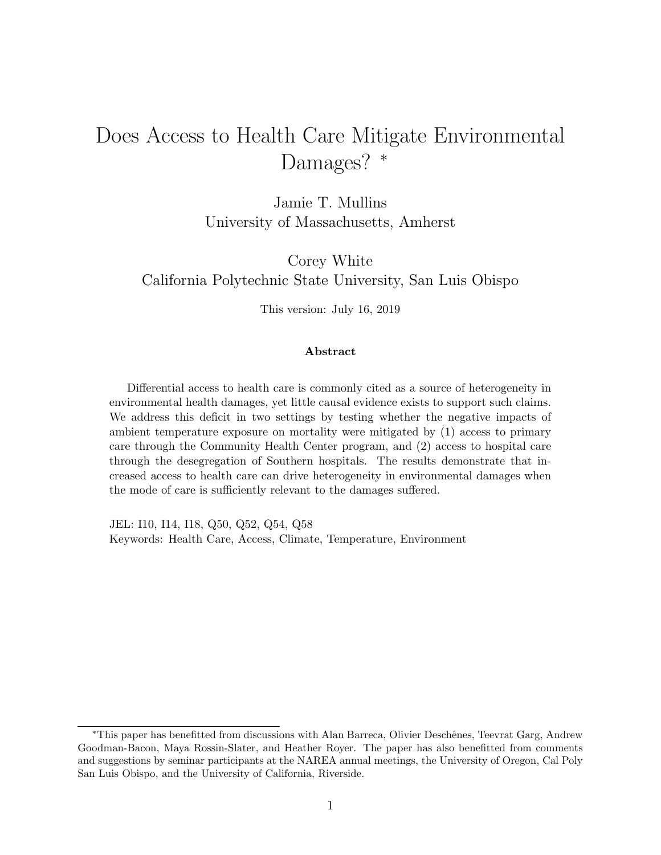# Does Access to Health Care Mitigate Environmental Damages? \*

Jamie T. Mullins University of Massachusetts, Amherst

Corey White California Polytechnic State University, San Luis Obispo

This version: July 16, 2019

#### Abstract

Differential access to health care is commonly cited as a source of heterogeneity in environmental health damages, yet little causal evidence exists to support such claims. We address this deficit in two settings by testing whether the negative impacts of ambient temperature exposure on mortality were mitigated by (1) access to primary care through the Community Health Center program, and (2) access to hospital care through the desegregation of Southern hospitals. The results demonstrate that increased access to health care can drive heterogeneity in environmental damages when the mode of care is sufficiently relevant to the damages suffered.

JEL: I10, I14, I18, Q50, Q52, Q54, Q58 Keywords: Health Care, Access, Climate, Temperature, Environment

<sup>∗</sup>This paper has benefitted from discussions with Alan Barreca, Olivier Deschˆenes, Teevrat Garg, Andrew Goodman-Bacon, Maya Rossin-Slater, and Heather Royer. The paper has also benefitted from comments and suggestions by seminar participants at the NAREA annual meetings, the University of Oregon, Cal Poly San Luis Obispo, and the University of California, Riverside.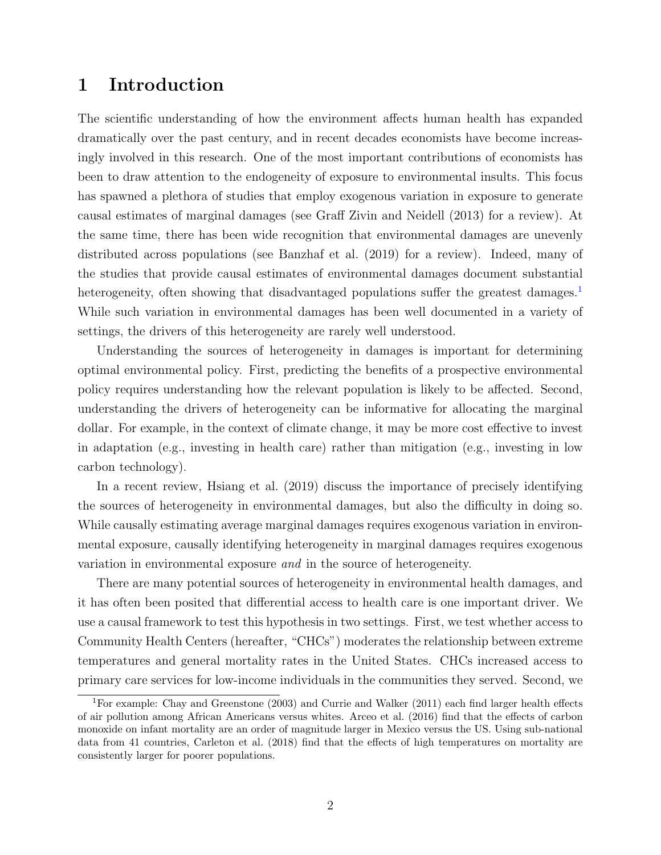## 1 Introduction

The scientific understanding of how the environment affects human health has expanded dramatically over the past century, and in recent decades economists have become increasingly involved in this research. One of the most important contributions of economists has been to draw attention to the endogeneity of exposure to environmental insults. This focus has spawned a plethora of studies that employ exogenous variation in exposure to generate causal estimates of marginal damages (see [Graff Zivin and Neidell](#page-28-0) [\(2013\)](#page-28-0) for a review). At the same time, there has been wide recognition that environmental damages are unevenly distributed across populations (see [Banzhaf et al.](#page-27-0) [\(2019\)](#page-27-0) for a review). Indeed, many of the studies that provide causal estimates of environmental damages document substantial heterogeneity, often showing that disadvantaged populations suffer the greatest damages.<sup>[1](#page-1-0)</sup> While such variation in environmental damages has been well documented in a variety of settings, the drivers of this heterogeneity are rarely well understood.

Understanding the sources of heterogeneity in damages is important for determining optimal environmental policy. First, predicting the benefits of a prospective environmental policy requires understanding how the relevant population is likely to be affected. Second, understanding the drivers of heterogeneity can be informative for allocating the marginal dollar. For example, in the context of climate change, it may be more cost effective to invest in adaptation (e.g., investing in health care) rather than mitigation (e.g., investing in low carbon technology).

In a recent review, [Hsiang et al.](#page-29-0) [\(2019\)](#page-29-0) discuss the importance of precisely identifying the sources of heterogeneity in environmental damages, but also the difficulty in doing so. While causally estimating average marginal damages requires exogenous variation in environmental exposure, causally identifying heterogeneity in marginal damages requires exogenous variation in environmental exposure and in the source of heterogeneity.

There are many potential sources of heterogeneity in environmental health damages, and it has often been posited that differential access to health care is one important driver. We use a causal framework to test this hypothesis in two settings. First, we test whether access to Community Health Centers (hereafter, "CHCs") moderates the relationship between extreme temperatures and general mortality rates in the United States. CHCs increased access to primary care services for low-income individuals in the communities they served. Second, we

<span id="page-1-0"></span><sup>&</sup>lt;sup>1</sup>For example: [Chay and Greenstone](#page-28-1) [\(2003\)](#page-28-1) and [Currie and Walker](#page-28-2) [\(2011\)](#page-28-2) each find larger health effects of air pollution among African Americans versus whites. [Arceo et al.](#page-27-1) [\(2016\)](#page-27-1) find that the effects of carbon monoxide on infant mortality are an order of magnitude larger in Mexico versus the US. Using sub-national data from 41 countries, [Carleton et al.](#page-27-2) [\(2018\)](#page-27-2) find that the effects of high temperatures on mortality are consistently larger for poorer populations.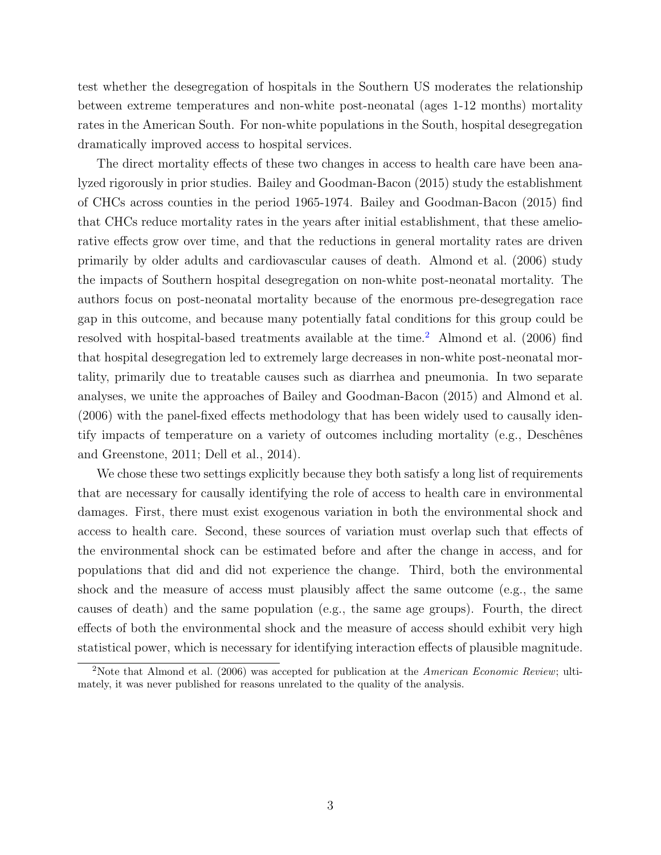test whether the desegregation of hospitals in the Southern US moderates the relationship between extreme temperatures and non-white post-neonatal (ages 1-12 months) mortality rates in the American South. For non-white populations in the South, hospital desegregation dramatically improved access to hospital services.

The direct mortality effects of these two changes in access to health care have been analyzed rigorously in prior studies. [Bailey and Goodman-Bacon](#page-27-3) [\(2015\)](#page-27-3) study the establishment of CHCs across counties in the period 1965-1974. [Bailey and Goodman-Bacon](#page-27-3) [\(2015\)](#page-27-3) find that CHCs reduce mortality rates in the years after initial establishment, that these ameliorative effects grow over time, and that the reductions in general mortality rates are driven primarily by older adults and cardiovascular causes of death. [Almond et al.](#page-27-4) [\(2006\)](#page-27-4) study the impacts of Southern hospital desegregation on non-white post-neonatal mortality. The authors focus on post-neonatal mortality because of the enormous pre-desegregation race gap in this outcome, and because many potentially fatal conditions for this group could be resolved with hospital-based treatments available at the time.<sup>[2](#page-2-0)</sup> [Almond et al.](#page-27-4)  $(2006)$  find that hospital desegregation led to extremely large decreases in non-white post-neonatal mortality, primarily due to treatable causes such as diarrhea and pneumonia. In two separate analyses, we unite the approaches of [Bailey and Goodman-Bacon](#page-27-3) [\(2015\)](#page-27-3) and [Almond et al.](#page-27-4) [\(2006\)](#page-27-4) with the panel-fixed effects methodology that has been widely used to causally identify impacts of temperature on a variety of outcomes including mortality (e.g., Deschênes [and Greenstone,](#page-28-3) [2011;](#page-28-3) [Dell et al.,](#page-28-4) [2014\)](#page-28-4).

We chose these two settings explicitly because they both satisfy a long list of requirements that are necessary for causally identifying the role of access to health care in environmental damages. First, there must exist exogenous variation in both the environmental shock and access to health care. Second, these sources of variation must overlap such that effects of the environmental shock can be estimated before and after the change in access, and for populations that did and did not experience the change. Third, both the environmental shock and the measure of access must plausibly affect the same outcome (e.g., the same causes of death) and the same population (e.g., the same age groups). Fourth, the direct effects of both the environmental shock and the measure of access should exhibit very high statistical power, which is necessary for identifying interaction effects of plausible magnitude.

<span id="page-2-0"></span><sup>&</sup>lt;sup>2</sup>Note that [Almond et al.](#page-27-4) [\(2006\)](#page-27-4) was accepted for publication at the American Economic Review; ultimately, it was never published for reasons unrelated to the quality of the analysis.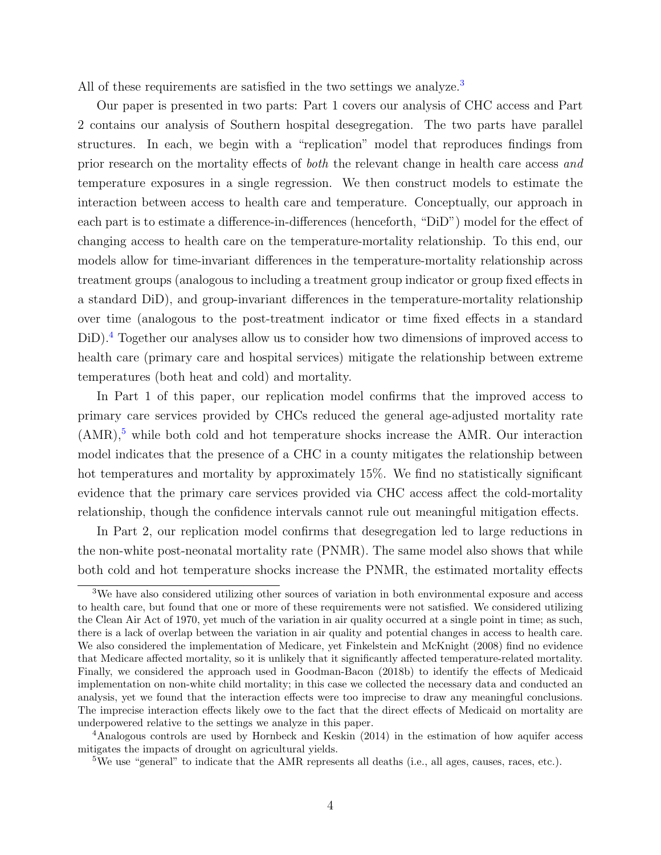All of these requirements are satisfied in the two settings we analyze.<sup>[3](#page-3-0)</sup>

Our paper is presented in two parts: Part 1 covers our analysis of CHC access and Part 2 contains our analysis of Southern hospital desegregation. The two parts have parallel structures. In each, we begin with a "replication" model that reproduces findings from prior research on the mortality effects of both the relevant change in health care access and temperature exposures in a single regression. We then construct models to estimate the interaction between access to health care and temperature. Conceptually, our approach in each part is to estimate a difference-in-differences (henceforth, "DiD") model for the effect of changing access to health care on the temperature-mortality relationship. To this end, our models allow for time-invariant differences in the temperature-mortality relationship across treatment groups (analogous to including a treatment group indicator or group fixed effects in a standard DiD), and group-invariant differences in the temperature-mortality relationship over time (analogous to the post-treatment indicator or time fixed effects in a standard DiD).<sup>[4](#page-3-1)</sup> Together our analyses allow us to consider how two dimensions of improved access to health care (primary care and hospital services) mitigate the relationship between extreme temperatures (both heat and cold) and mortality.

In Part 1 of this paper, our replication model confirms that the improved access to primary care services provided by CHCs reduced the general age-adjusted mortality rate  $(AMR),$ <sup>[5](#page-3-2)</sup> while both cold and hot temperature shocks increase the AMR. Our interaction model indicates that the presence of a CHC in a county mitigates the relationship between hot temperatures and mortality by approximately 15%. We find no statistically significant evidence that the primary care services provided via CHC access affect the cold-mortality relationship, though the confidence intervals cannot rule out meaningful mitigation effects.

In Part 2, our replication model confirms that desegregation led to large reductions in the non-white post-neonatal mortality rate (PNMR). The same model also shows that while both cold and hot temperature shocks increase the PNMR, the estimated mortality effects

<span id="page-3-0"></span><sup>3</sup>We have also considered utilizing other sources of variation in both environmental exposure and access to health care, but found that one or more of these requirements were not satisfied. We considered utilizing the Clean Air Act of 1970, yet much of the variation in air quality occurred at a single point in time; as such, there is a lack of overlap between the variation in air quality and potential changes in access to health care. We also considered the implementation of Medicare, yet [Finkelstein and McKnight](#page-28-5) [\(2008\)](#page-28-5) find no evidence that Medicare affected mortality, so it is unlikely that it significantly affected temperature-related mortality. Finally, we considered the approach used in [Goodman-Bacon](#page-28-6) [\(2018b\)](#page-28-6) to identify the effects of Medicaid implementation on non-white child mortality; in this case we collected the necessary data and conducted an analysis, yet we found that the interaction effects were too imprecise to draw any meaningful conclusions. The imprecise interaction effects likely owe to the fact that the direct effects of Medicaid on mortality are underpowered relative to the settings we analyze in this paper.

<span id="page-3-1"></span><sup>4</sup>Analogous controls are used by [Hornbeck and Keskin](#page-29-1) [\(2014\)](#page-29-1) in the estimation of how aquifer access mitigates the impacts of drought on agricultural yields.

<span id="page-3-2"></span><sup>&</sup>lt;sup>5</sup>We use "general" to indicate that the AMR represents all deaths (i.e., all ages, causes, races, etc.).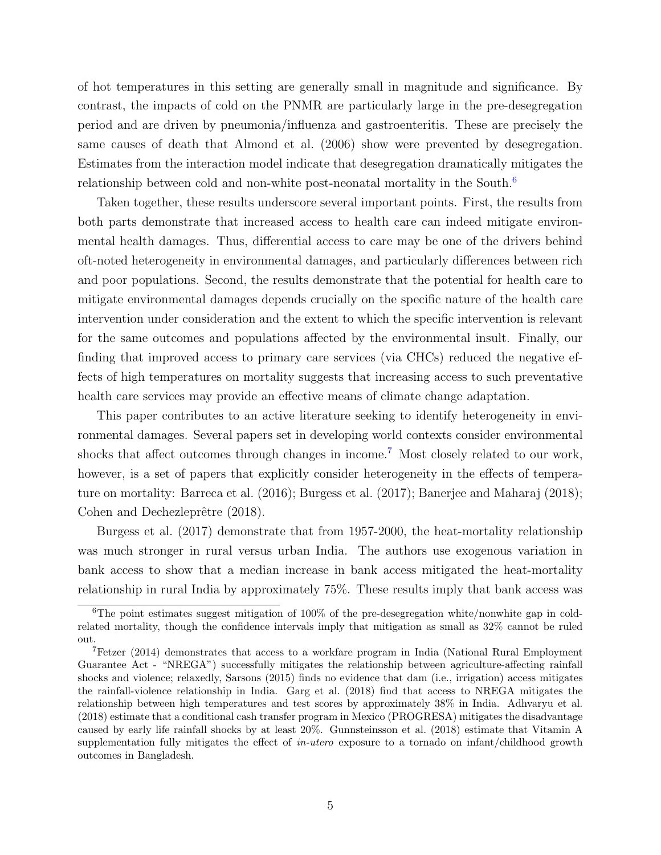of hot temperatures in this setting are generally small in magnitude and significance. By contrast, the impacts of cold on the PNMR are particularly large in the pre-desegregation period and are driven by pneumonia/influenza and gastroenteritis. These are precisely the same causes of death that [Almond et al.](#page-27-4) [\(2006\)](#page-27-4) show were prevented by desegregation. Estimates from the interaction model indicate that desegregation dramatically mitigates the relationship between cold and non-white post-neonatal mortality in the South.<sup>[6](#page-4-0)</sup>

Taken together, these results underscore several important points. First, the results from both parts demonstrate that increased access to health care can indeed mitigate environmental health damages. Thus, differential access to care may be one of the drivers behind oft-noted heterogeneity in environmental damages, and particularly differences between rich and poor populations. Second, the results demonstrate that the potential for health care to mitigate environmental damages depends crucially on the specific nature of the health care intervention under consideration and the extent to which the specific intervention is relevant for the same outcomes and populations affected by the environmental insult. Finally, our finding that improved access to primary care services (via CHCs) reduced the negative effects of high temperatures on mortality suggests that increasing access to such preventative health care services may provide an effective means of climate change adaptation.

This paper contributes to an active literature seeking to identify heterogeneity in environmental damages. Several papers set in developing world contexts consider environmental shocks that affect outcomes through changes in income.[7](#page-4-1) Most closely related to our work, however, is a set of papers that explicitly consider heterogeneity in the effects of temperature on mortality: [Barreca et al.](#page-27-5) [\(2016\)](#page-27-5); [Burgess et al.](#page-27-6) [\(2017\)](#page-27-6); [Banerjee and Maharaj](#page-27-7) [\(2018\)](#page-27-7); Cohen and Dechezleprêtre [\(2018\)](#page-28-7).

[Burgess et al.](#page-27-6) [\(2017\)](#page-27-6) demonstrate that from 1957-2000, the heat-mortality relationship was much stronger in rural versus urban India. The authors use exogenous variation in bank access to show that a median increase in bank access mitigated the heat-mortality relationship in rural India by approximately 75%. These results imply that bank access was

<span id="page-4-0"></span><sup>&</sup>lt;sup>6</sup>The point estimates suggest mitigation of  $100\%$  of the pre-desegregation white/nonwhite gap in coldrelated mortality, though the confidence intervals imply that mitigation as small as 32% cannot be ruled out.

<span id="page-4-1"></span><sup>7</sup>[Fetzer](#page-28-8) [\(2014\)](#page-28-8) demonstrates that access to a workfare program in India (National Rural Employment Guarantee Act - "NREGA") successfully mitigates the relationship between agriculture-affecting rainfall shocks and violence; relaxedly, [Sarsons](#page-29-2) [\(2015\)](#page-29-2) finds no evidence that dam (i.e., irrigation) access mitigates the rainfall-violence relationship in India. [Garg et al.](#page-28-9) [\(2018\)](#page-28-9) find that access to NREGA mitigates the relationship between high temperatures and test scores by approximately 38% in India. [Adhvaryu et al.](#page-27-8) [\(2018\)](#page-27-8) estimate that a conditional cash transfer program in Mexico (PROGRESA) mitigates the disadvantage caused by early life rainfall shocks by at least 20%. [Gunnsteinsson et al.](#page-29-3) [\(2018\)](#page-29-3) estimate that Vitamin A supplementation fully mitigates the effect of in-utero exposure to a tornado on infant/childhood growth outcomes in Bangladesh.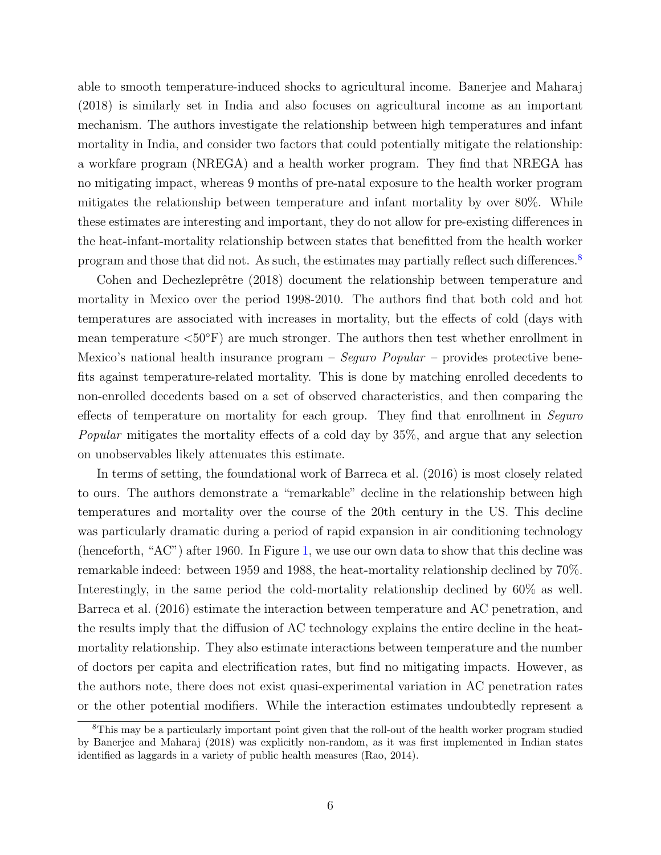able to smooth temperature-induced shocks to agricultural income. [Banerjee and Maharaj](#page-27-7) [\(2018\)](#page-27-7) is similarly set in India and also focuses on agricultural income as an important mechanism. The authors investigate the relationship between high temperatures and infant mortality in India, and consider two factors that could potentially mitigate the relationship: a workfare program (NREGA) and a health worker program. They find that NREGA has no mitigating impact, whereas 9 months of pre-natal exposure to the health worker program mitigates the relationship between temperature and infant mortality by over 80%. While these estimates are interesting and important, they do not allow for pre-existing differences in the heat-infant-mortality relationship between states that benefitted from the health worker program and those that did not. As such, the estimates may partially reflect such differences.<sup>[8](#page-5-0)</sup>

Cohen and Dechezleprêtre [\(2018\)](#page-28-7) document the relationship between temperature and mortality in Mexico over the period 1998-2010. The authors find that both cold and hot temperatures are associated with increases in mortality, but the effects of cold (days with mean temperature  $\langle 50^\circ \text{F} \rangle$  are much stronger. The authors then test whether enrollment in Mexico's national health insurance program – Seguro Popular – provides protective benefits against temperature-related mortality. This is done by matching enrolled decedents to non-enrolled decedents based on a set of observed characteristics, and then comparing the effects of temperature on mortality for each group. They find that enrollment in Sequro Popular mitigates the mortality effects of a cold day by 35%, and argue that any selection on unobservables likely attenuates this estimate.

In terms of setting, the foundational work of [Barreca et al.](#page-27-5) [\(2016\)](#page-27-5) is most closely related to ours. The authors demonstrate a "remarkable" decline in the relationship between high temperatures and mortality over the course of the 20th century in the US. This decline was particularly dramatic during a period of rapid expansion in air conditioning technology (henceforth, "AC") after 1960. In Figure [1,](#page-30-0) we use our own data to show that this decline was remarkable indeed: between 1959 and 1988, the heat-mortality relationship declined by 70%. Interestingly, in the same period the cold-mortality relationship declined by 60% as well. [Barreca et al.](#page-27-5) [\(2016\)](#page-27-5) estimate the interaction between temperature and AC penetration, and the results imply that the diffusion of AC technology explains the entire decline in the heatmortality relationship. They also estimate interactions between temperature and the number of doctors per capita and electrification rates, but find no mitigating impacts. However, as the authors note, there does not exist quasi-experimental variation in AC penetration rates or the other potential modifiers. While the interaction estimates undoubtedly represent a

<span id="page-5-0"></span><sup>&</sup>lt;sup>8</sup>This may be a particularly important point given that the roll-out of the health worker program studied by [Banerjee and Maharaj](#page-27-7) [\(2018\)](#page-27-7) was explicitly non-random, as it was first implemented in Indian states identified as laggards in a variety of public health measures [\(Rao,](#page-29-4) [2014\)](#page-29-4).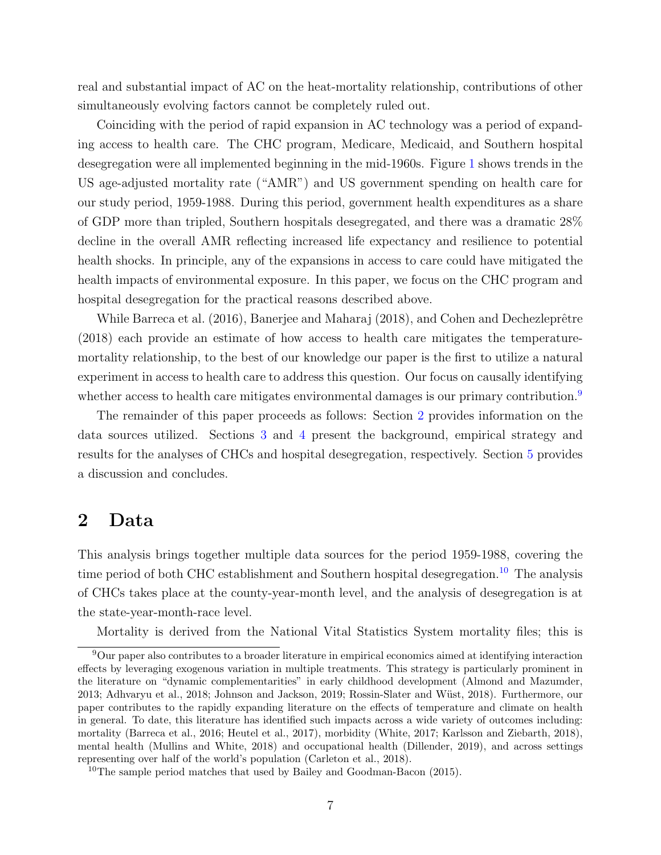real and substantial impact of AC on the heat-mortality relationship, contributions of other simultaneously evolving factors cannot be completely ruled out.

Coinciding with the period of rapid expansion in AC technology was a period of expanding access to health care. The CHC program, Medicare, Medicaid, and Southern hospital desegregation were all implemented beginning in the mid-1960s. Figure [1](#page-30-0) shows trends in the US age-adjusted mortality rate ("AMR") and US government spending on health care for our study period, 1959-1988. During this period, government health expenditures as a share of GDP more than tripled, Southern hospitals desegregated, and there was a dramatic 28% decline in the overall AMR reflecting increased life expectancy and resilience to potential health shocks. In principle, any of the expansions in access to care could have mitigated the health impacts of environmental exposure. In this paper, we focus on the CHC program and hospital desegregation for the practical reasons described above.

While [Barreca et al.](#page-27-5) [\(2016\)](#page-27-5), [Banerjee and Maharaj](#page-27-7) [\(2018\)](#page-27-7), and Cohen and Dechezleprêtre [\(2018\)](#page-28-7) each provide an estimate of how access to health care mitigates the temperaturemortality relationship, to the best of our knowledge our paper is the first to utilize a natural experiment in access to health care to address this question. Our focus on causally identifying whether access to health care mitigates environmental damages is our primary contribution.<sup>[9](#page-6-0)</sup>

The remainder of this paper proceeds as follows: Section [2](#page-6-1) provides information on the data sources utilized. Sections [3](#page-7-0) and [4](#page-18-0) present the background, empirical strategy and results for the analyses of CHCs and hospital desegregation, respectively. Section [5](#page-25-0) provides a discussion and concludes.

## <span id="page-6-1"></span>2 Data

This analysis brings together multiple data sources for the period 1959-1988, covering the time period of both CHC establishment and Southern hospital desegregation.<sup>[10](#page-6-2)</sup> The analysis of CHCs takes place at the county-year-month level, and the analysis of desegregation is at the state-year-month-race level.

<span id="page-6-0"></span>Mortality is derived from the National Vital Statistics System mortality files; this is

<sup>&</sup>lt;sup>9</sup>Our paper also contributes to a broader literature in empirical economics aimed at identifying interaction effects by leveraging exogenous variation in multiple treatments. This strategy is particularly prominent in the literature on "dynamic complementarities" in early childhood development [\(Almond and Mazumder,](#page-27-9) [2013;](#page-27-9) [Adhvaryu et al.,](#page-27-8) [2018;](#page-27-8) [Johnson and Jackson,](#page-29-5) [2019;](#page-29-5) Rossin-Slater and Wüst, [2018\)](#page-29-6). Furthermore, our paper contributes to the rapidly expanding literature on the effects of temperature and climate on health in general. To date, this literature has identified such impacts across a wide variety of outcomes including: mortality [\(Barreca et al.,](#page-27-5) [2016;](#page-27-5) [Heutel et al.,](#page-29-7) [2017\)](#page-29-7), morbidity [\(White,](#page-29-8) [2017;](#page-29-8) [Karlsson and Ziebarth,](#page-29-9) [2018\)](#page-29-9), mental health [\(Mullins and White,](#page-29-10) [2018\)](#page-29-10) and occupational health [\(Dillender,](#page-28-10) [2019\)](#page-28-10), and across settings representing over half of the world's population [\(Carleton et al.,](#page-27-2) [2018\)](#page-27-2).

<span id="page-6-2"></span><sup>10</sup>The sample period matches that used by [Bailey and Goodman-Bacon](#page-27-3) [\(2015\)](#page-27-3).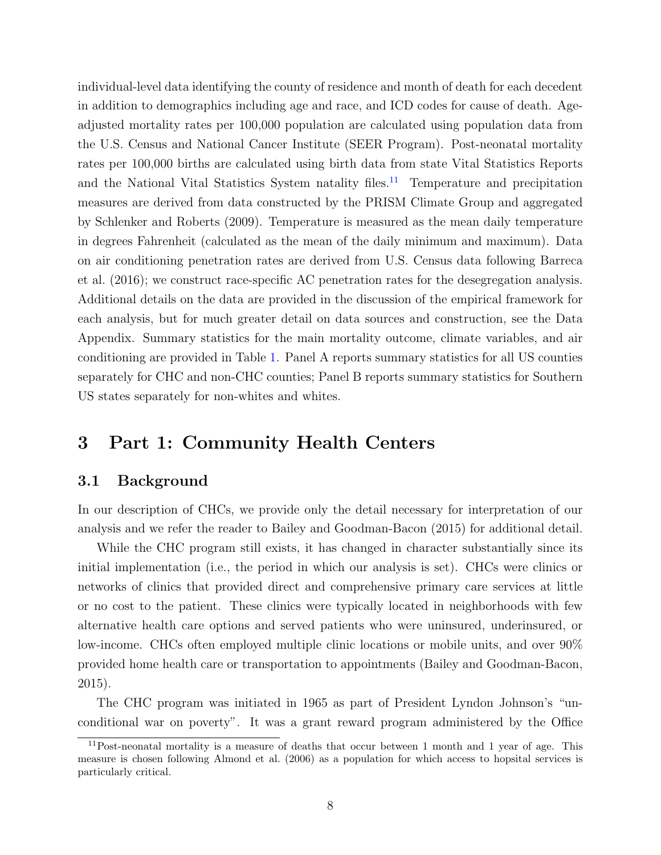individual-level data identifying the county of residence and month of death for each decedent in addition to demographics including age and race, and ICD codes for cause of death. Ageadjusted mortality rates per 100,000 population are calculated using population data from the U.S. Census and National Cancer Institute (SEER Program). Post-neonatal mortality rates per 100,000 births are calculated using birth data from state Vital Statistics Reports and the National Vital Statistics System natality files.<sup>[11](#page-7-1)</sup> Temperature and precipitation measures are derived from data constructed by the PRISM Climate Group and aggregated by [Schlenker and Roberts](#page-29-11) [\(2009\)](#page-29-11). Temperature is measured as the mean daily temperature in degrees Fahrenheit (calculated as the mean of the daily minimum and maximum). Data on air conditioning penetration rates are derived from U.S. Census data following [Barreca](#page-27-5) [et al.](#page-27-5) [\(2016\)](#page-27-5); we construct race-specific AC penetration rates for the desegregation analysis. Additional details on the data are provided in the discussion of the empirical framework for each analysis, but for much greater detail on data sources and construction, see the Data Appendix. Summary statistics for the main mortality outcome, climate variables, and air conditioning are provided in Table [1.](#page-36-0) Panel A reports summary statistics for all US counties separately for CHC and non-CHC counties; Panel B reports summary statistics for Southern US states separately for non-whites and whites.

## <span id="page-7-0"></span>3 Part 1: Community Health Centers

## 3.1 Background

In our description of CHCs, we provide only the detail necessary for interpretation of our analysis and we refer the reader to [Bailey and Goodman-Bacon](#page-27-3) [\(2015\)](#page-27-3) for additional detail.

While the CHC program still exists, it has changed in character substantially since its initial implementation (i.e., the period in which our analysis is set). CHCs were clinics or networks of clinics that provided direct and comprehensive primary care services at little or no cost to the patient. These clinics were typically located in neighborhoods with few alternative health care options and served patients who were uninsured, underinsured, or low-income. CHCs often employed multiple clinic locations or mobile units, and over 90% provided home health care or transportation to appointments [\(Bailey and Goodman-Bacon,](#page-27-3) [2015\)](#page-27-3).

The CHC program was initiated in 1965 as part of President Lyndon Johnson's "unconditional war on poverty". It was a grant reward program administered by the Office

<span id="page-7-1"></span> $11$ Post-neonatal mortality is a measure of deaths that occur between 1 month and 1 year of age. This measure is chosen following [Almond et al.](#page-27-4) [\(2006\)](#page-27-4) as a population for which access to hopsital services is particularly critical.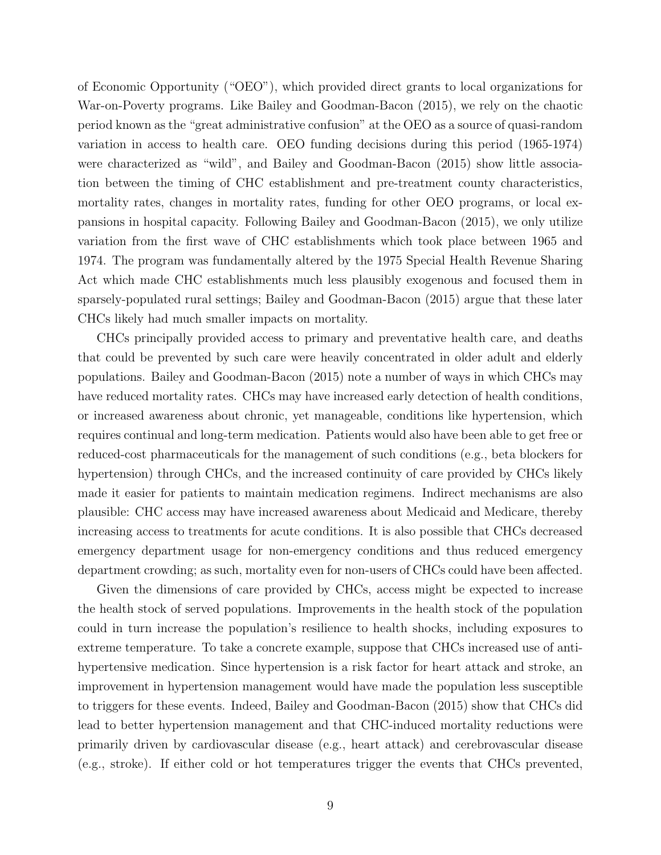of Economic Opportunity ("OEO"), which provided direct grants to local organizations for War-on-Poverty programs. Like [Bailey and Goodman-Bacon](#page-27-3) [\(2015\)](#page-27-3), we rely on the chaotic period known as the "great administrative confusion" at the OEO as a source of quasi-random variation in access to health care. OEO funding decisions during this period (1965-1974) were characterized as "wild", and [Bailey and Goodman-Bacon](#page-27-3) [\(2015\)](#page-27-3) show little association between the timing of CHC establishment and pre-treatment county characteristics, mortality rates, changes in mortality rates, funding for other OEO programs, or local expansions in hospital capacity. Following [Bailey and Goodman-Bacon](#page-27-3) [\(2015\)](#page-27-3), we only utilize variation from the first wave of CHC establishments which took place between 1965 and 1974. The program was fundamentally altered by the 1975 Special Health Revenue Sharing Act which made CHC establishments much less plausibly exogenous and focused them in sparsely-populated rural settings; [Bailey and Goodman-Bacon](#page-27-3) [\(2015\)](#page-27-3) argue that these later CHCs likely had much smaller impacts on mortality.

CHCs principally provided access to primary and preventative health care, and deaths that could be prevented by such care were heavily concentrated in older adult and elderly populations. [Bailey and Goodman-Bacon](#page-27-3) [\(2015\)](#page-27-3) note a number of ways in which CHCs may have reduced mortality rates. CHCs may have increased early detection of health conditions, or increased awareness about chronic, yet manageable, conditions like hypertension, which requires continual and long-term medication. Patients would also have been able to get free or reduced-cost pharmaceuticals for the management of such conditions (e.g., beta blockers for hypertension) through CHCs, and the increased continuity of care provided by CHCs likely made it easier for patients to maintain medication regimens. Indirect mechanisms are also plausible: CHC access may have increased awareness about Medicaid and Medicare, thereby increasing access to treatments for acute conditions. It is also possible that CHCs decreased emergency department usage for non-emergency conditions and thus reduced emergency department crowding; as such, mortality even for non-users of CHCs could have been affected.

Given the dimensions of care provided by CHCs, access might be expected to increase the health stock of served populations. Improvements in the health stock of the population could in turn increase the population's resilience to health shocks, including exposures to extreme temperature. To take a concrete example, suppose that CHCs increased use of antihypertensive medication. Since hypertension is a risk factor for heart attack and stroke, an improvement in hypertension management would have made the population less susceptible to triggers for these events. Indeed, [Bailey and Goodman-Bacon](#page-27-3) [\(2015\)](#page-27-3) show that CHCs did lead to better hypertension management and that CHC-induced mortality reductions were primarily driven by cardiovascular disease (e.g., heart attack) and cerebrovascular disease (e.g., stroke). If either cold or hot temperatures trigger the events that CHCs prevented,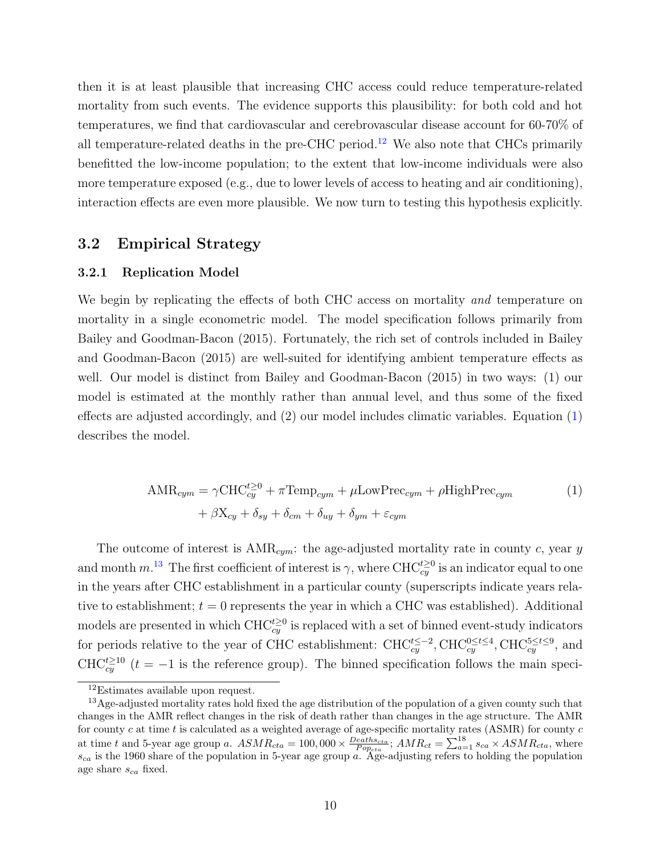<span id="page-9-3"></span>then it is at least plausible that increasing CHC access could reduce temperature-related mortality from such events. The evidence supports this plausibility: for both cold and hot temperatures, we find that cardiovascular and cerebrovascular disease account for 60-70% of all temperature-related deaths in the pre-CHC period.<sup>[12](#page-9-0)</sup> We also note that CHCs primarily benefitted the low-income population; to the extent that low-income individuals were also more temperature exposed (e.g., due to lower levels of access to heating and air conditioning), interaction effects are even more plausible. We now turn to testing this hypothesis explicitly.

## 3.2 Empirical Strategy

#### 3.2.1 Replication Model

We begin by replicating the effects of both CHC access on mortality and temperature on mortality in a single econometric model. The model specification follows primarily from [Bailey and Goodman-Bacon](#page-27-3) [\(2015\)](#page-27-3). Fortunately, the rich set of controls included in [Bailey](#page-27-3) [and Goodman-Bacon](#page-27-3) [\(2015\)](#page-27-3) are well-suited for identifying ambient temperature effects as well. Our model is distinct from [Bailey and Goodman-Bacon](#page-27-3) [\(2015\)](#page-27-3) in two ways: (1) our model is estimated at the monthly rather than annual level, and thus some of the fixed effects are adjusted accordingly, and (2) our model includes climatic variables. Equation [\(1\)](#page-9-1) describes the model.

<span id="page-9-1"></span>
$$
\text{AMR}_{cym} = \gamma \text{CHC}_{cy}^{t\geq 0} + \pi \text{Temp}_{cym} + \mu \text{LowPrec}_{cym} + \rho \text{HighPrec}_{cym}
$$
  
+  $\beta \text{X}_{cy} + \delta_{sy} + \delta_{cm} + \delta_{uy} + \delta_{ym} + \varepsilon_{cym}$  (1)

The outcome of interest is  $AMR_{cum}$ : the age-adjusted mortality rate in county c, year y and month  $m^{13}$  $m^{13}$  $m^{13}$  The first coefficient of interest is  $\gamma$ , where CHC $c_{xy}^{t\geq0}$  is an indicator equal to one in the years after CHC establishment in a particular county (superscripts indicate years relative to establishment;  $t = 0$  represents the year in which a CHC was established). Additional models are presented in which  $\text{CHC}_{cy}^{t\geq0}$  is replaced with a set of binned event-study indicators for periods relative to the year of CHC establishment:  $CHC_{cy}^{t\leq -2}$ ,  $CHC_{cy}^{0\leq t\leq 4}$ ,  $CHC_{cy}^{5\leq t\leq 9}$ , and CHC<sup>t<sub>cy</sub><sup> $\text{CHC}_{cy}^{t\geq 10}$  (t = -1 is the reference group). The binned specification follows the main speci-</sup></sup>

<span id="page-9-2"></span><span id="page-9-0"></span><sup>12</sup>Estimates available upon request.

<sup>13</sup>Age-adjusted mortality rates hold fixed the age distribution of the population of a given county such that changes in the AMR reflect changes in the risk of death rather than changes in the age structure. The AMR for county  $c$  at time  $t$  is calculated as a weighted average of age-specific mortality rates (ASMR) for county  $c$ at time t and 5-year age group a.  $ASMR_{cta} = 100,000 \times \frac{Deaths_{cta}}{Pop_{cta}}$ ;  $AMR_{ct} = \sum_{a=1}^{18} s_{ca} \times ASMR_{cta}$ , where  $s_{ca}$  is the 1960 share of the population in 5-year age group a. Age-adjusting refers to holding the population age share  $s_{ca}$  fixed.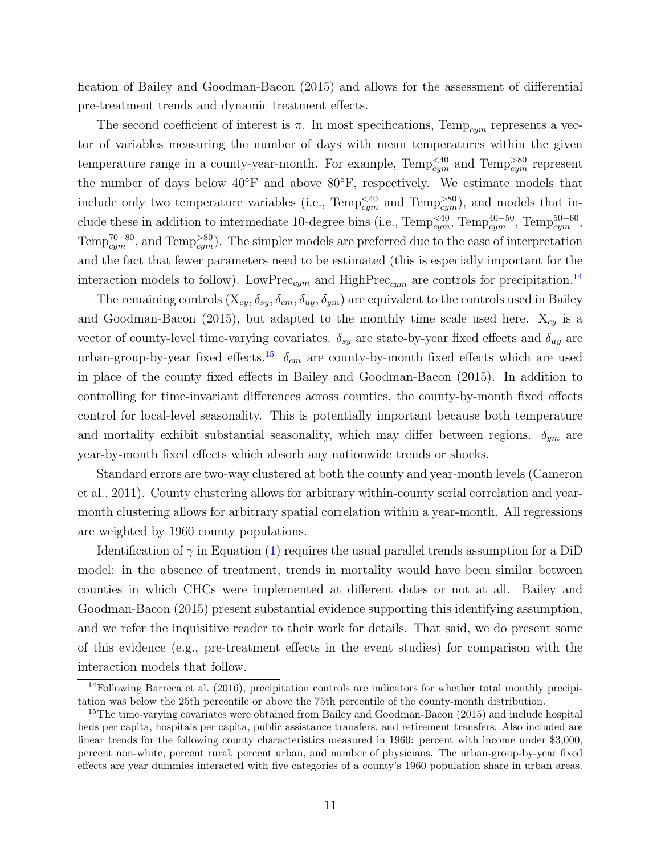fication of [Bailey and Goodman-Bacon](#page-27-3) [\(2015\)](#page-27-3) and allows for the assessment of differential pre-treatment trends and dynamic treatment effects.

The second coefficient of interest is  $\pi$ . In most specifications, Temp<sub>cym</sub> represents a vector of variables measuring the number of days with mean temperatures within the given temperature range in a county-year-month. For example,  $\text{Temp}_{cym}^{<40}$  and  $\text{Temp}_{cym}^{>80}$  represent the number of days below  $40°$ F and above  $80°$ F, respectively. We estimate models that include only two temperature variables (i.e.,  $\text{Temp}_{cym}^{<40}$  and  $\text{Temp}_{cym}^{>80}$ ), and models that include these in addition to intermediate 10-degree bins (i.e.,  $\text{Temp}_{cym}^{<40}$ ,  $\text{Temp}_{cym}^{40-50}$ ,  $\text{Temp}_{cym}^{50-60}$ , Temp<sup>70–80</sup>, and Temp<sup>>80</sup><sub>cym</sub>). The simpler models are preferred due to the ease of interpretation and the fact that fewer parameters need to be estimated (this is especially important for the interaction models to follow). LowPrec<sub>cym</sub> and HighPrec<sub>cym</sub> are controls for precipitation.<sup>[14](#page-10-0)</sup>

The remaining controls  $(X_{cy}, \delta_{sy}, \delta_{cm}, \delta_{uy}, \delta_{ym})$  are equivalent to the controls used in [Bailey](#page-27-3) [and Goodman-Bacon](#page-27-3) [\(2015\)](#page-27-3), but adapted to the monthly time scale used here.  $X_{cy}$  is a vector of county-level time-varying covariates.  $\delta_{sy}$  are state-by-year fixed effects and  $\delta_{uy}$  are urban-group-by-year fixed effects.<sup>[15](#page-10-1)</sup>  $\delta_{cm}$  are county-by-month fixed effects which are used in place of the county fixed effects in [Bailey and Goodman-Bacon](#page-27-3) [\(2015\)](#page-27-3). In addition to controlling for time-invariant differences across counties, the county-by-month fixed effects control for local-level seasonality. This is potentially important because both temperature and mortality exhibit substantial seasonality, which may differ between regions.  $\delta_{ym}$  are year-by-month fixed effects which absorb any nationwide trends or shocks.

Standard errors are two-way clustered at both the county and year-month levels [\(Cameron](#page-27-10) [et al.,](#page-27-10) [2011\)](#page-27-10). County clustering allows for arbitrary within-county serial correlation and yearmonth clustering allows for arbitrary spatial correlation within a year-month. All regressions are weighted by 1960 county populations.

Identification of  $\gamma$  in Equation [\(1\)](#page-9-1) requires the usual parallel trends assumption for a DiD model: in the absence of treatment, trends in mortality would have been similar between counties in which CHCs were implemented at different dates or not at all. [Bailey and](#page-27-3) [Goodman-Bacon](#page-27-3) [\(2015\)](#page-27-3) present substantial evidence supporting this identifying assumption, and we refer the inquisitive reader to their work for details. That said, we do present some of this evidence (e.g., pre-treatment effects in the event studies) for comparison with the interaction models that follow.

<span id="page-10-0"></span><sup>&</sup>lt;sup>14</sup>Following [Barreca et al.](#page-27-5) [\(2016\)](#page-27-5), precipitation controls are indicators for whether total monthly precipitation was below the 25th percentile or above the 75th percentile of the county-month distribution.

<span id="page-10-1"></span><sup>&</sup>lt;sup>15</sup>The time-varying covariates were obtained from [Bailey and Goodman-Bacon](#page-27-3) [\(2015\)](#page-27-3) and include hospital beds per capita, hospitals per capita, public assistance transfers, and retirement transfers. Also included are linear trends for the following county characteristics measured in 1960: percent with income under \$3,000, percent non-white, percent rural, percent urban, and number of physicians. The urban-group-by-year fixed effects are year dummies interacted with five categories of a county's 1960 population share in urban areas.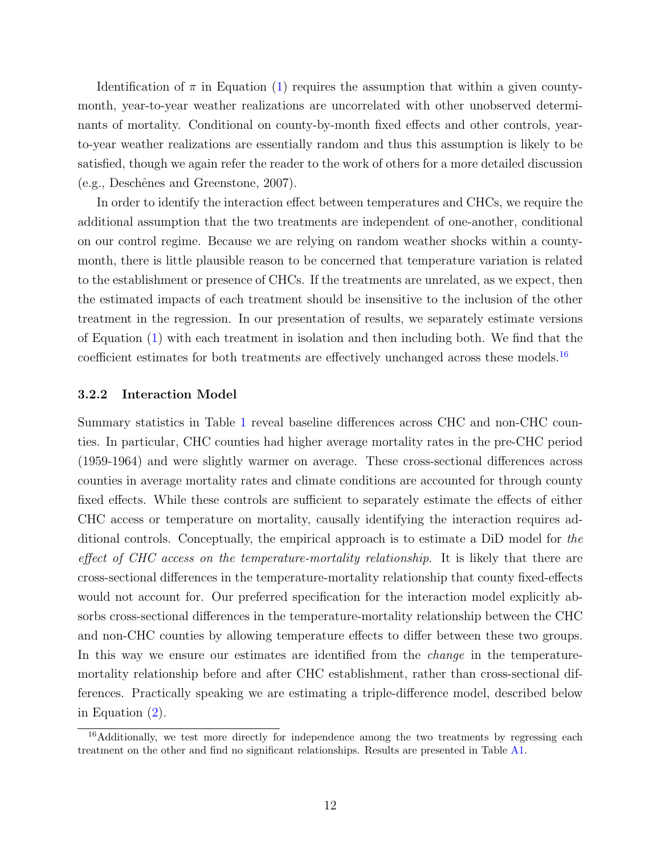Identification of  $\pi$  in Equation [\(1\)](#page-9-1) requires the assumption that within a given countymonth, year-to-year weather realizations are uncorrelated with other unobserved determinants of mortality. Conditional on county-by-month fixed effects and other controls, yearto-year weather realizations are essentially random and thus this assumption is likely to be satisfied, though we again refer the reader to the work of others for a more detailed discussion (e.g., Deschênes and Greenstone, [2007\)](#page-28-11).

In order to identify the interaction effect between temperatures and CHCs, we require the additional assumption that the two treatments are independent of one-another, conditional on our control regime. Because we are relying on random weather shocks within a countymonth, there is little plausible reason to be concerned that temperature variation is related to the establishment or presence of CHCs. If the treatments are unrelated, as we expect, then the estimated impacts of each treatment should be insensitive to the inclusion of the other treatment in the regression. In our presentation of results, we separately estimate versions of Equation [\(1\)](#page-9-1) with each treatment in isolation and then including both. We find that the coefficient estimates for both treatments are effectively unchanged across these models.<sup>[16](#page-11-0)</sup>

#### 3.2.2 Interaction Model

Summary statistics in Table [1](#page-36-0) reveal baseline differences across CHC and non-CHC counties. In particular, CHC counties had higher average mortality rates in the pre-CHC period (1959-1964) and were slightly warmer on average. These cross-sectional differences across counties in average mortality rates and climate conditions are accounted for through county fixed effects. While these controls are sufficient to separately estimate the effects of either CHC access or temperature on mortality, causally identifying the interaction requires additional controls. Conceptually, the empirical approach is to estimate a DiD model for the effect of CHC access on the temperature-mortality relationship. It is likely that there are cross-sectional differences in the temperature-mortality relationship that county fixed-effects would not account for. Our preferred specification for the interaction model explicitly absorbs cross-sectional differences in the temperature-mortality relationship between the CHC and non-CHC counties by allowing temperature effects to differ between these two groups. In this way we ensure our estimates are identified from the *change* in the temperaturemortality relationship before and after CHC establishment, rather than cross-sectional differences. Practically speaking we are estimating a triple-difference model, described below in Equation [\(2\)](#page-12-0).

<span id="page-11-0"></span><sup>&</sup>lt;sup>16</sup>Additionally, we test more directly for independence among the two treatments by regressing each treatment on the other and find no significant relationships. Results are presented in Table [A1.](#page-42-0)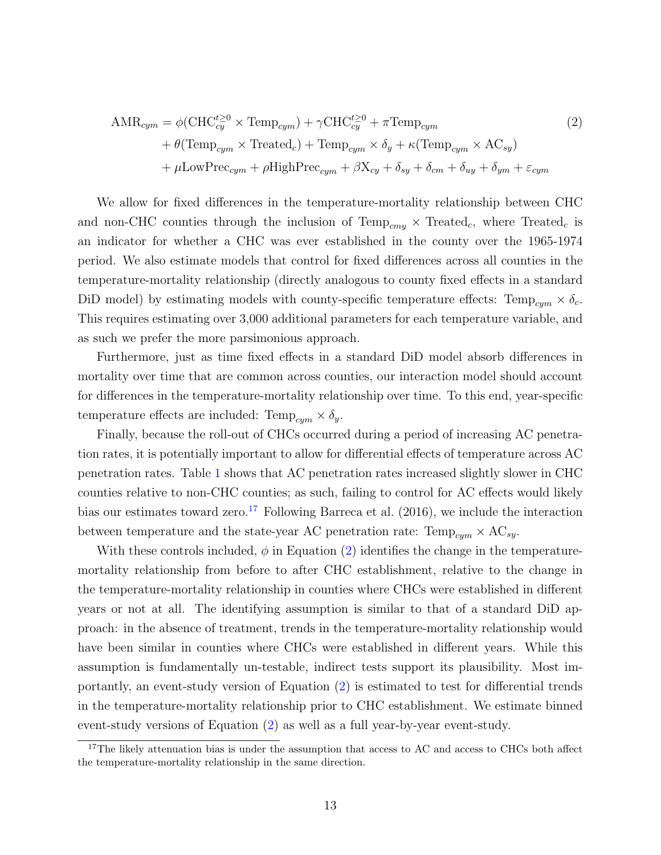<span id="page-12-0"></span>
$$
\text{AMR}_{cym} = \phi(\text{CHC}_{cy}^{t\geq 0} \times \text{Temp}_{cym}) + \gamma \text{CHC}_{cy}^{t\geq 0} + \pi \text{Temp}_{cym}
$$
\n
$$
+ \theta(\text{Temp}_{cym} \times \text{Treated}_c) + \text{Temp}_{cym} \times \delta_y + \kappa(\text{Temp}_{cym} \times \text{AC}_{sy})
$$
\n
$$
+ \mu \text{LowPrec}_{cym} + \rho \text{HighPrec}_{cym} + \beta \text{X}_{cy} + \delta_{sy} + \delta_{cm} + \delta_{uy} + \delta_{ym} + \varepsilon_{cym}
$$
\n
$$
(2)
$$

We allow for fixed differences in the temperature-mortality relationship between CHC and non-CHC counties through the inclusion of  $Temp_{cmv} \times Treated_c$ , where  $Treated_c$  is an indicator for whether a CHC was ever established in the county over the 1965-1974 period. We also estimate models that control for fixed differences across all counties in the temperature-mortality relationship (directly analogous to county fixed effects in a standard DiD model) by estimating models with county-specific temperature effects:  $\text{Temp}_{cym} \times \delta_c$ . This requires estimating over 3,000 additional parameters for each temperature variable, and as such we prefer the more parsimonious approach.

Furthermore, just as time fixed effects in a standard DiD model absorb differences in mortality over time that are common across counties, our interaction model should account for differences in the temperature-mortality relationship over time. To this end, year-specific temperature effects are included:  $Temp_{cum} \times \delta_y$ .

Finally, because the roll-out of CHCs occurred during a period of increasing AC penetration rates, it is potentially important to allow for differential effects of temperature across AC penetration rates. Table [1](#page-36-0) shows that AC penetration rates increased slightly slower in CHC counties relative to non-CHC counties; as such, failing to control for AC effects would likely bias our estimates toward zero.<sup>[17](#page-12-1)</sup> Following [Barreca et al.](#page-27-5)  $(2016)$ , we include the interaction between temperature and the state-year AC penetration rate:  $Temp_{cym} \times AC_{sy}$ .

With these controls included,  $\phi$  in Equation [\(2\)](#page-12-0) identifies the change in the temperaturemortality relationship from before to after CHC establishment, relative to the change in the temperature-mortality relationship in counties where CHCs were established in different years or not at all. The identifying assumption is similar to that of a standard DiD approach: in the absence of treatment, trends in the temperature-mortality relationship would have been similar in counties where CHCs were established in different years. While this assumption is fundamentally un-testable, indirect tests support its plausibility. Most importantly, an event-study version of Equation [\(2\)](#page-12-0) is estimated to test for differential trends in the temperature-mortality relationship prior to CHC establishment. We estimate binned event-study versions of Equation [\(2\)](#page-12-0) as well as a full year-by-year event-study.

<span id="page-12-1"></span><sup>&</sup>lt;sup>17</sup>The likely attenuation bias is under the assumption that access to AC and access to CHCs both affect the temperature-mortality relationship in the same direction.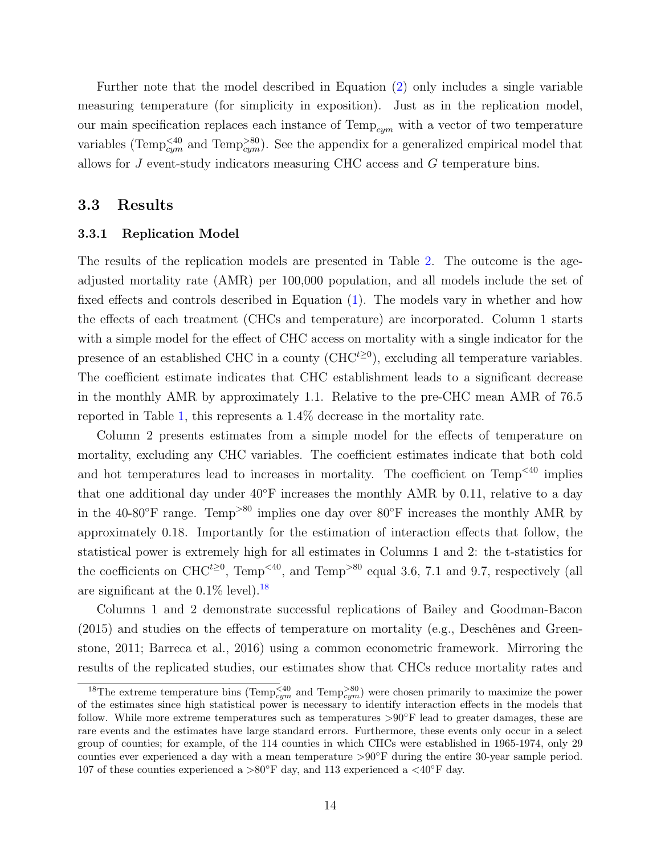<span id="page-13-1"></span>Further note that the model described in Equation [\(2\)](#page-12-0) only includes a single variable measuring temperature (for simplicity in exposition). Just as in the replication model, our main specification replaces each instance of  $Temp_{cym}$  with a vector of two temperature variables (Temp<sup> $\leq 40$ </sup> and Temp<sup> $>80$ </sup>). See the appendix for a generalized empirical model that allows for J event-study indicators measuring CHC access and G temperature bins.

### 3.3 Results

#### 3.3.1 Replication Model

The results of the replication models are presented in Table [2.](#page-37-0) The outcome is the ageadjusted mortality rate (AMR) per 100,000 population, and all models include the set of fixed effects and controls described in Equation [\(1\)](#page-9-1). The models vary in whether and how the effects of each treatment (CHCs and temperature) are incorporated. Column 1 starts with a simple model for the effect of CHC access on mortality with a single indicator for the presence of an established CHC in a county  $(CHC^{t\geq 0})$ , excluding all temperature variables. The coefficient estimate indicates that CHC establishment leads to a significant decrease in the monthly AMR by approximately 1.1. Relative to the pre-CHC mean AMR of 76.5 reported in Table [1,](#page-36-0) this represents a 1.4% decrease in the mortality rate.

Column 2 presents estimates from a simple model for the effects of temperature on mortality, excluding any CHC variables. The coefficient estimates indicate that both cold and hot temperatures lead to increases in mortality. The coefficient on  $Temp<sup><40</sup>$  implies that one additional day under 40◦F increases the monthly AMR by 0.11, relative to a day in the 40-80°F range. Temp<sup>>80</sup> implies one day over 80°F increases the monthly AMR by approximately 0.18. Importantly for the estimation of interaction effects that follow, the statistical power is extremely high for all estimates in Columns 1 and 2: the t-statistics for the coefficients on CHC<sup> $t \ge 0$ </sup>, Temp<sup><40</sup>, and Temp<sup>>80</sup> equal 3.6, 7.1 and 9.7, respectively (all are significant at the  $0.1\%$  level).<sup>[18](#page-13-0)</sup>

Columns 1 and 2 demonstrate successful replications of [Bailey and Goodman-Bacon](#page-27-3)  $(2015)$  and studies on the effects of temperature on mortality (e.g., Deschênes and Green[stone,](#page-28-3) [2011;](#page-28-3) [Barreca et al.,](#page-27-5) [2016\)](#page-27-5) using a common econometric framework. Mirroring the results of the replicated studies, our estimates show that CHCs reduce mortality rates and

<span id="page-13-0"></span><sup>&</sup>lt;sup>18</sup>The extreme temperature bins (Temp<sup> $\leq 40$ </sup> and Temp<sup> $>80$ </sup>) were chosen primarily to maximize the power of the estimates since high statistical power is necessary to identify interaction effects in the models that follow. While more extreme temperatures such as temperatures >90◦F lead to greater damages, these are rare events and the estimates have large standard errors. Furthermore, these events only occur in a select group of counties; for example, of the 114 counties in which CHCs were established in 1965-1974, only 29 counties ever experienced a day with a mean temperature >90◦F during the entire 30-year sample period. 107 of these counties experienced a >80°F day, and 113 experienced a <40°F day.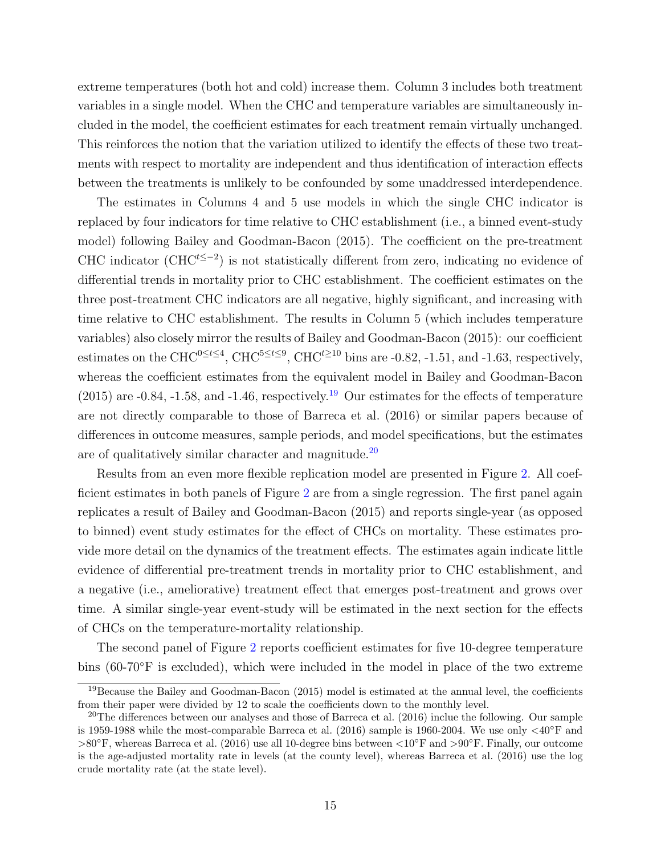extreme temperatures (both hot and cold) increase them. Column 3 includes both treatment variables in a single model. When the CHC and temperature variables are simultaneously included in the model, the coefficient estimates for each treatment remain virtually unchanged. This reinforces the notion that the variation utilized to identify the effects of these two treatments with respect to mortality are independent and thus identification of interaction effects between the treatments is unlikely to be confounded by some unaddressed interdependence.

The estimates in Columns 4 and 5 use models in which the single CHC indicator is replaced by four indicators for time relative to CHC establishment (i.e., a binned event-study model) following [Bailey and Goodman-Bacon](#page-27-3) [\(2015\)](#page-27-3). The coefficient on the pre-treatment CHC indicator (CHC<sup>t≤-2</sup>) is not statistically different from zero, indicating no evidence of differential trends in mortality prior to CHC establishment. The coefficient estimates on the three post-treatment CHC indicators are all negative, highly significant, and increasing with time relative to CHC establishment. The results in Column 5 (which includes temperature variables) also closely mirror the results of [Bailey and Goodman-Bacon](#page-27-3) [\(2015\)](#page-27-3): our coefficient estimates on the CHC<sup>0≤t≤4</sup>, CHC<sup>5≤t≤9</sup>, CHC<sup>t≥10</sup> bins are -0.82, -1.51, and -1.63, respectively, whereas the coefficient estimates from the equivalent model in [Bailey and Goodman-Bacon](#page-27-3)  $(2015)$  are  $-0.84$ ,  $-1.58$ , and  $-1.46$ , respectively.<sup>[19](#page-14-0)</sup> Our estimates for the effects of temperature are not directly comparable to those of [Barreca et al.](#page-27-5) [\(2016\)](#page-27-5) or similar papers because of differences in outcome measures, sample periods, and model specifications, but the estimates are of qualitatively similar character and magnitude.[20](#page-14-1)

Results from an even more flexible replication model are presented in Figure [2.](#page-31-0) All coefficient estimates in both panels of Figure [2](#page-31-0) are from a single regression. The first panel again replicates a result of [Bailey and Goodman-Bacon](#page-27-3) [\(2015\)](#page-27-3) and reports single-year (as opposed to binned) event study estimates for the effect of CHCs on mortality. These estimates provide more detail on the dynamics of the treatment effects. The estimates again indicate little evidence of differential pre-treatment trends in mortality prior to CHC establishment, and a negative (i.e., ameliorative) treatment effect that emerges post-treatment and grows over time. A similar single-year event-study will be estimated in the next section for the effects of CHCs on the temperature-mortality relationship.

The second panel of Figure [2](#page-31-0) reports coefficient estimates for five 10-degree temperature bins  $(60-70°F)$  is excluded), which were included in the model in place of the two extreme

<span id="page-14-0"></span><sup>&</sup>lt;sup>19</sup>Because the [Bailey and Goodman-Bacon](#page-27-3) [\(2015\)](#page-27-3) model is estimated at the annual level, the coefficients from their paper were divided by 12 to scale the coefficients down to the monthly level.

<span id="page-14-1"></span> $20$ The differences between our analyses and those of [Barreca et al.](#page-27-5) [\(2016\)](#page-27-5) inclue the following. Our sample is 1959-1988 while the most-comparable [Barreca et al.](#page-27-5) [\(2016\)](#page-27-5) sample is 1960-2004. We use only  $\langle 40°$ F and >80◦F, whereas [Barreca et al.](#page-27-5) [\(2016\)](#page-27-5) use all 10-degree bins between <10◦F and >90◦F. Finally, our outcome is the age-adjusted mortality rate in levels (at the county level), whereas [Barreca et al.](#page-27-5) [\(2016\)](#page-27-5) use the log crude mortality rate (at the state level).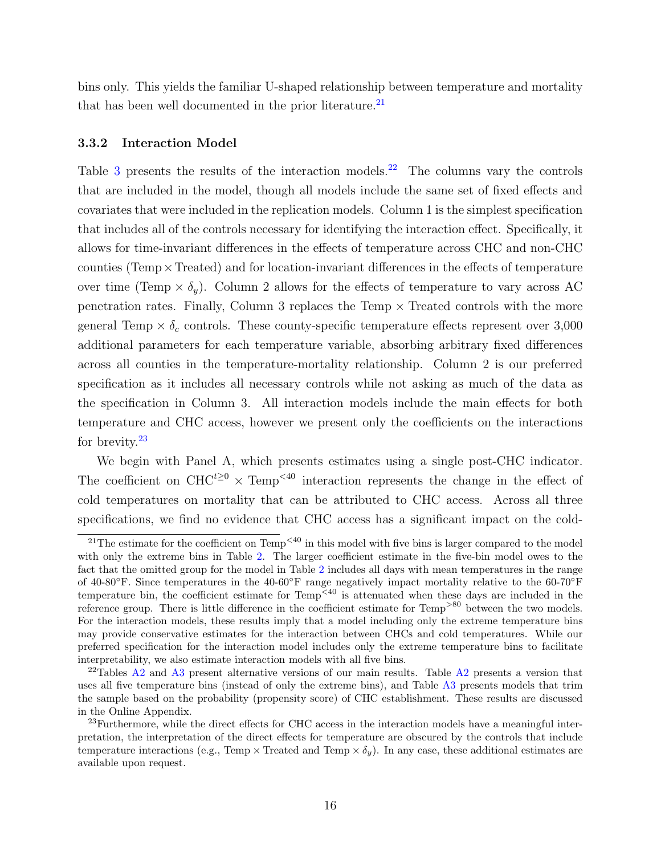bins only. This yields the familiar U-shaped relationship between temperature and mortality that has been well documented in the prior literature. $^{21}$  $^{21}$  $^{21}$ 

#### 3.3.2 Interaction Model

Table [3](#page-38-0) presents the results of the interaction models.<sup>[22](#page-15-1)</sup> The columns vary the controls that are included in the model, though all models include the same set of fixed effects and covariates that were included in the replication models. Column 1 is the simplest specification that includes all of the controls necessary for identifying the interaction effect. Specifically, it allows for time-invariant differences in the effects of temperature across CHC and non-CHC counties (Temp×Treated) and for location-invariant differences in the effects of temperature over time (Temp  $\times \delta_y$ ). Column 2 allows for the effects of temperature to vary across AC penetration rates. Finally, Column 3 replaces the Temp  $\times$  Treated controls with the more general Temp  $\times \delta_c$  controls. These county-specific temperature effects represent over 3,000 additional parameters for each temperature variable, absorbing arbitrary fixed differences across all counties in the temperature-mortality relationship. Column 2 is our preferred specification as it includes all necessary controls while not asking as much of the data as the specification in Column 3. All interaction models include the main effects for both temperature and CHC access, however we present only the coefficients on the interactions for brevity. $23$ 

We begin with Panel A, which presents estimates using a single post-CHC indicator. The coefficient on CHC<sup>t≥0</sup> × Temp<sup><40</sup> interaction represents the change in the effect of cold temperatures on mortality that can be attributed to CHC access. Across all three specifications, we find no evidence that CHC access has a significant impact on the cold-

<span id="page-15-0"></span><sup>&</sup>lt;sup>21</sup>The estimate for the coefficient on Temp<sup> $<40$ </sup> in this model with five bins is larger compared to the model with only the extreme bins in Table [2.](#page-37-0) The larger coefficient estimate in the five-bin model owes to the fact that the omitted group for the model in Table [2](#page-37-0) includes all days with mean temperatures in the range of 40-80◦F. Since temperatures in the 40-60◦F range negatively impact mortality relative to the 60-70◦F temperature bin, the coefficient estimate for  $Temp^{\leq 40}$  is attenuated when these days are included in the reference group. There is little difference in the coefficient estimate for  $Temp^{>80}$  between the two models. For the interaction models, these results imply that a model including only the extreme temperature bins may provide conservative estimates for the interaction between CHCs and cold temperatures. While our preferred specification for the interaction model includes only the extreme temperature bins to facilitate interpretability, we also estimate interaction models with all five bins.

<span id="page-15-1"></span><sup>&</sup>lt;sup>22</sup>Tables [A2](#page-43-0) and [A3](#page-44-0) present alternative versions of our main results. Table A2 presents a version that uses all five temperature bins (instead of only the extreme bins), and Table [A3](#page-44-0) presents models that trim the sample based on the probability (propensity score) of CHC establishment. These results are discussed in the Online Appendix.

<span id="page-15-2"></span><sup>&</sup>lt;sup>23</sup>Furthermore, while the direct effects for CHC access in the interaction models have a meaningful interpretation, the interpretation of the direct effects for temperature are obscured by the controls that include temperature interactions (e.g., Temp  $\times$  Treated and Temp  $\times \delta_y$ ). In any case, these additional estimates are available upon request.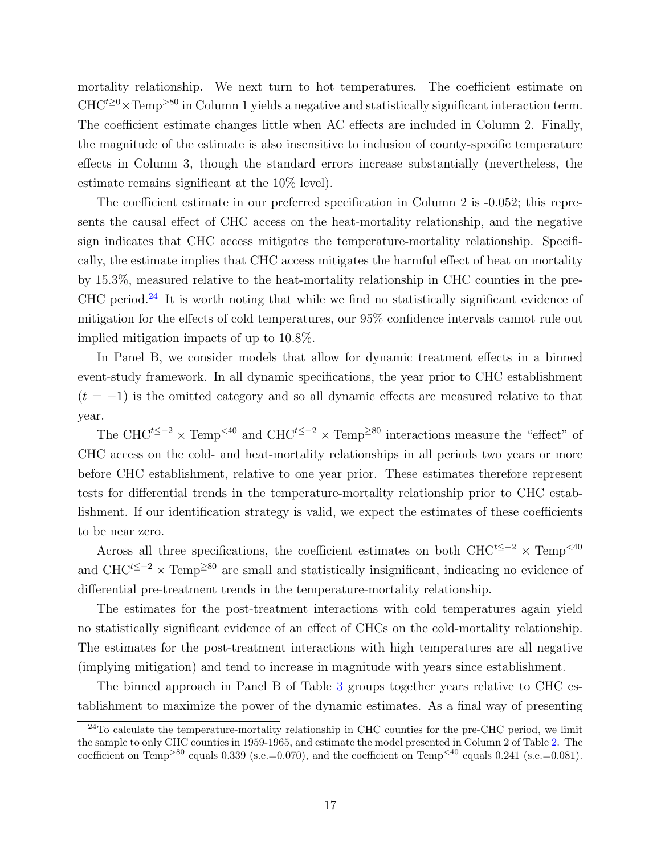mortality relationship. We next turn to hot temperatures. The coefficient estimate on  $CHC^{t\geq0}\times\mathrm{Temp}^{>80}$  in Column 1 yields a negative and statistically significant interaction term. The coefficient estimate changes little when AC effects are included in Column 2. Finally, the magnitude of the estimate is also insensitive to inclusion of county-specific temperature effects in Column 3, though the standard errors increase substantially (nevertheless, the estimate remains significant at the 10% level).

The coefficient estimate in our preferred specification in Column 2 is -0.052; this represents the causal effect of CHC access on the heat-mortality relationship, and the negative sign indicates that CHC access mitigates the temperature-mortality relationship. Specifically, the estimate implies that CHC access mitigates the harmful effect of heat on mortality by 15.3%, measured relative to the heat-mortality relationship in CHC counties in the pre-CHC period. $24$  It is worth noting that while we find no statistically significant evidence of mitigation for the effects of cold temperatures, our 95% confidence intervals cannot rule out implied mitigation impacts of up to 10.8%.

In Panel B, we consider models that allow for dynamic treatment effects in a binned event-study framework. In all dynamic specifications, the year prior to CHC establishment  $(t = -1)$  is the omitted category and so all dynamic effects are measured relative to that year.

The CHC<sup>t≤−2</sup> × Temp<sup><40</sup> and CHC<sup>t≤−2</sup> × Temp<sup>≥80</sup> interactions measure the "effect" of CHC access on the cold- and heat-mortality relationships in all periods two years or more before CHC establishment, relative to one year prior. These estimates therefore represent tests for differential trends in the temperature-mortality relationship prior to CHC establishment. If our identification strategy is valid, we expect the estimates of these coefficients to be near zero.

Across all three specifications, the coefficient estimates on both CHC<sup>t≤−2</sup>  $\times$  Temp<sup><40</sup> and CHC<sup>t≤−2</sup> × Temp<sup>≥80</sup> are small and statistically insignificant, indicating no evidence of differential pre-treatment trends in the temperature-mortality relationship.

The estimates for the post-treatment interactions with cold temperatures again yield no statistically significant evidence of an effect of CHCs on the cold-mortality relationship. The estimates for the post-treatment interactions with high temperatures are all negative (implying mitigation) and tend to increase in magnitude with years since establishment.

The binned approach in Panel B of Table [3](#page-38-0) groups together years relative to CHC establishment to maximize the power of the dynamic estimates. As a final way of presenting

<span id="page-16-0"></span> $^{24}$ To calculate the temperature-mortality relationship in CHC counties for the pre-CHC period, we limit the sample to only CHC counties in 1959-1965, and estimate the model presented in Column 2 of Table [2.](#page-37-0) The coefficient on Temp<sup>>80</sup> equals 0.339 (s.e.=0.070), and the coefficient on Temp<sup><40</sup> equals 0.241 (s.e.=0.081).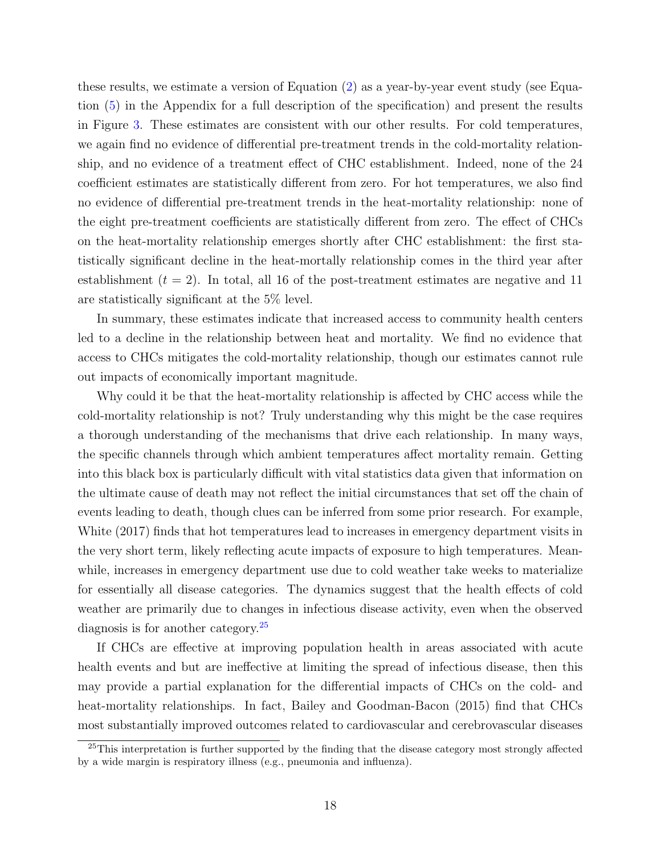these results, we estimate a version of Equation [\(2\)](#page-12-0) as a year-by-year event study (see Equation [\(5\)](#page-50-0) in the Appendix for a full description of the specification) and present the results in Figure [3.](#page-32-0) These estimates are consistent with our other results. For cold temperatures, we again find no evidence of differential pre-treatment trends in the cold-mortality relationship, and no evidence of a treatment effect of CHC establishment. Indeed, none of the 24 coefficient estimates are statistically different from zero. For hot temperatures, we also find no evidence of differential pre-treatment trends in the heat-mortality relationship: none of the eight pre-treatment coefficients are statistically different from zero. The effect of CHCs on the heat-mortality relationship emerges shortly after CHC establishment: the first statistically significant decline in the heat-mortally relationship comes in the third year after establishment  $(t = 2)$ . In total, all 16 of the post-treatment estimates are negative and 11 are statistically significant at the 5% level.

In summary, these estimates indicate that increased access to community health centers led to a decline in the relationship between heat and mortality. We find no evidence that access to CHCs mitigates the cold-mortality relationship, though our estimates cannot rule out impacts of economically important magnitude.

Why could it be that the heat-mortality relationship is affected by CHC access while the cold-mortality relationship is not? Truly understanding why this might be the case requires a thorough understanding of the mechanisms that drive each relationship. In many ways, the specific channels through which ambient temperatures affect mortality remain. Getting into this black box is particularly difficult with vital statistics data given that information on the ultimate cause of death may not reflect the initial circumstances that set off the chain of events leading to death, though clues can be inferred from some prior research. For example, [White](#page-29-8) [\(2017\)](#page-29-8) finds that hot temperatures lead to increases in emergency department visits in the very short term, likely reflecting acute impacts of exposure to high temperatures. Meanwhile, increases in emergency department use due to cold weather take weeks to materialize for essentially all disease categories. The dynamics suggest that the health effects of cold weather are primarily due to changes in infectious disease activity, even when the observed diagnosis is for another category.<sup>[25](#page-17-0)</sup>

If CHCs are effective at improving population health in areas associated with acute health events and but are ineffective at limiting the spread of infectious disease, then this may provide a partial explanation for the differential impacts of CHCs on the cold- and heat-mortality relationships. In fact, [Bailey and Goodman-Bacon](#page-27-3) [\(2015\)](#page-27-3) find that CHCs most substantially improved outcomes related to cardiovascular and cerebrovascular diseases

<span id="page-17-0"></span> $25$ This interpretation is further supported by the finding that the disease category most strongly affected by a wide margin is respiratory illness (e.g., pneumonia and influenza).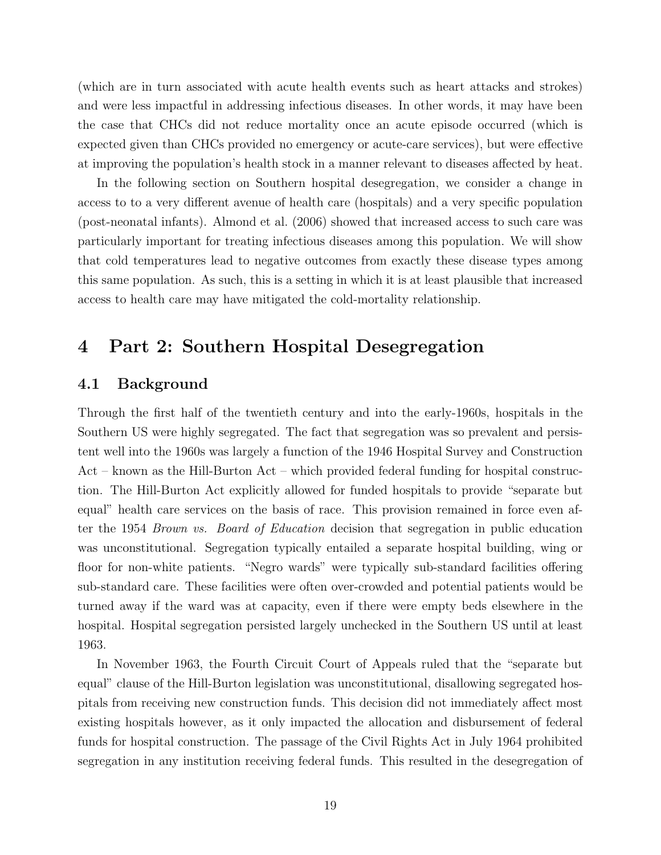(which are in turn associated with acute health events such as heart attacks and strokes) and were less impactful in addressing infectious diseases. In other words, it may have been the case that CHCs did not reduce mortality once an acute episode occurred (which is expected given than CHCs provided no emergency or acute-care services), but were effective at improving the population's health stock in a manner relevant to diseases affected by heat.

In the following section on Southern hospital desegregation, we consider a change in access to to a very different avenue of health care (hospitals) and a very specific population (post-neonatal infants). [Almond et al.](#page-27-4) [\(2006\)](#page-27-4) showed that increased access to such care was particularly important for treating infectious diseases among this population. We will show that cold temperatures lead to negative outcomes from exactly these disease types among this same population. As such, this is a setting in which it is at least plausible that increased access to health care may have mitigated the cold-mortality relationship.

## <span id="page-18-0"></span>4 Part 2: Southern Hospital Desegregation

## 4.1 Background

Through the first half of the twentieth century and into the early-1960s, hospitals in the Southern US were highly segregated. The fact that segregation was so prevalent and persistent well into the 1960s was largely a function of the 1946 Hospital Survey and Construction Act – known as the Hill-Burton Act – which provided federal funding for hospital construction. The Hill-Burton Act explicitly allowed for funded hospitals to provide "separate but equal" health care services on the basis of race. This provision remained in force even after the 1954 Brown vs. Board of Education decision that segregation in public education was unconstitutional. Segregation typically entailed a separate hospital building, wing or floor for non-white patients. "Negro wards" were typically sub-standard facilities offering sub-standard care. These facilities were often over-crowded and potential patients would be turned away if the ward was at capacity, even if there were empty beds elsewhere in the hospital. Hospital segregation persisted largely unchecked in the Southern US until at least 1963.

In November 1963, the Fourth Circuit Court of Appeals ruled that the "separate but equal" clause of the Hill-Burton legislation was unconstitutional, disallowing segregated hospitals from receiving new construction funds. This decision did not immediately affect most existing hospitals however, as it only impacted the allocation and disbursement of federal funds for hospital construction. The passage of the Civil Rights Act in July 1964 prohibited segregation in any institution receiving federal funds. This resulted in the desegregation of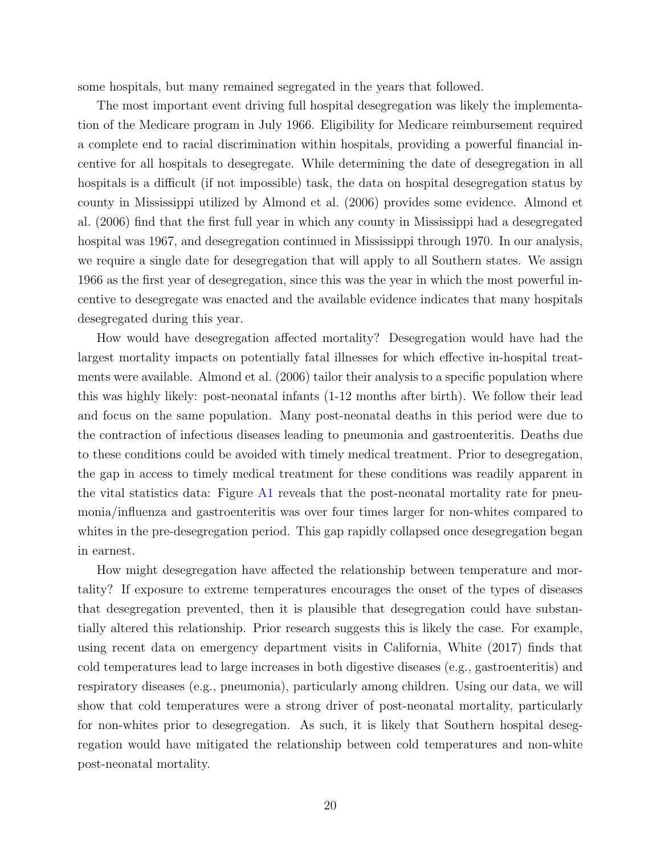some hospitals, but many remained segregated in the years that followed.

The most important event driving full hospital desegregation was likely the implementation of the Medicare program in July 1966. Eligibility for Medicare reimbursement required a complete end to racial discrimination within hospitals, providing a powerful financial incentive for all hospitals to desegregate. While determining the date of desegregation in all hospitals is a difficult (if not impossible) task, the data on hospital desegregation status by county in Mississippi utilized by [Almond et al.](#page-27-4) [\(2006\)](#page-27-4) provides some evidence. [Almond et](#page-27-4) [al.](#page-27-4) [\(2006\)](#page-27-4) find that the first full year in which any county in Mississippi had a desegregated hospital was 1967, and desegregation continued in Mississippi through 1970. In our analysis, we require a single date for desegregation that will apply to all Southern states. We assign 1966 as the first year of desegregation, since this was the year in which the most powerful incentive to desegregate was enacted and the available evidence indicates that many hospitals desegregated during this year.

How would have desegregation affected mortality? Desegregation would have had the largest mortality impacts on potentially fatal illnesses for which effective in-hospital treatments were available. [Almond et al.](#page-27-4) [\(2006\)](#page-27-4) tailor their analysis to a specific population where this was highly likely: post-neonatal infants (1-12 months after birth). We follow their lead and focus on the same population. Many post-neonatal deaths in this period were due to the contraction of infectious diseases leading to pneumonia and gastroenteritis. Deaths due to these conditions could be avoided with timely medical treatment. Prior to desegregation, the gap in access to timely medical treatment for these conditions was readily apparent in the vital statistics data: Figure [A1](#page-41-0) reveals that the post-neonatal mortality rate for pneumonia/influenza and gastroenteritis was over four times larger for non-whites compared to whites in the pre-desegregation period. This gap rapidly collapsed once desegregation began in earnest.

How might desegregation have affected the relationship between temperature and mortality? If exposure to extreme temperatures encourages the onset of the types of diseases that desegregation prevented, then it is plausible that desegregation could have substantially altered this relationship. Prior research suggests this is likely the case. For example, using recent data on emergency department visits in California, [White](#page-29-8) [\(2017\)](#page-29-8) finds that cold temperatures lead to large increases in both digestive diseases (e.g., gastroenteritis) and respiratory diseases (e.g., pneumonia), particularly among children. Using our data, we will show that cold temperatures were a strong driver of post-neonatal mortality, particularly for non-whites prior to desegregation. As such, it is likely that Southern hospital desegregation would have mitigated the relationship between cold temperatures and non-white post-neonatal mortality.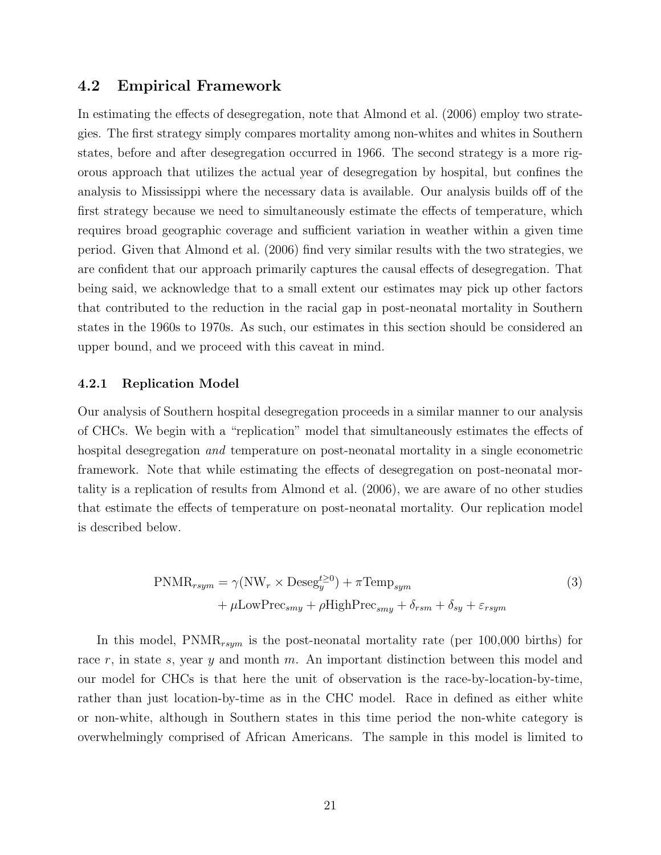## 4.2 Empirical Framework

In estimating the effects of desegregation, note that [Almond et al.](#page-27-4) [\(2006\)](#page-27-4) employ two strategies. The first strategy simply compares mortality among non-whites and whites in Southern states, before and after desegregation occurred in 1966. The second strategy is a more rigorous approach that utilizes the actual year of desegregation by hospital, but confines the analysis to Mississippi where the necessary data is available. Our analysis builds off of the first strategy because we need to simultaneously estimate the effects of temperature, which requires broad geographic coverage and sufficient variation in weather within a given time period. Given that [Almond et al.](#page-27-4) [\(2006\)](#page-27-4) find very similar results with the two strategies, we are confident that our approach primarily captures the causal effects of desegregation. That being said, we acknowledge that to a small extent our estimates may pick up other factors that contributed to the reduction in the racial gap in post-neonatal mortality in Southern states in the 1960s to 1970s. As such, our estimates in this section should be considered an upper bound, and we proceed with this caveat in mind.

#### 4.2.1 Replication Model

Our analysis of Southern hospital desegregation proceeds in a similar manner to our analysis of CHCs. We begin with a "replication" model that simultaneously estimates the effects of hospital desegregation *and* temperature on post-neonatal mortality in a single econometric framework. Note that while estimating the effects of desegregation on post-neonatal mortality is a replication of results from [Almond et al.](#page-27-4) [\(2006\)](#page-27-4), we are aware of no other studies that estimate the effects of temperature on post-neonatal mortality. Our replication model is described below.

$$
PNMR_{rsym} = \gamma (NW_r \times \text{Deseg}^{t \ge 0}_{y}) + \pi \text{Temp}_{sym} + \mu \text{LowPrec}_{smy} + \rho \text{HighPrec}_{smy} + \delta_{rsm} + \delta_{sy} + \varepsilon_{rsym}
$$
(3)

In this model,  $\text{PNMR}_{rsym}$  is the post-neonatal mortality rate (per 100,000 births) for race r, in state s, year y and month m. An important distinction between this model and our model for CHCs is that here the unit of observation is the race-by-location-by-time, rather than just location-by-time as in the CHC model. Race in defined as either white or non-white, although in Southern states in this time period the non-white category is overwhelmingly comprised of African Americans. The sample in this model is limited to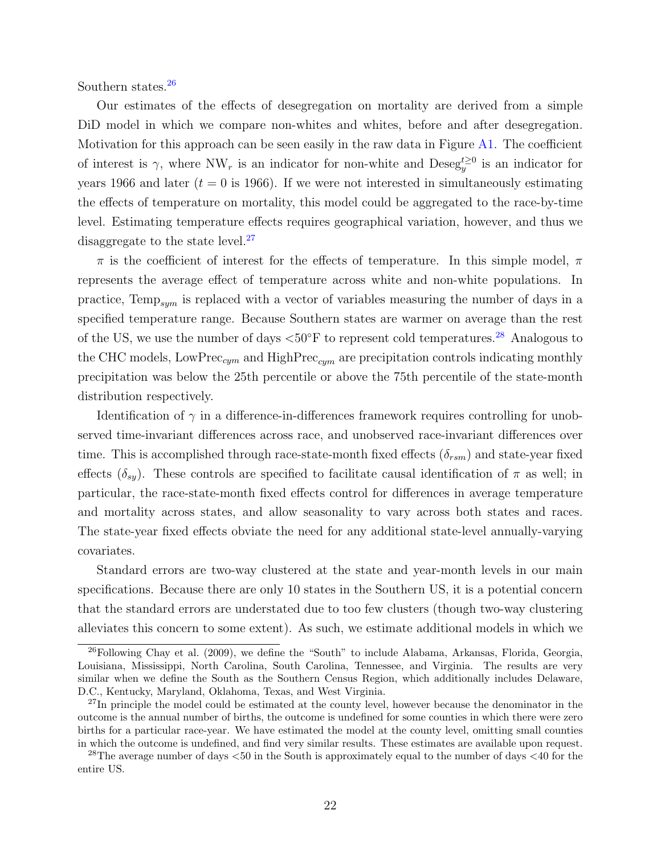Southern states.<sup>[26](#page-21-0)</sup>

Our estimates of the effects of desegregation on mortality are derived from a simple DiD model in which we compare non-whites and whites, before and after desegregation. Motivation for this approach can be seen easily in the raw data in Figure [A1.](#page-41-0) The coefficient of interest is  $\gamma$ , where NW<sub>r</sub> is an indicator for non-white and Deseg<sup>t</sup><sup>20</sup> is an indicator for years 1966 and later ( $t = 0$  is 1966). If we were not interested in simultaneously estimating the effects of temperature on mortality, this model could be aggregated to the race-by-time level. Estimating temperature effects requires geographical variation, however, and thus we disaggregate to the state level.<sup>[27](#page-21-1)</sup>

 $\pi$  is the coefficient of interest for the effects of temperature. In this simple model,  $\pi$ represents the average effect of temperature across white and non-white populations. In practice,  $Temp_{sym}$  is replaced with a vector of variables measuring the number of days in a specified temperature range. Because Southern states are warmer on average than the rest of the US, we use the number of days  $<50^{\circ}$  F to represent cold temperatures.<sup>[28](#page-21-2)</sup> Analogous to the CHC models, LowPrec<sub>cym</sub> and HighPrec<sub>cym</sub> are precipitation controls indicating monthly precipitation was below the 25th percentile or above the 75th percentile of the state-month distribution respectively.

Identification of  $\gamma$  in a difference-in-differences framework requires controlling for unobserved time-invariant differences across race, and unobserved race-invariant differences over time. This is accomplished through race-state-month fixed effects  $(\delta_{rsm})$  and state-year fixed effects  $(\delta_{sy})$ . These controls are specified to facilitate causal identification of  $\pi$  as well; in particular, the race-state-month fixed effects control for differences in average temperature and mortality across states, and allow seasonality to vary across both states and races. The state-year fixed effects obviate the need for any additional state-level annually-varying covariates.

Standard errors are two-way clustered at the state and year-month levels in our main specifications. Because there are only 10 states in the Southern US, it is a potential concern that the standard errors are understated due to too few clusters (though two-way clustering alleviates this concern to some extent). As such, we estimate additional models in which we

<span id="page-21-0"></span><sup>26</sup>Following [Chay et al.](#page-28-12) [\(2009\)](#page-28-12), we define the "South" to include Alabama, Arkansas, Florida, Georgia, Louisiana, Mississippi, North Carolina, South Carolina, Tennessee, and Virginia. The results are very similar when we define the South as the Southern Census Region, which additionally includes Delaware, D.C., Kentucky, Maryland, Oklahoma, Texas, and West Virginia.

<span id="page-21-1"></span><sup>&</sup>lt;sup>27</sup>In principle the model could be estimated at the county level, however because the denominator in the outcome is the annual number of births, the outcome is undefined for some counties in which there were zero births for a particular race-year. We have estimated the model at the county level, omitting small counties in which the outcome is undefined, and find very similar results. These estimates are available upon request.

<span id="page-21-2"></span><sup>28</sup>The average number of days <50 in the South is approximately equal to the number of days <40 for the entire US.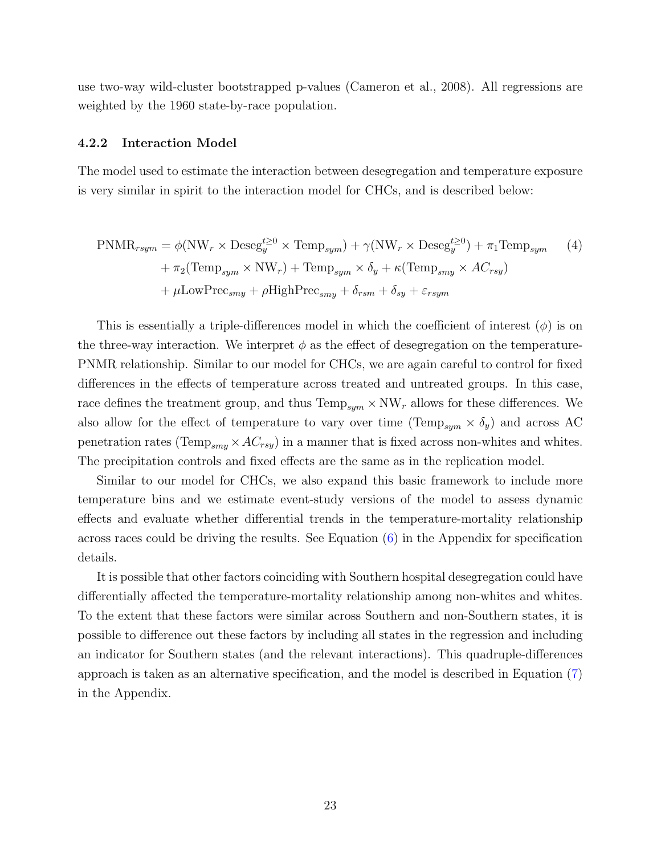use two-way wild-cluster bootstrapped p-values [\(Cameron et al.,](#page-27-11) [2008\)](#page-27-11). All regressions are weighted by the 1960 state-by-race population.

#### 4.2.2 Interaction Model

The model used to estimate the interaction between desegregation and temperature exposure is very similar in spirit to the interaction model for CHCs, and is described below:

<span id="page-22-0"></span>
$$
\text{PNMR}_{rsym} = \phi(\text{NW}_r \times \text{Deseg}_y^{t \ge 0} \times \text{Temp}_{sym}) + \gamma(\text{NW}_r \times \text{Deseg}_y^{t \ge 0}) + \pi_1 \text{Temp}_{sym} \quad (4)
$$

$$
+ \pi_2(\text{Temp}_{sym} \times \text{NW}_r) + \text{Temp}_{sym} \times \delta_y + \kappa(\text{Temp}_{smy} \times AC_{rsy})
$$

$$
+ \mu \text{LowPrec}_{smy} + \rho \text{HighPrec}_{smy} + \delta_{rsm} + \delta_{sy} + \varepsilon_{rsym}
$$

This is essentially a triple-differences model in which the coefficient of interest  $(\phi)$  is on the three-way interaction. We interpret  $\phi$  as the effect of desegregation on the temperature-PNMR relationship. Similar to our model for CHCs, we are again careful to control for fixed differences in the effects of temperature across treated and untreated groups. In this case, race defines the treatment group, and thus  $Temp_{sym} \times NW_r$  allows for these differences. We also allow for the effect of temperature to vary over time (Temp<sub>sym</sub>  $\times \delta_y$ ) and across AC penetration rates (Temp<sub>smy</sub>  $\times$  AC<sub>rsy</sub>) in a manner that is fixed across non-whites and whites. The precipitation controls and fixed effects are the same as in the replication model.

Similar to our model for CHCs, we also expand this basic framework to include more temperature bins and we estimate event-study versions of the model to assess dynamic effects and evaluate whether differential trends in the temperature-mortality relationship across races could be driving the results. See Equation  $(6)$  in the Appendix for specification details.

It is possible that other factors coinciding with Southern hospital desegregation could have differentially affected the temperature-mortality relationship among non-whites and whites. To the extent that these factors were similar across Southern and non-Southern states, it is possible to difference out these factors by including all states in the regression and including an indicator for Southern states (and the relevant interactions). This quadruple-differences approach is taken as an alternative specification, and the model is described in Equation [\(7\)](#page-51-1) in the Appendix.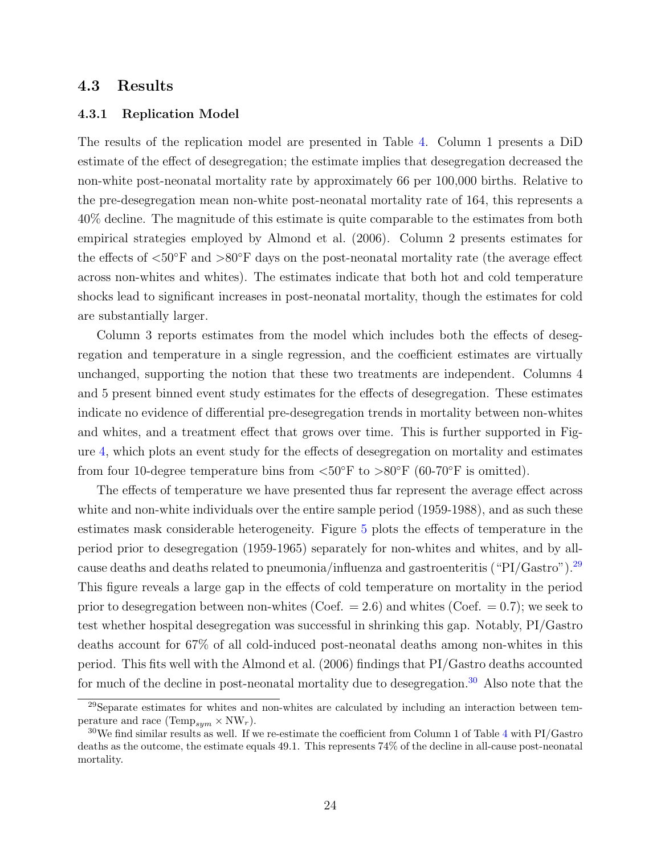### 4.3 Results

#### 4.3.1 Replication Model

The results of the replication model are presented in Table [4.](#page-39-0) Column 1 presents a DiD estimate of the effect of desegregation; the estimate implies that desegregation decreased the non-white post-neonatal mortality rate by approximately 66 per 100,000 births. Relative to the pre-desegregation mean non-white post-neonatal mortality rate of 164, this represents a 40% decline. The magnitude of this estimate is quite comparable to the estimates from both empirical strategies employed by [Almond et al.](#page-27-4) [\(2006\)](#page-27-4). Column 2 presents estimates for the effects of  $\langle 50^\circ \text{F} \rangle$  and  $>80^\circ \text{F}$  days on the post-neonatal mortality rate (the average effect across non-whites and whites). The estimates indicate that both hot and cold temperature shocks lead to significant increases in post-neonatal mortality, though the estimates for cold are substantially larger.

Column 3 reports estimates from the model which includes both the effects of desegregation and temperature in a single regression, and the coefficient estimates are virtually unchanged, supporting the notion that these two treatments are independent. Columns 4 and 5 present binned event study estimates for the effects of desegregation. These estimates indicate no evidence of differential pre-desegregation trends in mortality between non-whites and whites, and a treatment effect that grows over time. This is further supported in Figure [4,](#page-33-0) which plots an event study for the effects of desegregation on mortality and estimates from four 10-degree temperature bins from  $\langle 50^\circ \text{F} \text{ to } \rangle 80^\circ \text{F}$  (60-70°F is omitted).

The effects of temperature we have presented thus far represent the average effect across white and non-white individuals over the entire sample period (1959-1988), and as such these estimates mask considerable heterogeneity. Figure [5](#page-34-0) plots the effects of temperature in the period prior to desegregation (1959-1965) separately for non-whites and whites, and by allcause deaths and deaths related to pneumonia/influenza and gastroenteritis ("PI/Gastro").[29](#page-23-0) This figure reveals a large gap in the effects of cold temperature on mortality in the period prior to desegregation between non-whites (Coef.  $= 2.6$ ) and whites (Coef.  $= 0.7$ ); we seek to test whether hospital desegregation was successful in shrinking this gap. Notably, PI/Gastro deaths account for 67% of all cold-induced post-neonatal deaths among non-whites in this period. This fits well with the [Almond et al.](#page-27-4) [\(2006\)](#page-27-4) findings that PI/Gastro deaths accounted for much of the decline in post-neonatal mortality due to desegregation.<sup>[30](#page-23-1)</sup> Also note that the

<span id="page-23-0"></span><sup>29</sup>Separate estimates for whites and non-whites are calculated by including an interaction between temperature and race (Temp<sub>sym</sub>  $\times$  NW<sub>r</sub>).

<span id="page-23-1"></span><sup>30</sup>We find similar results as well. If we re-estimate the coefficient from Column 1 of Table [4](#page-39-0) with PI/Gastro deaths as the outcome, the estimate equals 49.1. This represents 74% of the decline in all-cause post-neonatal mortality.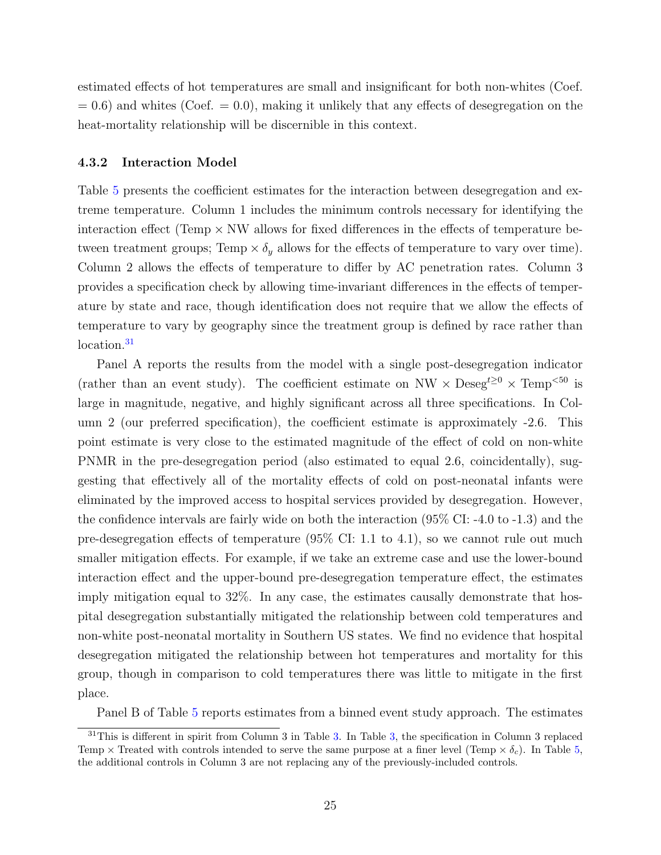estimated effects of hot temperatures are small and insignificant for both non-whites (Coef.  $= 0.6$ ) and whites (Coef.  $= 0.0$ ), making it unlikely that any effects of desegregation on the heat-mortality relationship will be discernible in this context.

#### 4.3.2 Interaction Model

Table [5](#page-40-0) presents the coefficient estimates for the interaction between desegregation and extreme temperature. Column 1 includes the minimum controls necessary for identifying the interaction effect (Temp  $\times$  NW allows for fixed differences in the effects of temperature between treatment groups; Temp  $\times \delta_y$  allows for the effects of temperature to vary over time). Column 2 allows the effects of temperature to differ by AC penetration rates. Column 3 provides a specification check by allowing time-invariant differences in the effects of temperature by state and race, though identification does not require that we allow the effects of temperature to vary by geography since the treatment group is defined by race rather than location.<sup>[31](#page-24-0)</sup>

Panel A reports the results from the model with a single post-desegregation indicator (rather than an event study). The coefficient estimate on NW  $\times$  Deseg<sup>t≥0</sup>  $\times$  Temp<sup><50</sup> is large in magnitude, negative, and highly significant across all three specifications. In Column 2 (our preferred specification), the coefficient estimate is approximately -2.6. This point estimate is very close to the estimated magnitude of the effect of cold on non-white PNMR in the pre-desegregation period (also estimated to equal 2.6, coincidentally), suggesting that effectively all of the mortality effects of cold on post-neonatal infants were eliminated by the improved access to hospital services provided by desegregation. However, the confidence intervals are fairly wide on both the interaction (95% CI: -4.0 to -1.3) and the pre-desegregation effects of temperature (95% CI: 1.1 to 4.1), so we cannot rule out much smaller mitigation effects. For example, if we take an extreme case and use the lower-bound interaction effect and the upper-bound pre-desegregation temperature effect, the estimates imply mitigation equal to 32%. In any case, the estimates causally demonstrate that hospital desegregation substantially mitigated the relationship between cold temperatures and non-white post-neonatal mortality in Southern US states. We find no evidence that hospital desegregation mitigated the relationship between hot temperatures and mortality for this group, though in comparison to cold temperatures there was little to mitigate in the first place.

<span id="page-24-0"></span>Panel B of Table [5](#page-40-0) reports estimates from a binned event study approach. The estimates

 $31$ This is different in spirit from Column 3 in Table [3.](#page-38-0) In Table [3,](#page-38-0) the specification in Column 3 replaced Temp  $\times$  Treated with controls intended to serve the same purpose at a finer level (Temp  $\times \delta_c$ ). In Table [5,](#page-40-0) the additional controls in Column 3 are not replacing any of the previously-included controls.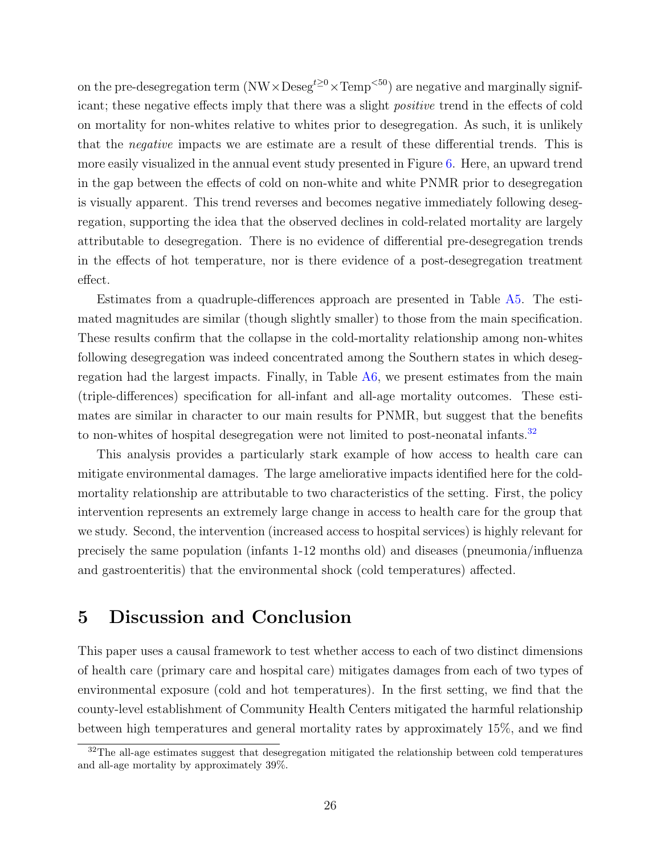on the pre-desegregation term  $(NW \times Deseg^{t\geq 0} \times Temp^{50})$  are negative and marginally significant; these negative effects imply that there was a slight positive trend in the effects of cold on mortality for non-whites relative to whites prior to desegregation. As such, it is unlikely that the negative impacts we are estimate are a result of these differential trends. This is more easily visualized in the annual event study presented in Figure [6.](#page-35-0) Here, an upward trend in the gap between the effects of cold on non-white and white PNMR prior to desegregation is visually apparent. This trend reverses and becomes negative immediately following desegregation, supporting the idea that the observed declines in cold-related mortality are largely attributable to desegregation. There is no evidence of differential pre-desegregation trends in the effects of hot temperature, nor is there evidence of a post-desegregation treatment effect.

Estimates from a quadruple-differences approach are presented in Table [A5.](#page-46-0) The estimated magnitudes are similar (though slightly smaller) to those from the main specification. These results confirm that the collapse in the cold-mortality relationship among non-whites following desegregation was indeed concentrated among the Southern states in which desegregation had the largest impacts. Finally, in Table [A6,](#page-47-0) we present estimates from the main (triple-differences) specification for all-infant and all-age mortality outcomes. These estimates are similar in character to our main results for PNMR, but suggest that the benefits to non-whites of hospital desegregation were not limited to post-neonatal infants.<sup>[32](#page-25-1)</sup>

This analysis provides a particularly stark example of how access to health care can mitigate environmental damages. The large ameliorative impacts identified here for the coldmortality relationship are attributable to two characteristics of the setting. First, the policy intervention represents an extremely large change in access to health care for the group that we study. Second, the intervention (increased access to hospital services) is highly relevant for precisely the same population (infants 1-12 months old) and diseases (pneumonia/influenza and gastroenteritis) that the environmental shock (cold temperatures) affected.

## <span id="page-25-0"></span>5 Discussion and Conclusion

This paper uses a causal framework to test whether access to each of two distinct dimensions of health care (primary care and hospital care) mitigates damages from each of two types of environmental exposure (cold and hot temperatures). In the first setting, we find that the county-level establishment of Community Health Centers mitigated the harmful relationship between high temperatures and general mortality rates by approximately 15%, and we find

<span id="page-25-1"></span> $32$ The all-age estimates suggest that desegregation mitigated the relationship between cold temperatures and all-age mortality by approximately 39%.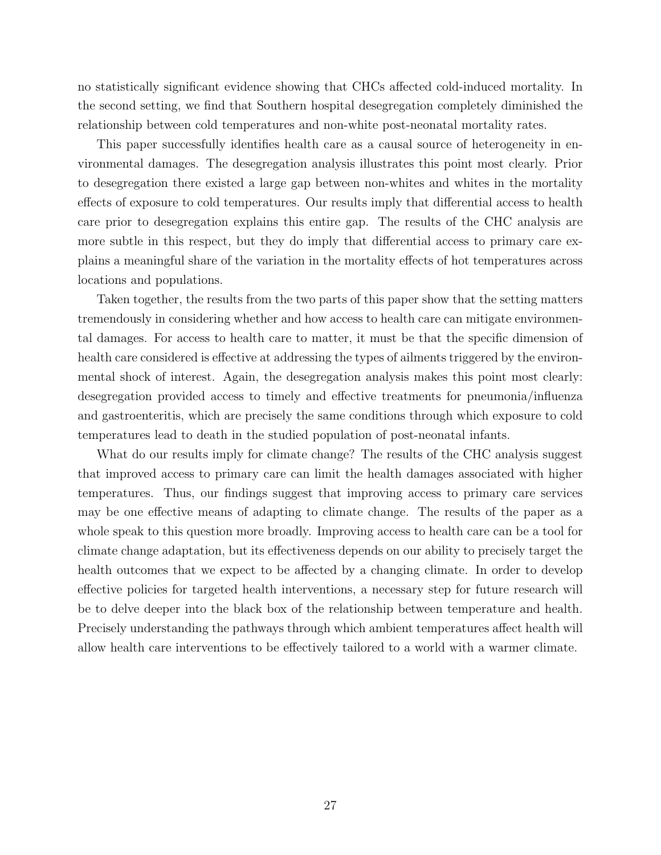no statistically significant evidence showing that CHCs affected cold-induced mortality. In the second setting, we find that Southern hospital desegregation completely diminished the relationship between cold temperatures and non-white post-neonatal mortality rates.

This paper successfully identifies health care as a causal source of heterogeneity in environmental damages. The desegregation analysis illustrates this point most clearly. Prior to desegregation there existed a large gap between non-whites and whites in the mortality effects of exposure to cold temperatures. Our results imply that differential access to health care prior to desegregation explains this entire gap. The results of the CHC analysis are more subtle in this respect, but they do imply that differential access to primary care explains a meaningful share of the variation in the mortality effects of hot temperatures across locations and populations.

Taken together, the results from the two parts of this paper show that the setting matters tremendously in considering whether and how access to health care can mitigate environmental damages. For access to health care to matter, it must be that the specific dimension of health care considered is effective at addressing the types of ailments triggered by the environmental shock of interest. Again, the desegregation analysis makes this point most clearly: desegregation provided access to timely and effective treatments for pneumonia/influenza and gastroenteritis, which are precisely the same conditions through which exposure to cold temperatures lead to death in the studied population of post-neonatal infants.

What do our results imply for climate change? The results of the CHC analysis suggest that improved access to primary care can limit the health damages associated with higher temperatures. Thus, our findings suggest that improving access to primary care services may be one effective means of adapting to climate change. The results of the paper as a whole speak to this question more broadly. Improving access to health care can be a tool for climate change adaptation, but its effectiveness depends on our ability to precisely target the health outcomes that we expect to be affected by a changing climate. In order to develop effective policies for targeted health interventions, a necessary step for future research will be to delve deeper into the black box of the relationship between temperature and health. Precisely understanding the pathways through which ambient temperatures affect health will allow health care interventions to be effectively tailored to a world with a warmer climate.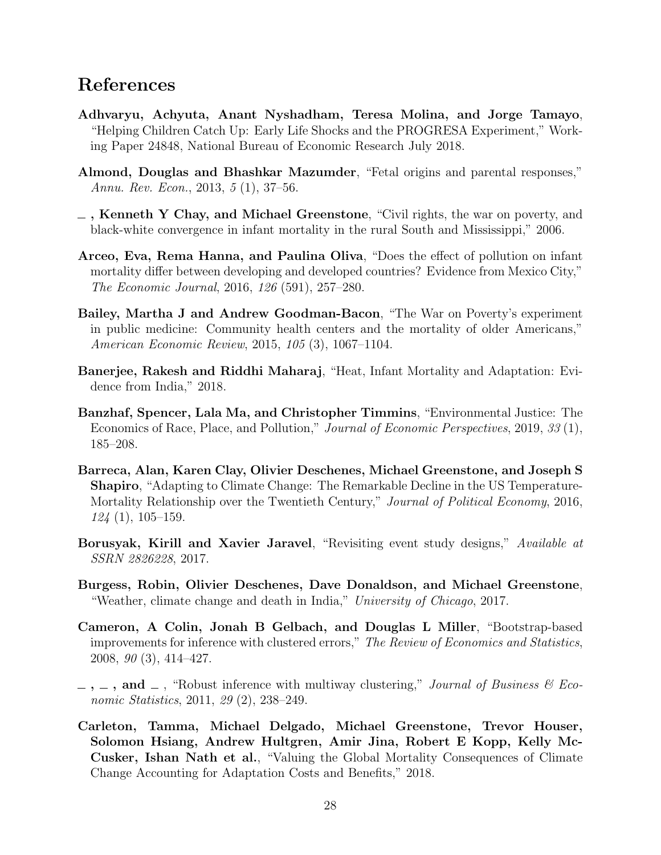## References

- <span id="page-27-8"></span>Adhvaryu, Achyuta, Anant Nyshadham, Teresa Molina, and Jorge Tamayo, "Helping Children Catch Up: Early Life Shocks and the PROGRESA Experiment," Working Paper 24848, National Bureau of Economic Research July 2018.
- <span id="page-27-9"></span>Almond, Douglas and Bhashkar Mazumder, "Fetal origins and parental responses," Annu. Rev. Econ., 2013, 5 (1), 37–56.
- <span id="page-27-4"></span> $\overline{\phantom{a}}$ , Kenneth Y Chay, and Michael Greenstone, "Civil rights, the war on poverty, and black-white convergence in infant mortality in the rural South and Mississippi," 2006.
- <span id="page-27-1"></span>Arceo, Eva, Rema Hanna, and Paulina Oliva, "Does the effect of pollution on infant mortality differ between developing and developed countries? Evidence from Mexico City," The Economic Journal, 2016, 126 (591), 257–280.
- <span id="page-27-3"></span>Bailey, Martha J and Andrew Goodman-Bacon, "The War on Poverty's experiment in public medicine: Community health centers and the mortality of older Americans," American Economic Review, 2015, 105 (3), 1067–1104.
- <span id="page-27-7"></span>Banerjee, Rakesh and Riddhi Maharaj, "Heat, Infant Mortality and Adaptation: Evidence from India," 2018.
- <span id="page-27-0"></span>Banzhaf, Spencer, Lala Ma, and Christopher Timmins, "Environmental Justice: The Economics of Race, Place, and Pollution," Journal of Economic Perspectives, 2019, 33 (1), 185–208.
- <span id="page-27-5"></span>Barreca, Alan, Karen Clay, Olivier Deschenes, Michael Greenstone, and Joseph S Shapiro, "Adapting to Climate Change: The Remarkable Decline in the US Temperature-Mortality Relationship over the Twentieth Century," Journal of Political Economy, 2016,  $124(1), 105-159.$
- <span id="page-27-12"></span>Borusyak, Kirill and Xavier Jaravel, "Revisiting event study designs," Available at SSRN 2826228, 2017.
- <span id="page-27-6"></span>Burgess, Robin, Olivier Deschenes, Dave Donaldson, and Michael Greenstone, "Weather, climate change and death in India," University of Chicago, 2017.
- <span id="page-27-11"></span>Cameron, A Colin, Jonah B Gelbach, and Douglas L Miller, "Bootstrap-based improvements for inference with clustered errors," The Review of Economics and Statistics, 2008, 90 (3), 414–427.
- <span id="page-27-10"></span> $\ldots$ , and  $\ldots$ , "Robust inference with multiway clustering," *Journal of Business & Eco*nomic Statistics, 2011, 29 (2), 238–249.
- <span id="page-27-2"></span>Carleton, Tamma, Michael Delgado, Michael Greenstone, Trevor Houser, Solomon Hsiang, Andrew Hultgren, Amir Jina, Robert E Kopp, Kelly Mc-Cusker, Ishan Nath et al., "Valuing the Global Mortality Consequences of Climate Change Accounting for Adaptation Costs and Benefits," 2018.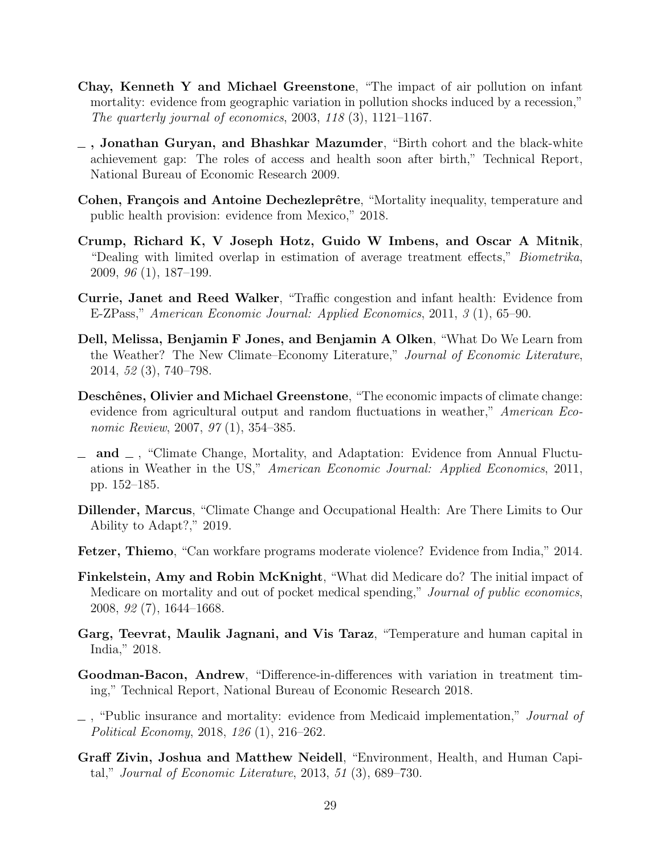- <span id="page-28-1"></span>Chay, Kenneth Y and Michael Greenstone, "The impact of air pollution on infant mortality: evidence from geographic variation in pollution shocks induced by a recession," The quarterly journal of economics,  $2003$ ,  $118(3)$ ,  $1121-1167$ .
- <span id="page-28-12"></span> $\overline{\phantom{a}}$ , Jonathan Guryan, and Bhashkar Mazumder, "Birth cohort and the black-white achievement gap: The roles of access and health soon after birth," Technical Report, National Bureau of Economic Research 2009.
- <span id="page-28-7"></span>Cohen, François and Antoine Dechezleprêtre, "Mortality inequality, temperature and public health provision: evidence from Mexico," 2018.
- <span id="page-28-13"></span>Crump, Richard K, V Joseph Hotz, Guido W Imbens, and Oscar A Mitnik, "Dealing with limited overlap in estimation of average treatment effects," Biometrika, 2009, 96 (1), 187–199.
- <span id="page-28-2"></span>Currie, Janet and Reed Walker, "Traffic congestion and infant health: Evidence from E-ZPass," American Economic Journal: Applied Economics, 2011, 3 (1), 65–90.
- <span id="page-28-4"></span>Dell, Melissa, Benjamin F Jones, and Benjamin A Olken, "What Do We Learn from the Weather? The New Climate–Economy Literature," Journal of Economic Literature, 2014, 52 (3), 740–798.
- <span id="page-28-11"></span>Deschênes, Olivier and Michael Greenstone, "The economic impacts of climate change: evidence from agricultural output and random fluctuations in weather," American Economic Review, 2007, 97(1), 354–385.
- <span id="page-28-3"></span> $\Box$  and  $\Box$ , "Climate Change, Mortality, and Adaptation: Evidence from Annual Fluctuations in Weather in the US," American Economic Journal: Applied Economics, 2011, pp. 152–185.
- <span id="page-28-10"></span>Dillender, Marcus, "Climate Change and Occupational Health: Are There Limits to Our Ability to Adapt?," 2019.
- <span id="page-28-8"></span>Fetzer, Thiemo, "Can workfare programs moderate violence? Evidence from India," 2014.
- <span id="page-28-5"></span>Finkelstein, Amy and Robin McKnight, "What did Medicare do? The initial impact of Medicare on mortality and out of pocket medical spending," Journal of public economics, 2008, 92 (7), 1644–1668.
- <span id="page-28-9"></span>Garg, Teevrat, Maulik Jagnani, and Vis Taraz, "Temperature and human capital in India," 2018.
- <span id="page-28-14"></span>Goodman-Bacon, Andrew, "Difference-in-differences with variation in treatment timing," Technical Report, National Bureau of Economic Research 2018.
- <span id="page-28-6"></span> $\Box$ , "Public insurance and mortality: evidence from Medicaid implementation," *Journal of* Political Economy, 2018, 126 (1), 216–262.
- <span id="page-28-0"></span>Graff Zivin, Joshua and Matthew Neidell, "Environment, Health, and Human Capital," Journal of Economic Literature, 2013, 51 (3), 689–730.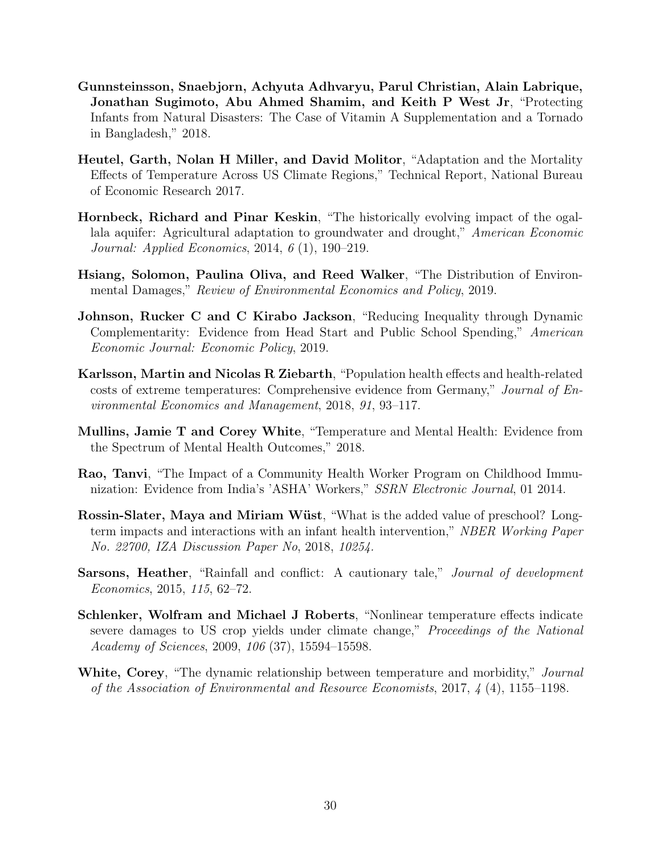- <span id="page-29-3"></span>Gunnsteinsson, Snaebjorn, Achyuta Adhvaryu, Parul Christian, Alain Labrique, Jonathan Sugimoto, Abu Ahmed Shamim, and Keith P West Jr, "Protecting Infants from Natural Disasters: The Case of Vitamin A Supplementation and a Tornado in Bangladesh," 2018.
- <span id="page-29-7"></span>Heutel, Garth, Nolan H Miller, and David Molitor, "Adaptation and the Mortality Effects of Temperature Across US Climate Regions," Technical Report, National Bureau of Economic Research 2017.
- <span id="page-29-1"></span>Hornbeck, Richard and Pinar Keskin, "The historically evolving impact of the ogallala aquifer: Agricultural adaptation to groundwater and drought," American Economic Journal: Applied Economics, 2014, 6 (1), 190–219.
- <span id="page-29-0"></span>Hsiang, Solomon, Paulina Oliva, and Reed Walker, "The Distribution of Environmental Damages," Review of Environmental Economics and Policy, 2019.
- <span id="page-29-5"></span>Johnson, Rucker C and C Kirabo Jackson, "Reducing Inequality through Dynamic Complementarity: Evidence from Head Start and Public School Spending," American Economic Journal: Economic Policy, 2019.
- <span id="page-29-9"></span>Karlsson, Martin and Nicolas R Ziebarth, "Population health effects and health-related costs of extreme temperatures: Comprehensive evidence from Germany," Journal of Environmental Economics and Management, 2018, 91, 93–117.
- <span id="page-29-10"></span>Mullins, Jamie T and Corey White, "Temperature and Mental Health: Evidence from the Spectrum of Mental Health Outcomes," 2018.
- <span id="page-29-4"></span>Rao, Tanvi, "The Impact of a Community Health Worker Program on Childhood Immunization: Evidence from India's 'ASHA' Workers," SSRN Electronic Journal, 01 2014.
- <span id="page-29-6"></span>Rossin-Slater, Maya and Miriam Wüst, "What is the added value of preschool? Longterm impacts and interactions with an infant health intervention," NBER Working Paper No. 22700, IZA Discussion Paper No, 2018, 10254.
- <span id="page-29-2"></span>Sarsons, Heather, "Rainfall and conflict: A cautionary tale," Journal of development Economics, 2015, 115, 62–72.
- <span id="page-29-11"></span>Schlenker, Wolfram and Michael J Roberts, "Nonlinear temperature effects indicate severe damages to US crop yields under climate change," Proceedings of the National Academy of Sciences, 2009, 106 (37), 15594–15598.
- <span id="page-29-8"></span>White, Corey, "The dynamic relationship between temperature and morbidity," Journal of the Association of Environmental and Resource Economists, 2017, 4 (4), 1155–1198.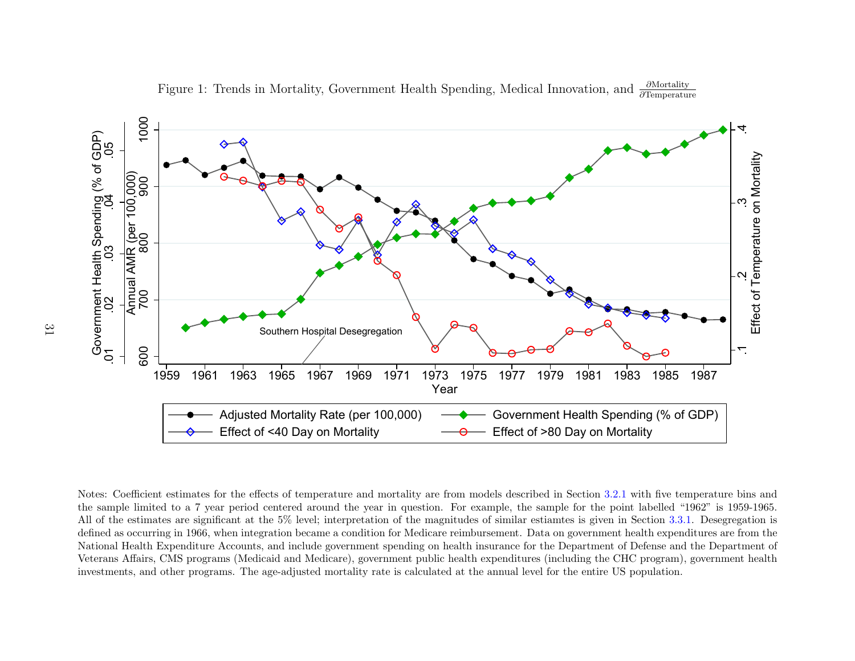

<span id="page-30-0"></span>9 1961 1963 1965 1967 1969 1971 1973 1975 1977 1979 1981 1983 1985 1987<br>
Year<br>
Covernment Health Spending (% of GDP)<br>
Government Health Spending (% of GDP)<br>
Effect of <40 Day on Mortality<br>
Effect of <40 Day on Mortality<br> Effect of >80 Day on Mortality Notes: Coefficient estimates for the effects of temperature and mortality are from models described in Section [3.2.1](#page-9-3) with five temperature bins and the sample limited to <sup>a</sup> 7 year period centered around the year in question. For example, the sample for the point labelled "1962" is 1959-1965.All of the estimates are significant at the 5% level; interpretation of the magnitudes of similar estiamtes is <sup>g</sup>iven in Section [3.3.1.](#page-13-1) Desegregation is defined as occurring in 1966, when integration became <sup>a</sup> condition for Medicare reimbursement. Data on government health expenditures are from the National Health Expenditure Accounts, and include government spending on health insurance for the Department of Defense and the Department ofVeterans Affairs, CMS programs (Medicaid and Medicare), government public health expenditures (including the CHC program), government healthinvestments, and other programs. The age-adjusted mortality rate is calculated at the annual level for the entire US population.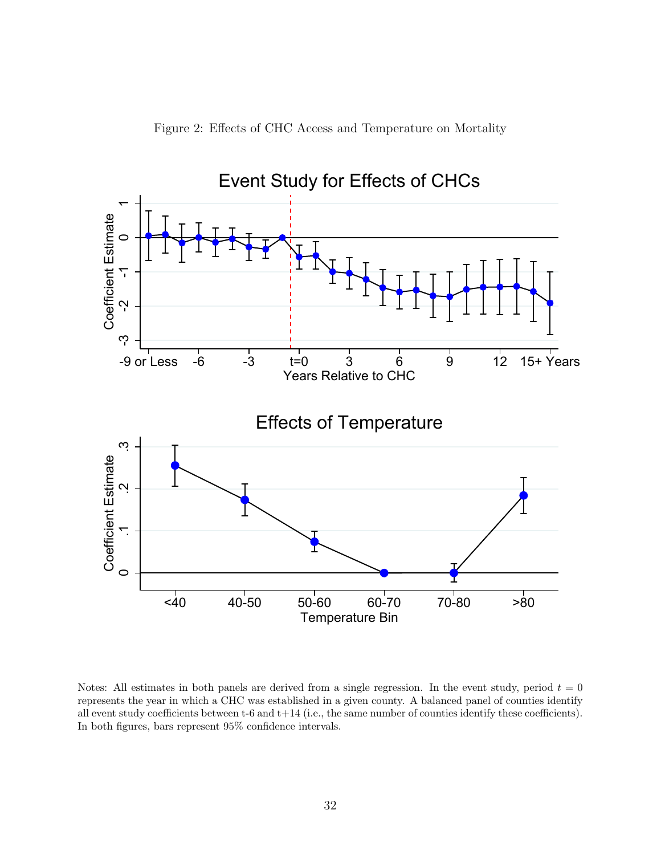

<span id="page-31-0"></span>

Notes: All estimates in both panels are derived from a single regression. In the event study, period  $t = 0$ represents the year in which a CHC was established in a given county. A balanced panel of counties identify all event study coefficients between t-6 and t+14 (i.e., the same number of counties identify these coefficients). In both figures, bars represent 95% confidence intervals.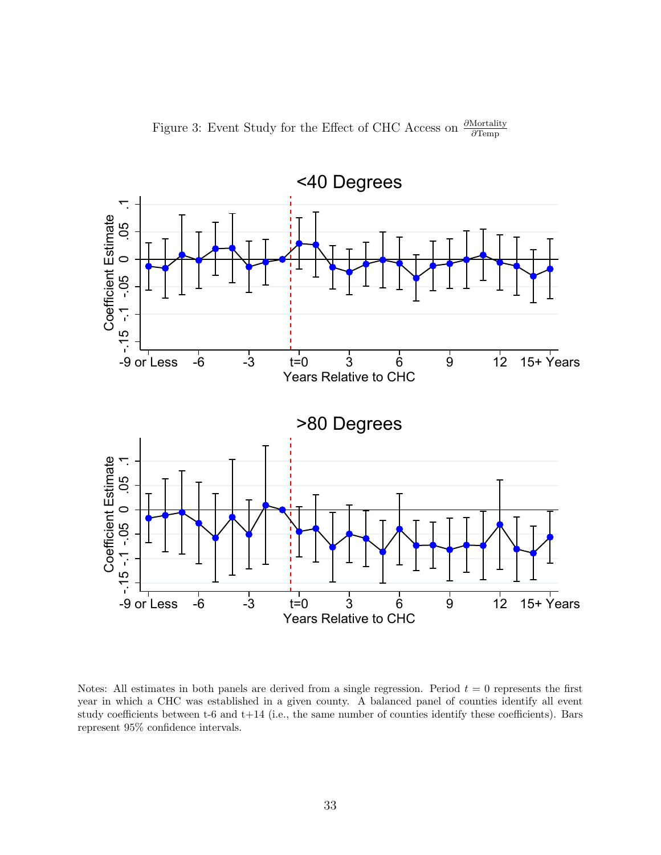<span id="page-32-0"></span>

Figure 3: Event Study for the Effect of CHC Access on  $\frac{\partial \text{Mortality}}{\partial \text{Tarmn}}$ ∂Temp

Notes: All estimates in both panels are derived from a single regression. Period  $t = 0$  represents the first year in which a CHC was established in a given county. A balanced panel of counties identify all event study coefficients between t-6 and t+14 (i.e., the same number of counties identify these coefficients). Bars represent 95% confidence intervals.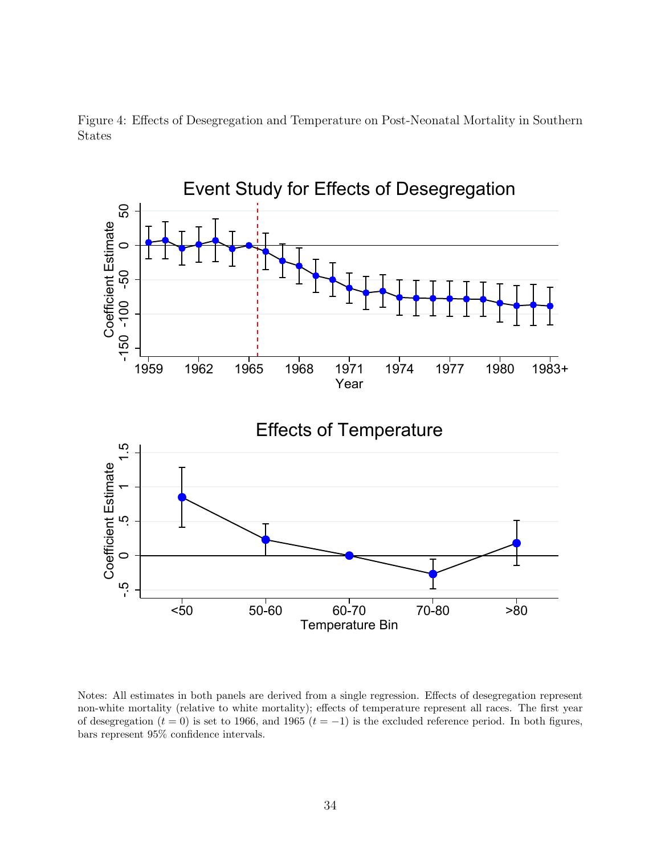

<span id="page-33-0"></span>

Notes: All estimates in both panels are derived from a single regression. Effects of desegregation represent non-white mortality (relative to white mortality); effects of temperature represent all races. The first year of desegregation ( $t = 0$ ) is set to 1966, and 1965 ( $t = -1$ ) is the excluded reference period. In both figures, bars represent 95% confidence intervals.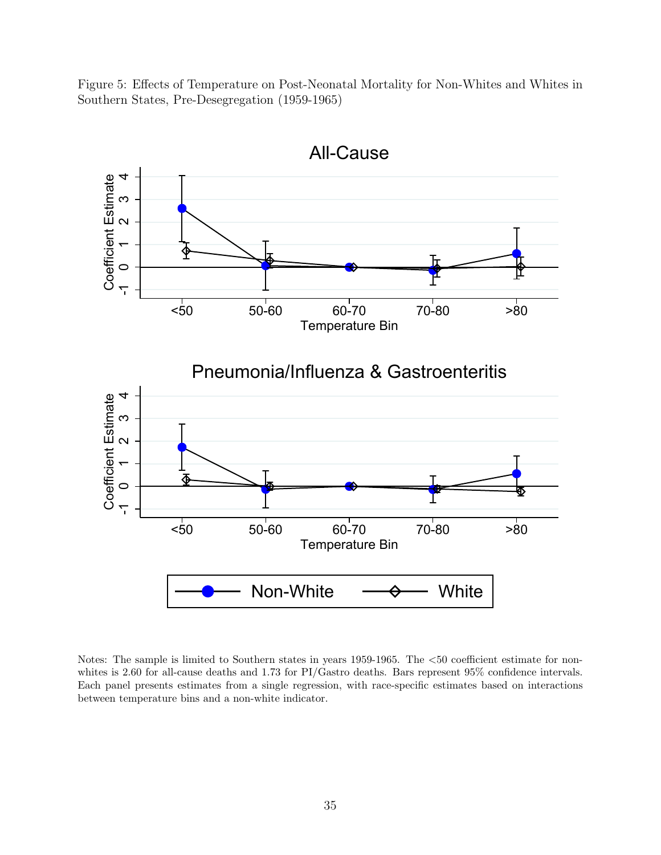Figure 5: Effects of Temperature on Post-Neonatal Mortality for Non-Whites and Whites in Southern States, Pre-Desegregation (1959-1965)

<span id="page-34-0"></span>

Notes: The sample is limited to Southern states in years 1959-1965. The <50 coefficient estimate for nonwhites is 2.60 for all-cause deaths and 1.73 for PI/Gastro deaths. Bars represent 95% confidence intervals. Each panel presents estimates from a single regression, with race-specific estimates based on interactions between temperature bins and a non-white indicator.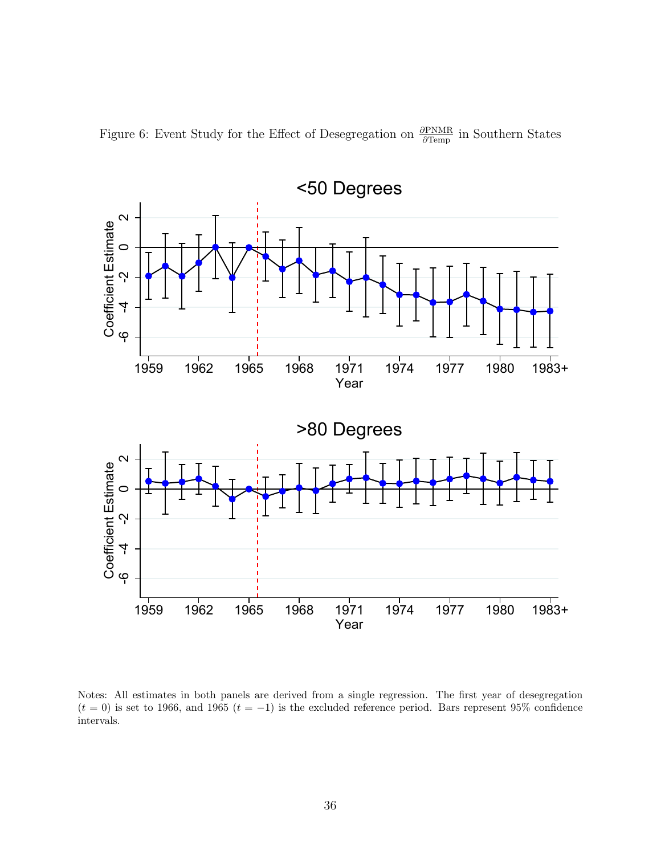Figure 6: Event Study for the Effect of Desegregation on  $\frac{\partial \text{PNMR}}{\partial \text{Temp}}$  in Southern States

<span id="page-35-0"></span>

Notes: All estimates in both panels are derived from a single regression. The first year of desegregation  $(t = 0)$  is set to 1966, and 1965  $(t = -1)$  is the excluded reference period. Bars represent 95% confidence intervals.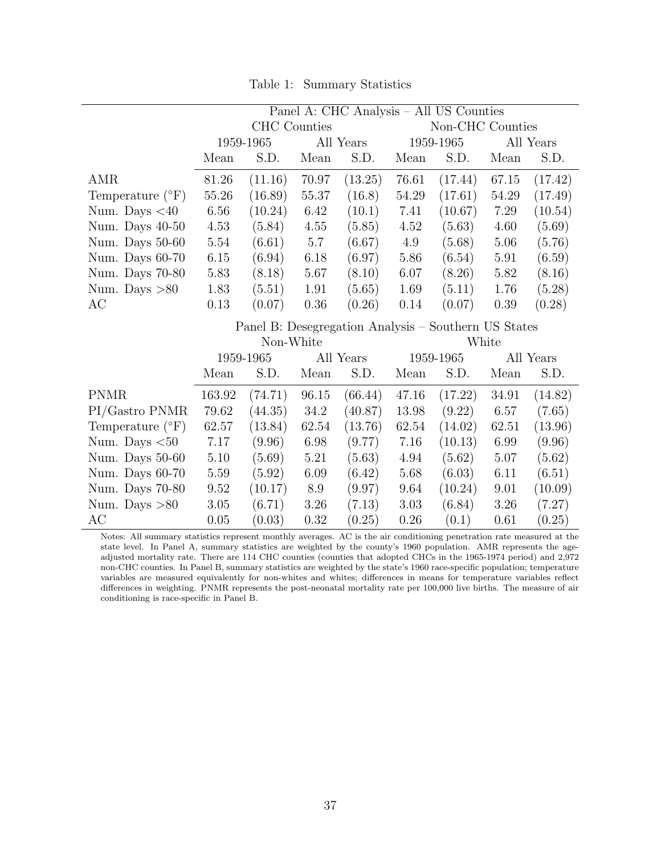Table 1: Summary Statistics

<span id="page-36-0"></span>

|                             | Panel A: CHC Analysis - All US Counties |                                                      |          |           |           |                  |       |           |
|-----------------------------|-----------------------------------------|------------------------------------------------------|----------|-----------|-----------|------------------|-------|-----------|
|                             | <b>CHC</b> Counties                     |                                                      |          |           |           | Non-CHC Counties |       |           |
|                             |                                         | 1959-1965<br>All Years                               |          | 1959-1965 |           | All Years        |       |           |
|                             | Mean                                    | S.D.                                                 | Mean     | S.D.      | Mean      | S.D.             | Mean  | S.D.      |
| AMR                         | $81.26\,$                               | (11.16)                                              | 70.97    | (13.25)   | 76.61     | (17.44)          | 67.15 | (17.42)   |
| Temperature $({}^{\circ}F)$ | 55.26                                   | (16.89)                                              | 55.37    | (16.8)    | 54.29     | (17.61)          | 54.29 | (17.49)   |
| Num. Days $<$ 40            | $6.56\,$                                | (10.24)                                              | 6.42     | (10.1)    | 7.41      | (10.67)          | 7.29  | (10.54)   |
| Num. Days 40-50             | 4.53                                    | (5.84)                                               | $4.55\,$ | (5.85)    | 4.52      | (5.63)           | 4.60  | (5.69)    |
| Num. Days 50-60             | 5.54                                    | (6.61)                                               | $5.7\,$  | (6.67)    | 4.9       | (5.68)           | 5.06  | (5.76)    |
| Num. Days 60-70             | $6.15\,$                                | (6.94)                                               | 6.18     | (6.97)    | 5.86      | (6.54)           | 5.91  | (6.59)    |
| Num. Days 70-80             | 5.83                                    | (8.18)                                               | 5.67     | (8.10)    | 6.07      | (8.26)           | 5.82  | (8.16)    |
| Num. Days $>80$             | 1.83                                    | (5.51)                                               | 1.91     | (5.65)    | 1.69      | (5.11)           | 1.76  | (5.28)    |
| AC                          | 0.13                                    | (0.07)                                               | $0.36\,$ | (0.26)    | 0.14      | (0.07)           | 0.39  | (0.28)    |
|                             |                                         | Panel B: Desegregation Analysis – Southern US States |          |           |           |                  |       |           |
|                             |                                         | Non-White                                            |          |           |           |                  | White |           |
|                             |                                         | 1959-1965                                            |          | All Years |           | 1959-1965        |       | All Years |
|                             | Mean                                    | S.D.                                                 | Mean     | S.D.      | Mean      | S.D.             | Mean  | S.D.      |
| <b>PNMR</b>                 | 163.92                                  | (74.71)                                              | 96.15    | (66.44)   | 47.16     | (17.22)          | 34.91 | (14.82)   |
| PI/Gastro PNMR              | 79.62                                   | (44.35)                                              | $34.2\,$ | (40.87)   | 13.98     | (9.22)           | 6.57  | (7.65)    |
| Temperature $({}^{\circ}F)$ | 62.57                                   | (13.84)                                              | 62.54    | (13.76)   | $62.54\,$ | (14.02)          | 62.51 | (13.96)   |
| Num. Days $< 50$            | 7.17                                    | (9.96)                                               | 6.98     | (9.77)    | 7.16      | (10.13)          | 6.99  | (9.96)    |
| Num. Days 50-60             | 5.10                                    | (5.69)                                               | 5.21     | (5.63)    | 4.94      | (5.62)           | 5.07  | (5.62)    |
| Num. Days 60-70             | 5.59                                    | (5.92)                                               | 6.09     | (6.42)    | 5.68      | (6.03)           | 6.11  | (6.51)    |
| Num. Days 70-80             | 9.52                                    | (10.17)                                              | $8.9\,$  | (9.97)    | 9.64      | (10.24)          | 9.01  | (10.09)   |
| Num. Days $>80$             | $3.05\,$                                | (6.71)                                               | $3.26\,$ | (7.13)    | 3.03      | (6.84)           | 3.26  | (7.27)    |
|                             |                                         |                                                      |          |           |           |                  |       |           |

Notes: All summary statistics represent monthly averages. AC is the air conditioning penetration rate measured at the state level. In Panel A, summary statistics are weighted by the county's 1960 population. AMR represents the ageadjusted mortality rate. There are 114 CHC counties (counties that adopted CHCs in the 1965-1974 period) and 2,972 non-CHC counties. In Panel B, summary statistics are weighted by the state's 1960 race-specific population; temperature variables are measured equivalently for non-whites and whites; differences in means for temperature variables reflect differences in weighting. PNMR represents the post-neonatal mortality rate per 100,000 live births. The measure of air conditioning is race-specific in Panel B.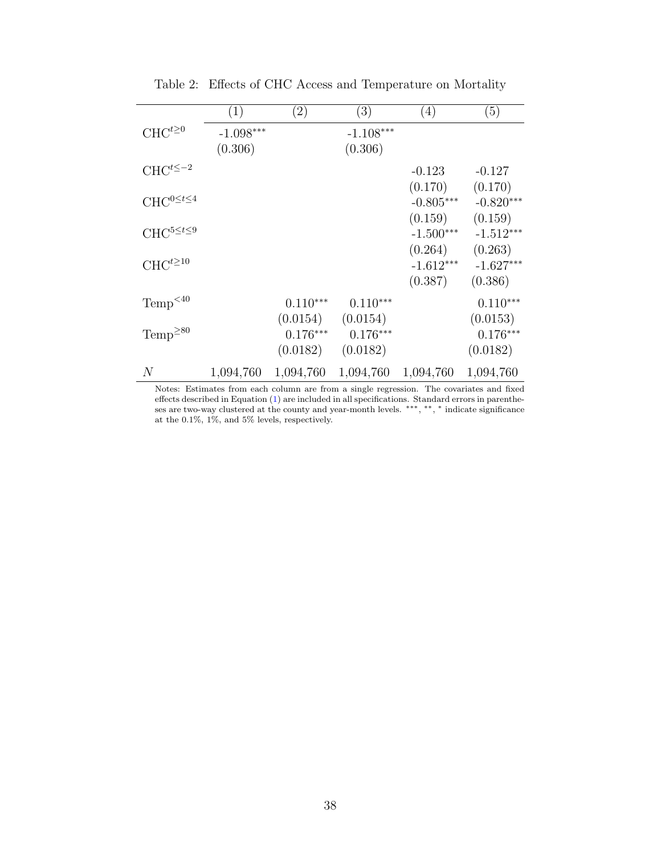<span id="page-37-0"></span>

|                                | (1)         | $\left( 2\right)$ | (3)         | (4)         | (5)         |
|--------------------------------|-------------|-------------------|-------------|-------------|-------------|
| $CHC^{t\geq 0}$                | $-1.098***$ |                   | $-1.108***$ |             |             |
|                                | (0.306)     |                   | (0.306)     |             |             |
| $CHC^{t\leq -2}$               |             |                   |             | $-0.123$    | $-0.127$    |
|                                |             |                   |             | (0.170)     | (0.170)     |
| ${\rm CHC}^{0 \leq t \leq 4}$  |             |                   |             | $-0.805***$ | $-0.820***$ |
|                                |             |                   |             | (0.159)     | (0.159)     |
| $\mathrm{CHC}^{5\leq t\leq 9}$ |             |                   |             | $-1.500***$ | $-1.512***$ |
|                                |             |                   |             | (0.264)     | (0.263)     |
| ${\rm CHC}^{t\ge 10}$          |             |                   |             | $-1.612***$ | $-1.627***$ |
|                                |             |                   |             | (0.387)     | (0.386)     |
| Temp <sup>&lt;40</sup>         |             | $0.110***$        | $0.110***$  |             | $0.110***$  |
|                                |             | (0.0154)          | (0.0154)    |             | (0.0153)    |
| Temp <sup>280</sup>            |             | $0.176***$        | $0.176***$  |             | $0.176***$  |
|                                |             | (0.0182)          | (0.0182)    |             | (0.0182)    |
| $\overline{N}$                 | 1,094,760   | 1,094,760         | 1,094,760   | 1,094,760   | 1,094,760   |

Table 2: Effects of CHC Access and Temperature on Mortality

Notes: Estimates from each column are from a single regression. The covariates and fixed effects described in Equation [\(1\)](#page-9-1) are included in all specifications. Standard errors in parentheses are two-way clustered at the county and year-month levels. \*\*\*, \*\*, \* indicate significance at the 0.1%, 1%, and 5% levels, respectively.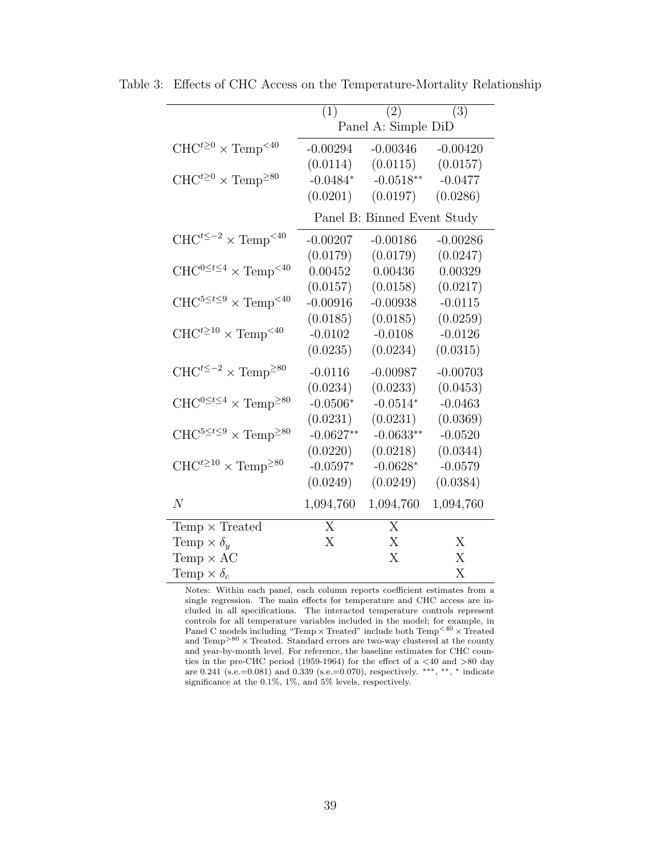<span id="page-38-1"></span>

|                                                      | (1)            | (2)                         | (3)        |
|------------------------------------------------------|----------------|-----------------------------|------------|
|                                                      |                | Panel A: Simple DiD         |            |
| $CHC^{t\geq 0} \times Temp^{<40}$                    | $-0.00294$     | $-0.00346$                  | $-0.00420$ |
|                                                      | (0.0114)       | (0.0115)                    | (0.0157)   |
| $CHC^{t\geq 0} \times Temp^{\geq 80}$                | $-0.0484*$     | $-0.0518**$                 | $-0.0477$  |
|                                                      | (0.0201)       | (0.0197)                    | (0.0286)   |
|                                                      |                | Panel B: Binned Event Study |            |
| $CHC^{t\leq -2} \times Temp^{&40}$                   | $-0.00207$     | $-0.00186$                  | $-0.00286$ |
|                                                      | (0.0179)       | (0.0179)                    | (0.0247)   |
| $CHC^{0 \leq t \leq 4} \times Temp^{&40}$            | 0.00452        | 0.00436                     | 0.00329    |
|                                                      | (0.0157)       | (0.0158)                    | (0.0217)   |
| $CHC^{5 \leq t \leq 9} \times Temp^{<40}$            | $-0.00916$     | $-0.00938$                  | $-0.0115$  |
|                                                      | (0.0185)       | (0.0185)                    | (0.0259)   |
| $CHC^{t\geq 10} \times Temp^{< 40}$                  | $-0.0102$      | $-0.0108$                   | $-0.0126$  |
|                                                      | (0.0235)       | (0.0234)                    | (0.0315)   |
| $CHC^{t\leq -2} \times Temp^{\geq 80}$               | $-0.0116$      | $-0.00987$                  | $-0.00703$ |
|                                                      | (0.0234)       | (0.0233)                    | (0.0453)   |
| $CHC^{0\leq t\leq 4}\times \text{Temp}^{\geq 80}$    | $-0.0506*$     | $-0.0514*$                  | $-0.0463$  |
|                                                      | (0.0231)       | (0.0231)                    | (0.0369)   |
| $CHC^{5 \leq t \leq 9} \times \text{Temp}^{\geq 80}$ | $-0.0627**$    | $-0.0633**$                 | $-0.0520$  |
|                                                      | (0.0220)       | (0.0218)                    | (0.0344)   |
| $CHC^{t\geq 10} \times Temp^{\geq 80}$               | $-0.0597*$     | $-0.0628*$                  | $-0.0579$  |
|                                                      | (0.0249)       | (0.0249)                    | (0.0384)   |
| $\overline{N}$                                       | 1,094,760      | 1,094,760                   | 1,094,760  |
| Temp $\times$ Treated                                | $\overline{X}$ | $\overline{X}$              |            |
| Temp $\times \delta_u$                               | X              | X                           | X          |
| Temp $\times$ AC                                     |                | X                           | X          |
| Temp $\times \delta_c$                               |                |                             | X          |

<span id="page-38-0"></span>Table 3: Effects of CHC Access on the Temperature-Mortality Relationship

Notes: Within each panel, each column reports coefficient estimates from a single regression. The main effects for temperature and CHC access are included in all specifications. The interacted temperature controls represent controls for all temperature variables included in the model; for example, in Panel C models including "Temp $\times$  Treated" include both  $\mathrm{Temp}^{<40}\times \mathrm{Treated}$ and  $Temp^{>80} \times Treated$ . Standard errors are two-way clustered at the county and year-by-month level. For reference, the baseline estimates for CHC counties in the pre-CHC period (1959-1964) for the effect of a <40 and >80 day are 0.241 (s.e.=0.081) and 0.339 (s.e.=0.070), respectively. \*\*\*, \*\*, \* indicate significance at the 0.1%, 1%, and 5% levels, respectively.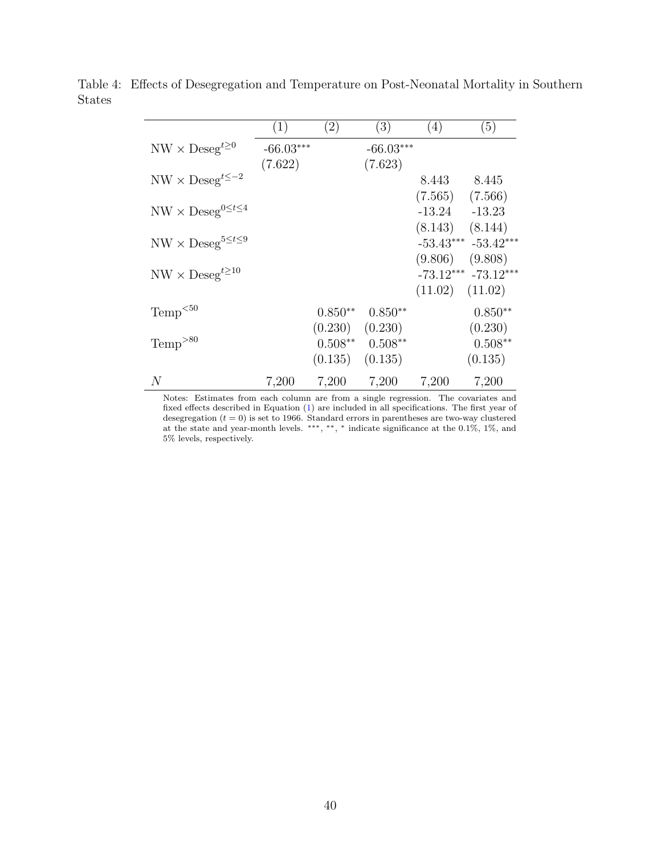|                                                                    | (1)         | (2)                  | (3)                  | (4)      | (5)                                            |
|--------------------------------------------------------------------|-------------|----------------------|----------------------|----------|------------------------------------------------|
| $NW \times Deseg^{t\geq 0}$                                        | $-66.03***$ |                      | $-66.03***$          |          |                                                |
| $\ensuremath{\text{NW}}\times\ensuremath{\text{Deseg}}^{t\leq -2}$ | (7.622)     |                      | (7.623)              | 8.443    | 8.445                                          |
|                                                                    |             |                      |                      | (7.565)  | (7.566)                                        |
| $NW \times Deseg^{0 \leq t \leq 4}$                                |             |                      |                      | $-13.24$ | $-13.23$<br>$(8.143)$ $(8.144)$                |
| $NW \times Deseg^{5 \leq t \leq 9}$                                |             |                      |                      |          | $-53.43***$ $-53.42***$                        |
| $NW \times Deseg^{t \geq 10}$                                      |             |                      |                      |          | $(9.806)$ $(9.808)$<br>$-73.12***$ $-73.12***$ |
|                                                                    |             |                      |                      |          | $(11.02)$ $(11.02)$                            |
| Temp <sub>50</sub>                                                 |             | $0.850**$            | $0.850**$            |          | $0.850**$                                      |
| $Temp^{>80}$                                                       |             | (0.230)<br>$0.508**$ | (0.230)<br>$0.508**$ |          | (0.230)<br>$0.508**$                           |
|                                                                    |             | (0.135)              | (0.135)              |          | (0.135)                                        |
| $\,N$                                                              | 7,200       | 7,200                | 7,200                | 7,200    | 7,200                                          |

<span id="page-39-0"></span>Table 4: Effects of Desegregation and Temperature on Post-Neonatal Mortality in Southern States

Notes: Estimates from each column are from a single regression. The covariates and fixed effects described in Equation [\(1\)](#page-9-1) are included in all specifications. The first year of desegregation  $(t = 0)$  is set to 1966. Standard errors in parentheses are two-way clustered at the state and year-month levels. ∗∗∗, ∗∗, <sup>∗</sup> indicate significance at the 0.1%, 1%, and 5% levels, respectively.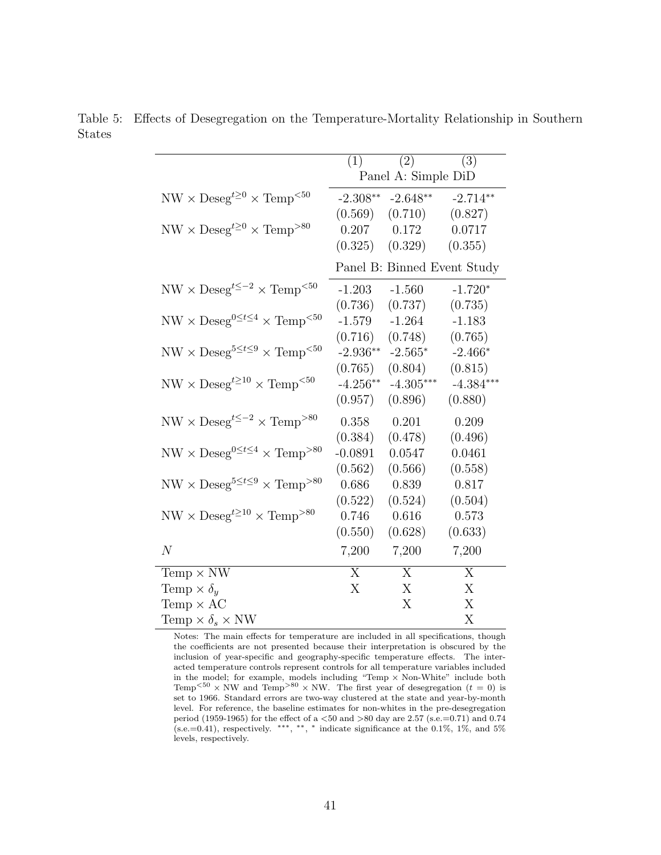|                                                                      | $(1)^{-}$  | $\overline{(2)}$    | (3)                         |
|----------------------------------------------------------------------|------------|---------------------|-----------------------------|
|                                                                      |            | Panel A: Simple DiD |                             |
| $NW \times Deseg^{t\geq 0} \times Temp^{< 50}$                       | $-2.308**$ | $-2.648**$          | $-2.714**$                  |
|                                                                      | (0.569)    | (0.710)             | (0.827)                     |
| $NW \times Deseg^{t \geq 0} \times Temp^{>80}$                       |            | $0.207$ $0.172$     | 0.0717                      |
|                                                                      |            | $(0.325)$ $(0.329)$ | (0.355)                     |
|                                                                      |            |                     | Panel B: Binned Event Study |
| $\text{NW}\times\text{Deseg}^{t\leq -2}\times\text{Temp}^{<50}$      | $-1.203$   | $-1.560$            | $-1.720*$                   |
|                                                                      | (0.736)    | (0.737)             | (0.735)                     |
| $\text{NW}\times\text{Deseg}^{0\leq t\leq 4}\times\text{Temp}^{<50}$ | $-1.579$   | $-1.264$            | $-1.183$                    |
|                                                                      | (0.716)    | (0.748)             | (0.765)                     |
| $NW \times Deseg^{5 \leq t \leq 9} \times Temp^{<50}$                | $-2.936**$ | $-2.565*$           | $-2.466*$                   |
|                                                                      | (0.765)    | (0.804)             | (0.815)                     |
| $NW \times Deseg^{t \geq 10} \times Temp^{< 50}$                     | $-4.256**$ | $-4.305***$         | $-4.384***$                 |
|                                                                      | (0.957)    | (0.896)             | (0.880)                     |
| $\text{NW}\times\text{Deseg}^{t\leq -2}\times\text{Temp}^{>80}$      | 0.358      | 0.201               | 0.209                       |
|                                                                      | (0.384)    | (0.478)             | (0.496)                     |
| $NW \times Deseg^{0 \leq t \leq 4} \times Temp^{>80}$                | $-0.0891$  | 0.0547              | 0.0461                      |
|                                                                      | (0.562)    | (0.566)             | (0.558)                     |
| $NW \times Deseg^{5 \leq t \leq 9} \times Temp^{>80}$                | 0.686      | 0.839               | 0.817                       |
|                                                                      | (0.522)    | (0.524)             | (0.504)                     |
| $NW \times Deseg^{t \geq 10} \times Temp^{>80}$                      | 0.746      | 0.616               | 0.573                       |
|                                                                      | (0.550)    | (0.628)             | (0.633)                     |
| $\overline{N}$                                                       | 7,200      | 7,200               | 7,200                       |
| Temp $\times$ NW                                                     | X          | $\mathbf{X}$        | X                           |
| Temp $\times \delta_u$                                               | X          | X                   | X                           |
| Temp $\times$ AC                                                     |            | X                   | X                           |
| Temp $\times \delta_s \times NW$                                     |            |                     | Х                           |

<span id="page-40-0"></span>Table 5: Effects of Desegregation on the Temperature-Mortality Relationship in Southern States

Notes: The main effects for temperature are included in all specifications, though the coefficients are not presented because their interpretation is obscured by the inclusion of year-specific and geography-specific temperature effects. The interacted temperature controls represent controls for all temperature variables included in the model; for example, models including "Temp × Non-White" include both Temp<sup> $50$ </sup> × NW and Temp<sup> $>80$ </sup> × NW. The first year of desegregation (t = 0) is set to 1966. Standard errors are two-way clustered at the state and year-by-month level. For reference, the baseline estimates for non-whites in the pre-desegregation period (1959-1965) for the effect of a  $<$  50 and  $>$  80 day are 2.57 (s.e.=0.71) and 0.74  $(s.e.=0.41)$ , respectively. \*\*\*, \*\*, \* indicate significance at the 0.1%, 1%, and 5% levels, respectively.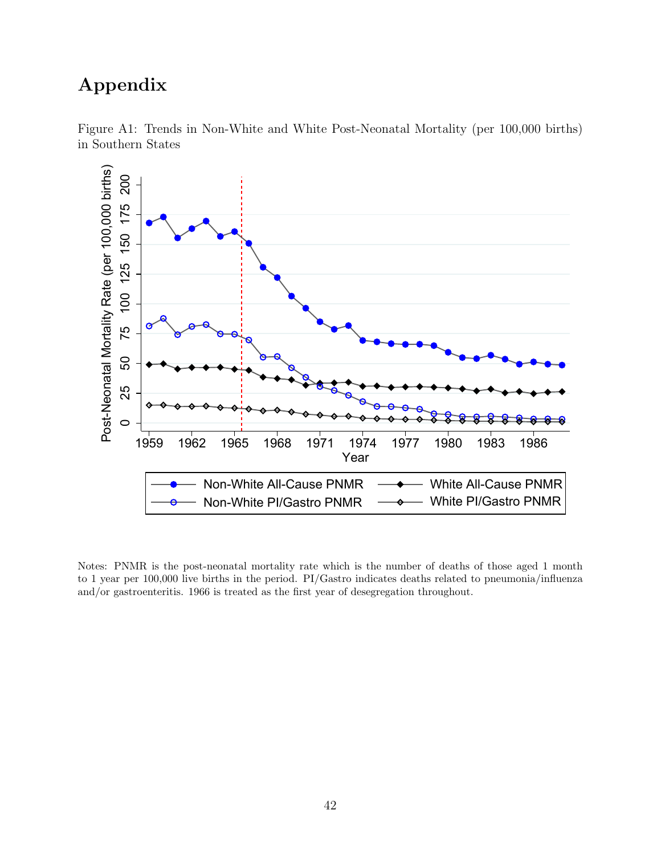## Appendix

<span id="page-41-0"></span>

Figure A1: Trends in Non-White and White Post-Neonatal Mortality (per 100,000 births) in Southern States

Notes: PNMR is the post-neonatal mortality rate which is the number of deaths of those aged 1 month to 1 year per 100,000 live births in the period. PI/Gastro indicates deaths related to pneumonia/influenza and/or gastroenteritis. 1966 is treated as the first year of desegregation throughout.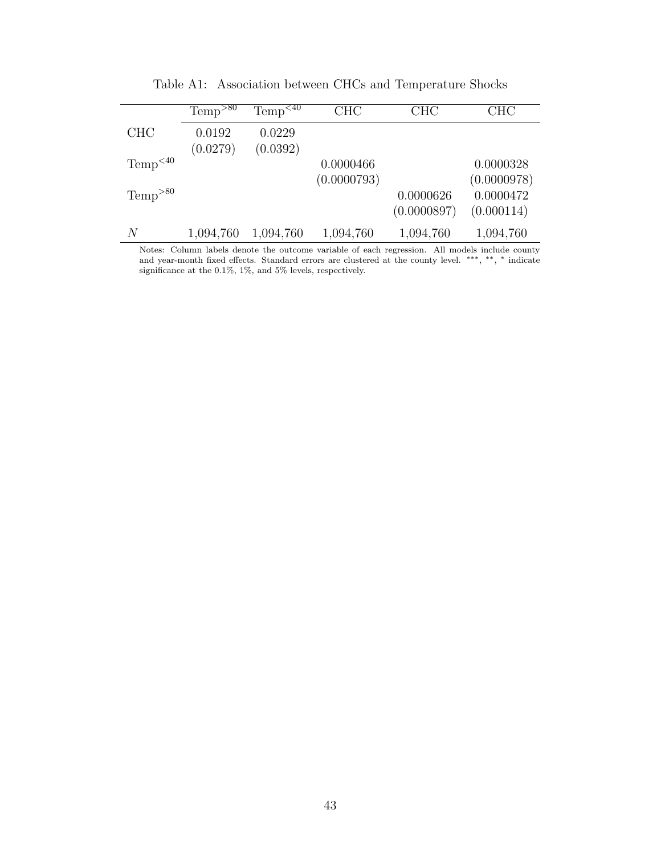<span id="page-42-0"></span>

|                        | $Temp^{>80}$       | Temp <sup>&lt;40</sup> | <b>CHC</b>  | <b>CHC</b>  | <b>CHC</b>  |
|------------------------|--------------------|------------------------|-------------|-------------|-------------|
| <b>CHC</b>             | 0.0192<br>(0.0279) | 0.0229<br>(0.0392)     |             |             |             |
| Temp <sup>&lt;40</sup> |                    |                        | 0.0000466   |             | 0.0000328   |
|                        |                    |                        | (0.0000793) |             | (0.0000978) |
| $Temp^{>80}$           |                    |                        |             | 0.0000626   | 0.0000472   |
|                        |                    |                        |             | (0.0000897) | (0.000114)  |
| N                      | 1,094,760          | 1,094,760              | 1,094,760   | 1,094,760   | 1,094,760   |

Table A1: Association between CHCs and Temperature Shocks

Notes: Column labels denote the outcome variable of each regression. All models include county and year-month fixed effects. Standard errors are clustered at the county level. ∗∗∗, ∗∗, <sup>∗</sup> indicate significance at the 0.1%, 1%, and 5% levels, respectively.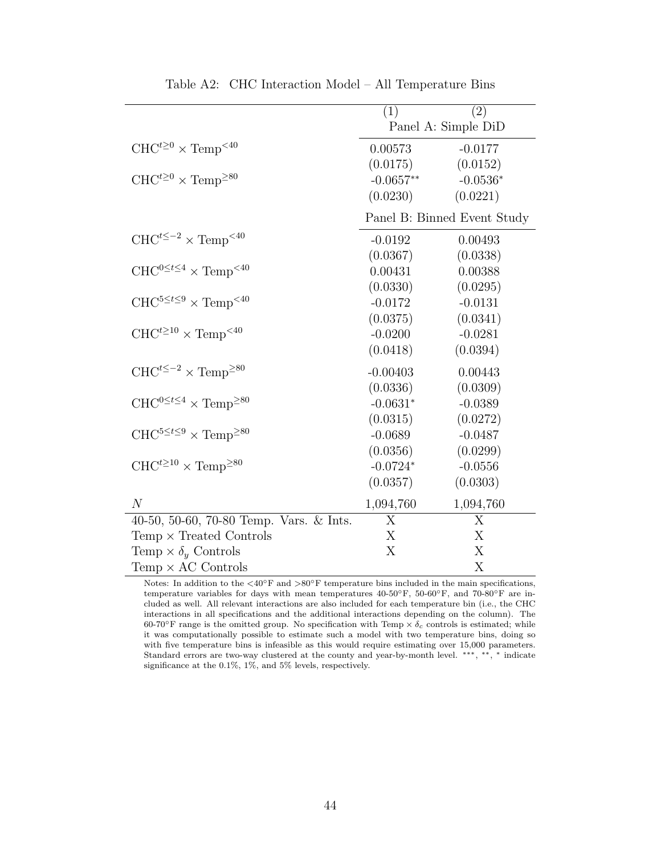<span id="page-43-0"></span>

|                                                             | (1)         | (2)                         |
|-------------------------------------------------------------|-------------|-----------------------------|
|                                                             |             | Panel A: Simple DiD         |
| $CHC^{t\geq 0} \times Temp^{<40}$                           | 0.00573     | $-0.0177$                   |
|                                                             | (0.0175)    | (0.0152)                    |
| $CHC^{t\geq0}\times \text{Temp}^{\geq80}$                   | $-0.0657**$ | $-0.0536*$                  |
|                                                             | (0.0230)    | (0.0221)                    |
|                                                             |             | Panel B: Binned Event Study |
| $CHC^{t\leq -2} \times Temp^{&40}$                          | $-0.0192$   | 0.00493                     |
|                                                             | (0.0367)    | (0.0338)                    |
| $CHC^{0 \leq t \leq 4} \times Temp^{&40}$                   | 0.00431     | 0.00388                     |
|                                                             | (0.0330)    | (0.0295)                    |
| $CHC^{5 \leq t \leq 9} \times Temp^{<40}$                   | $-0.0172$   | $-0.0131$                   |
|                                                             | (0.0375)    | (0.0341)                    |
| $CHC^{t\geq 10} \times Temp^{<40}$                          | $-0.0200$   | $-0.0281$                   |
|                                                             | (0.0418)    | (0.0394)                    |
| $CHC^{t\leq -2} \times Temp^{\geq 80}$                      | $-0.00403$  | 0.00443                     |
|                                                             | (0.0336)    | (0.0309)                    |
| $CHC^{0 \leq t \leq 4} \times Temp^{\geq 80}$               | $-0.0631*$  | $-0.0389$                   |
|                                                             | (0.0315)    | (0.0272)                    |
| $\text{CHC}^{5 \leq t \leq 9} \times \text{Temp}^{\geq 80}$ | $-0.0689$   | $-0.0487$                   |
|                                                             | (0.0356)    | (0.0299)                    |
| $CHC^{t\geq 10} \times \text{Temp}^{\geq 80}$               | $-0.0724*$  | $-0.0556$                   |
|                                                             | (0.0357)    | (0.0303)                    |
| N                                                           | 1,094,760   | 1,094,760                   |
| 40-50, 50-60, 70-80 Temp. Vars. & Ints.                     | X           | X                           |
| $Temp \times Treated$ Controls                              | X           | X                           |
| Temp $\times \delta_y$ Controls                             | Х           | Х                           |
| Temp $\times$ AC Controls                                   |             | X                           |

Table A2: CHC Interaction Model – All Temperature Bins

Notes: In addition to the  $\langle 40°$ F and  $\rangle 80°$ F temperature bins included in the main specifications, temperature variables for days with mean temperatures 40-50◦F, 50-60◦F, and 70-80◦F are included as well. All relevant interactions are also included for each temperature bin (i.e., the CHC interactions in all specifications and the additional interactions depending on the column). The 60-70°F range is the omitted group. No specification with Temp  $\times \delta_c$  controls is estimated; while it was computationally possible to estimate such a model with two temperature bins, doing so with five temperature bins is infeasible as this would require estimating over 15,000 parameters. Standard errors are two-way clustered at the county and year-by-month level. ∗∗∗, ∗∗, <sup>∗</sup> indicate significance at the 0.1%, 1%, and 5% levels, respectively.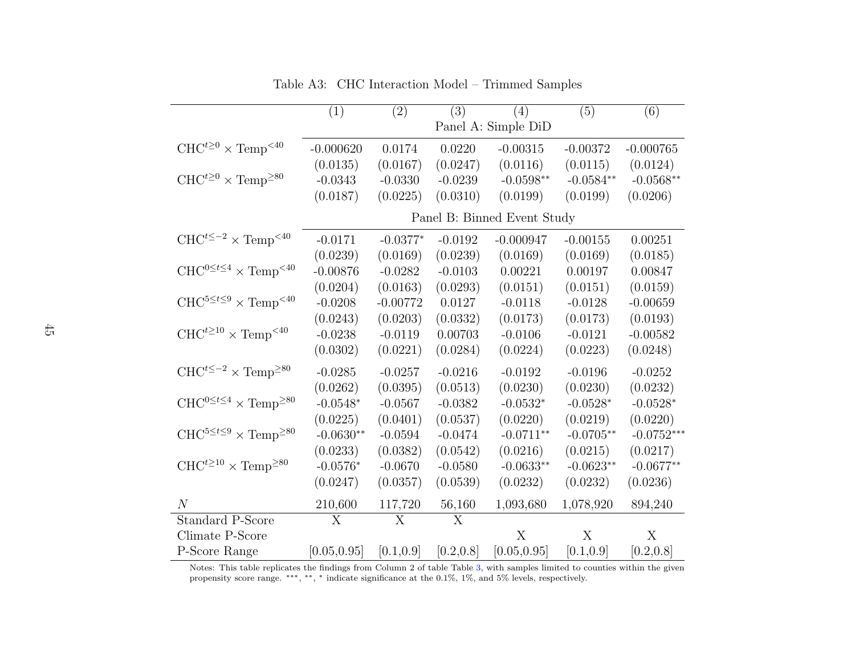|                                                      | (1)            | (2)            | (3)        | (4)                         | (5)         | (6)          |
|------------------------------------------------------|----------------|----------------|------------|-----------------------------|-------------|--------------|
|                                                      |                |                |            | Panel A: Simple DiD         |             |              |
| $CHC^{t\geq0}\times \text{Temp}^{<40}$               | $-0.000620$    | 0.0174         | 0.0220     | $-0.00315$                  | $-0.00372$  | $-0.000765$  |
|                                                      | (0.0135)       | (0.0167)       | (0.0247)   | (0.0116)                    | (0.0115)    | (0.0124)     |
| $CHC^{t\geq0}\times \text{Temp}^{\geq80}$            | $-0.0343$      | $-0.0330$      | $-0.0239$  | $-0.0598**$                 | $-0.0584**$ | $-0.0568**$  |
|                                                      | (0.0187)       | (0.0225)       | (0.0310)   | (0.0199)                    | (0.0199)    | (0.0206)     |
|                                                      |                |                |            | Panel B: Binned Event Study |             |              |
| $CHC^{t\leq -2} \times Temp^{<40}$                   | $-0.0171$      | $-0.0377*$     | $-0.0192$  | $-0.000947$                 | $-0.00155$  | 0.00251      |
|                                                      | (0.0239)       | (0.0169)       | (0.0239)   | (0.0169)                    | (0.0169)    | (0.0185)     |
| $CHC^{0 \leq t \leq 4} \times Temp^{<40}$            | $-0.00876$     | $-0.0282$      | $-0.0103$  | 0.00221                     | 0.00197     | 0.00847      |
|                                                      | (0.0204)       | (0.0163)       | (0.0293)   | (0.0151)                    | (0.0151)    | (0.0159)     |
| $CHC^{5 \leq t \leq 9} \times Temp^{<40}$            | $-0.0208$      | $-0.00772$     | 0.0127     | $-0.0118$                   | $-0.0128$   | $-0.00659$   |
|                                                      | (0.0243)       | (0.0203)       | (0.0332)   | (0.0173)                    | (0.0173)    | (0.0193)     |
| $CHC^{t\geq 10} \times Temp^{<40}$                   | $-0.0238$      | $-0.0119$      | 0.00703    | $-0.0106$                   | $-0.0121$   | $-0.00582$   |
|                                                      | (0.0302)       | (0.0221)       | (0.0284)   | (0.0224)                    | (0.0223)    | (0.0248)     |
| $CHC^{t\leq -2} \times Temp^{\geq 80}$               | $-0.0285$      | $-0.0257$      | $-0.0216$  | $-0.0192$                   | $-0.0196$   | $-0.0252$    |
|                                                      | (0.0262)       | (0.0395)       | (0.0513)   | (0.0230)                    | (0.0230)    | (0.0232)     |
| $CHC^{0 \leq t \leq 4} \times Temp^{\geq 80}$        | $-0.0548*$     | $-0.0567$      | $-0.0382$  | $-0.0532*$                  | $-0.0528*$  | $-0.0528*$   |
|                                                      | (0.0225)       | (0.0401)       | (0.0537)   | (0.0220)                    | (0.0219)    | (0.0220)     |
| $CHC^{5 \leq t \leq 9} \times \text{Temp}^{\geq 80}$ | $-0.0630**$    | $-0.0594$      | $-0.0474$  | $-0.0711**$                 | $-0.0705**$ | $-0.0752***$ |
|                                                      | (0.0233)       | (0.0382)       | (0.0542)   | (0.0216)                    | (0.0215)    | (0.0217)     |
| $CHC^{t\geq 10} \times \text{Temp}^{\geq 80}$        | $-0.0576*$     | $-0.0670$      | $-0.0580$  | $-0.0633**$                 | $-0.0623**$ | $-0.0677**$  |
|                                                      | (0.0247)       | (0.0357)       | (0.0539)   | (0.0232)                    | (0.0232)    | (0.0236)     |
| N                                                    | 210,600        | 117,720        | 56,160     | 1,093,680                   | 1,078,920   | 894,240      |
| <b>Standard P-Score</b>                              | $\overline{X}$ | $\overline{X}$ | X          |                             |             |              |
| Climate P-Score                                      |                |                |            | X                           | X           | X            |
| P-Score Range                                        | [0.05, 0.95]   | [0.1, 0.9]     | [0.2, 0.8] | [0.05, 0.95]                | [0.1, 0.9]  | [0.2, 0.8]   |

<span id="page-44-0"></span>Table A3: CHC Interaction Model – Trimmed Samples

Notes: This table replicates the findings from Column 2 of table Table [3,](#page-38-1) with samples limited to counties within the <sup>g</sup>ivenpropensity score range. ∗∗∗, ∗∗, <sup>∗</sup> indicate significance at the 0.1%, 1%, and 5% levels, respectively.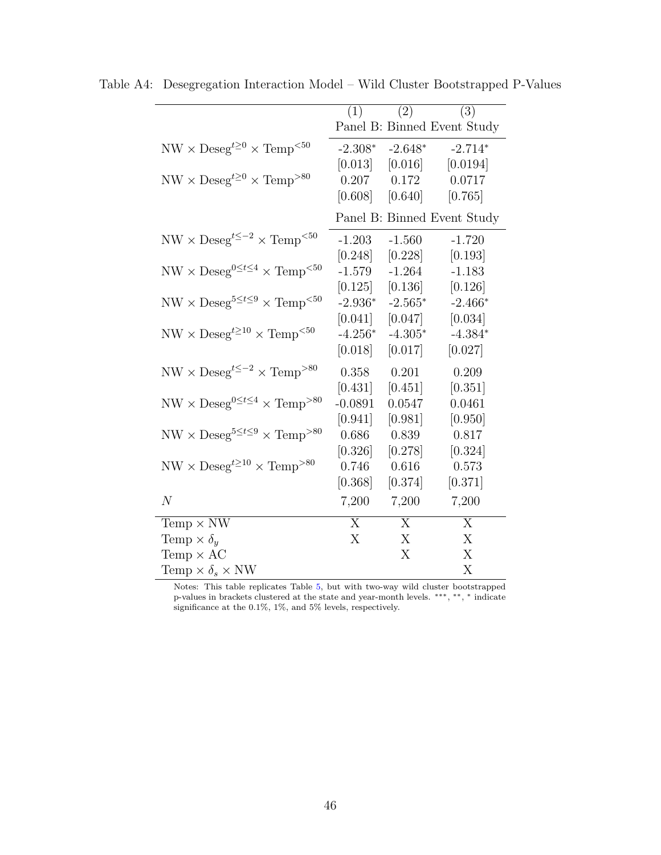|                                                                                                       | $\overline{(1)}$ | (2)                 | (3)                         |
|-------------------------------------------------------------------------------------------------------|------------------|---------------------|-----------------------------|
|                                                                                                       |                  |                     | Panel B: Binned Event Study |
| $NW \times Deseg^{t\geq 0} \times Temp^{&50}$                                                         | $-2.308*$        | $-2.648*$           | $-2.714*$                   |
|                                                                                                       | [0.013]          | [0.016]             | [0.0194]                    |
| $\ensuremath{\text{NW}}\times\ensuremath{\text{Deseg}}^{t\geq 0}\times\ensuremath{\text{Temp}}^{>80}$ | 0.207            | 0.172               | 0.0717                      |
|                                                                                                       |                  | $[0.608]$ $[0.640]$ | [0.765]                     |
|                                                                                                       |                  |                     | Panel B: Binned Event Study |
| $NW \times Deseg^{t\leq -2} \times Temp^{&50}$                                                        | $-1.203$         | $-1.560$            | $-1.720$                    |
|                                                                                                       | [0.248]          | [0.228]             | [0.193]                     |
| $\text{NW}\times\text{Deseg}^{0\leq t\leq 4}\times\text{Temp}^{<50}$                                  | $-1.579$         | $-1.264$            | $-1.183$                    |
|                                                                                                       | [0.125]          | [0.136]             | [0.126]                     |
| $NW \times Deseg^{5 \leq t \leq 9} \times Temp^{<50}$                                                 | $-2.936*$        | $-2.565*$           | $-2.466*$                   |
|                                                                                                       | [0.041]          | [0.047]             | [0.034]                     |
| $\text{NW}\times\text{Deseg}^{t\geq 10}\times\text{Temp}^{<50}$                                       | $-4.256*$        | $-4.305*$           | $-4.384*$                   |
|                                                                                                       | [0.018]          | [0.017]             | [0.027]                     |
| $NW \times Deseg^{t\leq -2} \times Temp^{>80}$                                                        | 0.358            | 0.201               | 0.209                       |
|                                                                                                       | [0.431]          | [0.451]             | [0.351]                     |
| $\text{NW}\times\text{Deseg}^{0\leq t\leq 4}\times\text{Temp}^{>80}$                                  | $-0.0891$        | 0.0547              | 0.0461                      |
|                                                                                                       | [0.941]          | [0.981]             | [0.950]                     |
| $NW \times Deseg^{5 \leq t \leq 9} \times Temp^{>80}$                                                 | 0.686            | 0.839               | 0.817                       |
|                                                                                                       | [0.326]          | [0.278]             | [0.324]                     |
| $NW \times Deseg^{t \geq 10} \times Temp^{>80}$                                                       | 0.746            | 0.616               | 0.573                       |
|                                                                                                       | [0.368]          | [0.374]             | [0.371]                     |
| $\overline{N}$                                                                                        | 7,200            | 7,200               | 7,200                       |
| Temp $\times$ NW                                                                                      | $\overline{X}$   | X                   | X                           |
| Temp $\times \delta_y$                                                                                | X                | X                   | X                           |
| Temp $\times$ AC                                                                                      |                  | X                   | X                           |
| Temp $\times \delta_s \times NW$                                                                      |                  |                     | X                           |

Table A4: Desegregation Interaction Model – Wild Cluster Bootstrapped P-Values

Notes: This table replicates Table [5,](#page-40-0) but with two-way wild cluster bootstrapped p-values in brackets clustered at the state and year-month levels. \*\*\*, \*\*, \* indicate significance at the 0.1%, 1%, and 5% levels, respectively.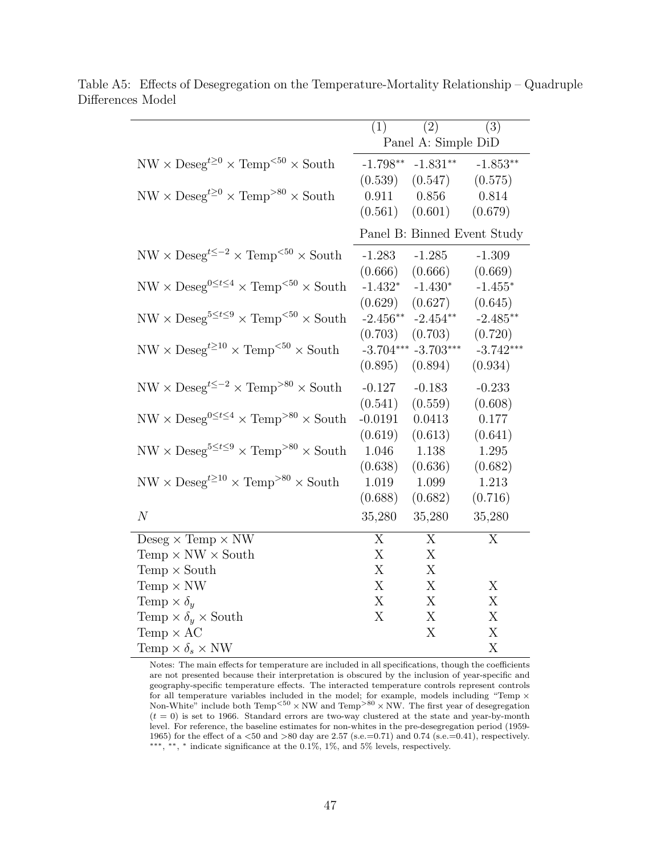|                                                                    | (1)                  | $\overline{(2)}$<br>Panel A: Simple DiD | (3)                         |
|--------------------------------------------------------------------|----------------------|-----------------------------------------|-----------------------------|
| $NW \times Deseg^{t\geq 0} \times Temp^{<50} \times South$         | $-1.798**$           | $-1.831**$                              | $-1.853**$                  |
| $NW \times Deseg^{t\geq 0} \times Temp^{>80} \times South$         | (0.539)<br>0.911     | (0.547)<br>0.856                        | (0.575)<br>0.814            |
|                                                                    | (0.561)              | (0.601)                                 | (0.679)                     |
|                                                                    |                      |                                         | Panel B: Binned Event Study |
| $NW \times Deseg^{t\leq -2} \times Temp^{< 50} \times South$       | $-1.283$             | $-1.285$                                | $-1.309$                    |
| $NW \times Deseg^{0 \leq t \leq 4} \times Temp^{<50} \times South$ | (0.666)<br>$-1.432*$ | (0.666)<br>$-1.430*$                    | (0.669)<br>$-1.455*$        |
|                                                                    | (0.629)              | (0.627)                                 | (0.645)                     |
| $NW \times Deseg^{5 \leq t \leq 9} \times Temp^{<50} \times South$ | $-2.456**$           | $-2.454**$                              | $-2.485**$                  |
|                                                                    | (0.703)              | (0.703)                                 | (0.720)                     |
| $NW \times Deseg^{t \geq 10} \times Temp^{< 50} \times South$      |                      | $-3.704***$ $-3.703***$                 | $-3.742***$                 |
|                                                                    | (0.895)              | (0.894)                                 | (0.934)                     |
| $NW \times Deseg^{t\leq -2} \times Temp^{>80} \times South$        | $-0.127$             | $-0.183$                                | $-0.233$                    |
|                                                                    | (0.541)              | (0.559)                                 | (0.608)                     |
| $NW \times Deseg^{0 \leq t \leq 4} \times Temp^{>80} \times South$ | $-0.0191$            | 0.0413                                  | 0.177                       |
|                                                                    | (0.619)              | (0.613)                                 | (0.641)                     |
| $NW \times Deseg^{5 \leq t \leq 9} \times Temp^{>80} \times South$ | 1.046                | 1.138                                   | 1.295                       |
|                                                                    | (0.638)              | (0.636)                                 | (0.682)                     |
| $NW \times Deseg^{t \geq 10} \times Temp^{>80} \times South$       | 1.019                | 1.099                                   | 1.213                       |
|                                                                    | (0.688)              | (0.682)                                 | (0.716)                     |
| N                                                                  | 35,280               | 35,280                                  | 35,280                      |
| Deseg $\times$ Temp $\times$ NW                                    | $\overline{X}$       | $\overline{X}$                          | X                           |
| Temp $\times$ NW $\times$ South                                    | X                    | X                                       |                             |
| Temp $\times$ South                                                | X                    | X                                       |                             |
| Temp $\times$ NW                                                   | X                    | X                                       | X                           |
| Temp $\times \delta_u$                                             | X                    | X                                       | X                           |
| Temp $\times \delta_y \times$ South                                | X                    | X                                       | X                           |
| Temp $\times$ AC                                                   |                      | X                                       | $\mathbf X$                 |
| Temp $\times \delta_s \times \text{NW}$                            |                      |                                         | $\boldsymbol{\mathrm{X}}$   |

<span id="page-46-0"></span>Table A5: Effects of Desegregation on the Temperature-Mortality Relationship – Quadruple Differences Model

Notes: The main effects for temperature are included in all specifications, though the coefficients are not presented because their interpretation is obscured by the inclusion of year-specific and geography-specific temperature effects. The interacted temperature controls represent controls for all temperature variables included in the model; for example, models including "Temp  $\times$ Non-White" include both  $Temp<sup>50</sup> \times NW$  and  $Temp<sup>80</sup> \times NW$ . The first year of desegregation  $(t = 0)$  is set to 1966. Standard errors are two-way clustered at the state and year-by-month level. For reference, the baseline estimates for non-whites in the pre-desegregation period (1959- 1965) for the effect of a  $\langle 50 \text{ and } \rangle 80$  day are 2.57 (s.e.=0.71) and 0.74 (s.e.=0.41), respectively. ∗∗∗, ∗∗, <sup>∗</sup> indicate significance at the 0.1%, 1%, and 5% levels, respectively.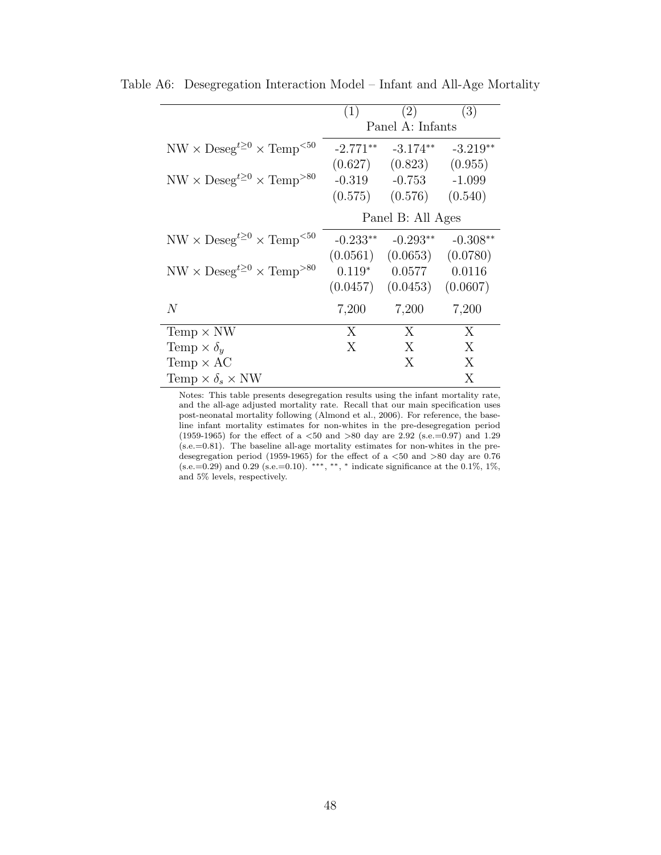|                                                | (1)        | (2)                           | (3)        |
|------------------------------------------------|------------|-------------------------------|------------|
|                                                |            | Panel A: Infants              |            |
| $NW \times Deseg^{t\geq 0} \times Temp^{&50}$  |            | $-2.771***$ $-3.174**$        | $-3.219**$ |
|                                                |            | $(0.627)$ $(0.823)$ $(0.955)$ |            |
| $NW \times Deseg^{t \geq 0} \times Temp^{>80}$ |            | $-0.319 -0.753$               | $-1.099$   |
|                                                | (0.575)    | (0.576)                       | (0.540)    |
|                                                |            | Panel B: All Ages             |            |
| $NW \times Deseg^{t\geq 0} \times Temp^{<50}$  | $-0.233**$ | $-0.293**$                    | $-0.308**$ |
|                                                |            | $(0.0561)$ $(0.0653)$         | (0.0780)   |
| $NW \times Deseg^{t \geq 0} \times Temp^{>80}$ |            | $0.119*$ 0.0577               | 0.0116     |
|                                                |            | $(0.0457)$ $(0.0453)$         | (0.0607)   |
| N                                              | 7,200      | 7,200                         | 7,200      |
| Temp $\times$ NW                               | X          | $\mathbf{X}$                  | X          |
| Temp $\times \delta_u$                         | X          | X                             | X          |
| Temp $\times$ AC                               |            | X                             | X          |
| Temp $\times \delta_s \times \text{NW}$        |            |                               | X          |

<span id="page-47-0"></span>Table A6: Desegregation Interaction Model – Infant and All-Age Mortality

Notes: This table presents desegregation results using the infant mortality rate, and the all-age adjusted mortality rate. Recall that our main specification uses post-neonatal mortality following [\(Almond et al.,](#page-27-4) [2006\)](#page-27-4). For reference, the baseline infant mortality estimates for non-whites in the pre-desegregation period (1959-1965) for the effect of a  $<50$  and  $>80$  day are 2.92 (s.e.=0.97) and 1.29 (s.e.=0.81). The baseline all-age mortality estimates for non-whites in the predesegregation period (1959-1965) for the effect of a  $<50$  and  $>80$  day are 0.76  $(s.e.=0.29)$  and 0.29  $(s.e.=0.10)$ . \*\*\*, \*\*, \* indicate significance at the 0.1%, 1%, and 5% levels, respectively.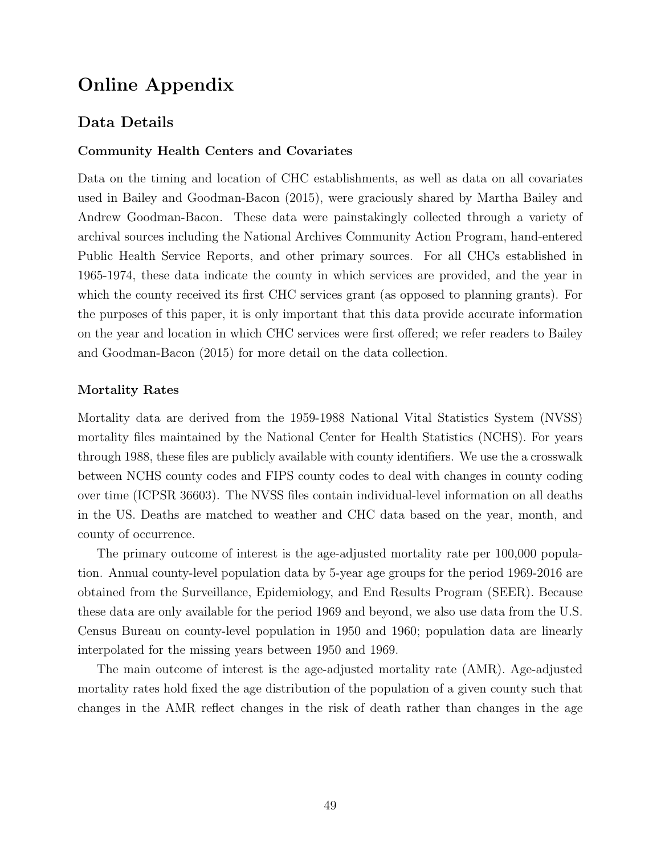## Online Appendix

## Data Details

### Community Health Centers and Covariates

Data on the timing and location of CHC establishments, as well as data on all covariates used in [Bailey and Goodman-Bacon](#page-27-3) [\(2015\)](#page-27-3), were graciously shared by Martha Bailey and Andrew Goodman-Bacon. These data were painstakingly collected through a variety of archival sources including the National Archives Community Action Program, hand-entered Public Health Service Reports, and other primary sources. For all CHCs established in 1965-1974, these data indicate the county in which services are provided, and the year in which the county received its first CHC services grant (as opposed to planning grants). For the purposes of this paper, it is only important that this data provide accurate information on the year and location in which CHC services were first offered; we refer readers to [Bailey](#page-27-3) [and Goodman-Bacon](#page-27-3) [\(2015\)](#page-27-3) for more detail on the data collection.

#### Mortality Rates

Mortality data are derived from the 1959-1988 National Vital Statistics System (NVSS) mortality files maintained by the National Center for Health Statistics (NCHS). For years through 1988, these files are publicly available with county identifiers. We use the a crosswalk between NCHS county codes and FIPS county codes to deal with changes in county coding over time (ICPSR 36603). The NVSS files contain individual-level information on all deaths in the US. Deaths are matched to weather and CHC data based on the year, month, and county of occurrence.

The primary outcome of interest is the age-adjusted mortality rate per 100,000 population. Annual county-level population data by 5-year age groups for the period 1969-2016 are obtained from the Surveillance, Epidemiology, and End Results Program (SEER). Because these data are only available for the period 1969 and beyond, we also use data from the U.S. Census Bureau on county-level population in 1950 and 1960; population data are linearly interpolated for the missing years between 1950 and 1969.

The main outcome of interest is the age-adjusted mortality rate (AMR). Age-adjusted mortality rates hold fixed the age distribution of the population of a given county such that changes in the AMR reflect changes in the risk of death rather than changes in the age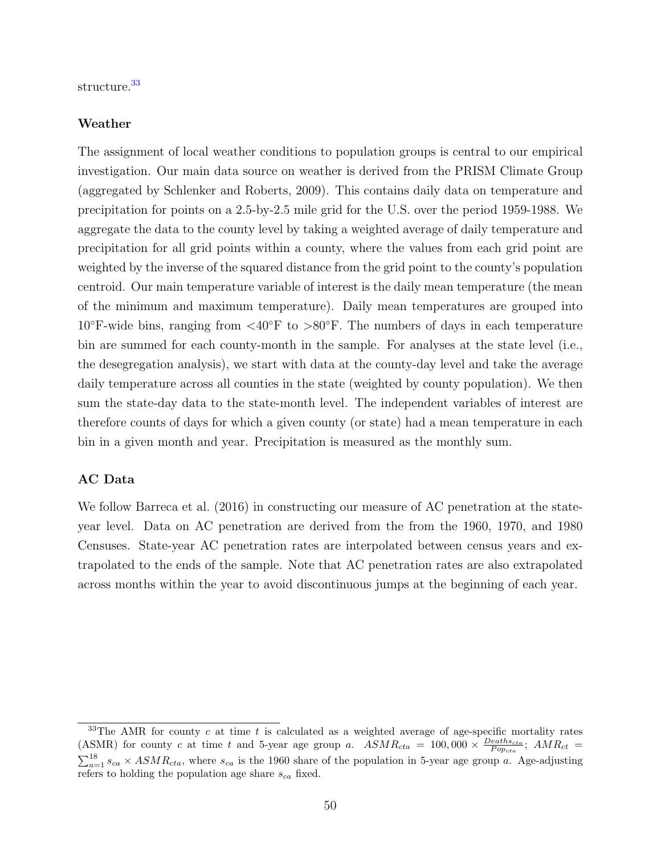structure.[33](#page-49-0)

#### Weather

The assignment of local weather conditions to population groups is central to our empirical investigation. Our main data source on weather is derived from the PRISM Climate Group (aggregated by [Schlenker and Roberts,](#page-29-11) [2009\)](#page-29-11). This contains daily data on temperature and precipitation for points on a 2.5-by-2.5 mile grid for the U.S. over the period 1959-1988. We aggregate the data to the county level by taking a weighted average of daily temperature and precipitation for all grid points within a county, where the values from each grid point are weighted by the inverse of the squared distance from the grid point to the county's population centroid. Our main temperature variable of interest is the daily mean temperature (the mean of the minimum and maximum temperature). Daily mean temperatures are grouped into  $10^{\circ}$ F-wide bins, ranging from  $\langle 40^{\circ}$ F to  $> 80^{\circ}$ F. The numbers of days in each temperature bin are summed for each county-month in the sample. For analyses at the state level (i.e., the desegregation analysis), we start with data at the county-day level and take the average daily temperature across all counties in the state (weighted by county population). We then sum the state-day data to the state-month level. The independent variables of interest are therefore counts of days for which a given county (or state) had a mean temperature in each bin in a given month and year. Precipitation is measured as the monthly sum.

#### AC Data

We follow [Barreca et al.](#page-27-5) [\(2016\)](#page-27-5) in constructing our measure of AC penetration at the stateyear level. Data on AC penetration are derived from the from the 1960, 1970, and 1980 Censuses. State-year AC penetration rates are interpolated between census years and extrapolated to the ends of the sample. Note that AC penetration rates are also extrapolated across months within the year to avoid discontinuous jumps at the beginning of each year.

<span id="page-49-0"></span><sup>&</sup>lt;sup>33</sup>The AMR for county c at time t is calculated as a weighted average of age-specific mortality rates (ASMR) for county c at time t and 5-year age group a.  $ASMR_{cta} = 100,000 \times \frac{Deaths_{cta}}{Pop_{cta}}$ ;  $AMR_{ct} =$  $\sum_{a=1}^{18} s_{ca} \times ASMR_{cta}$ , where  $s_{ca}$  is the 1960 share of the population in 5-year age group a. Age-adjusting refers to holding the population age share  $s_{ca}$  fixed.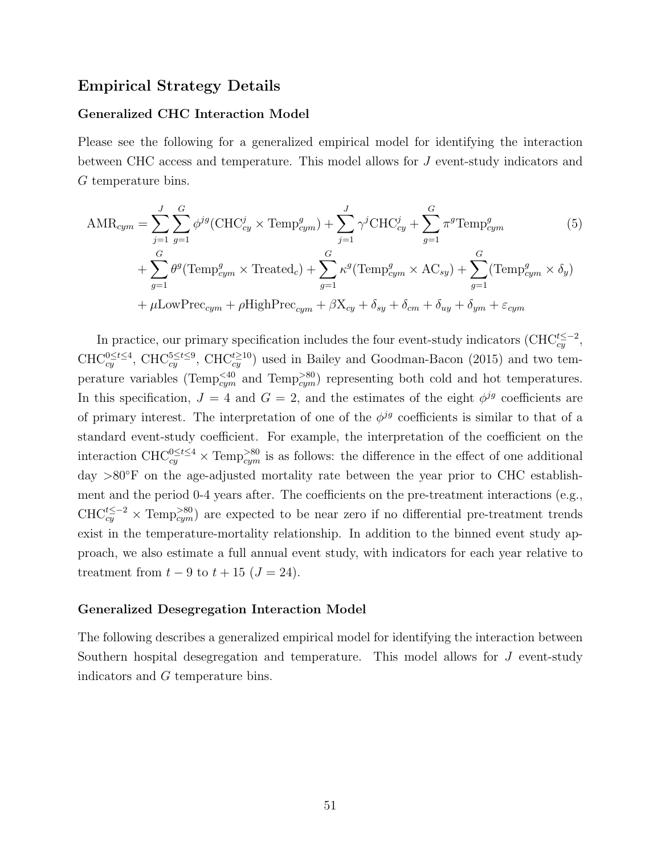## Empirical Strategy Details

#### Generalized CHC Interaction Model

Please see the following for a generalized empirical model for identifying the interaction between CHC access and temperature. This model allows for J event-study indicators and G temperature bins.

<span id="page-50-0"></span>
$$
\text{AMR}_{cym} = \sum_{j=1}^{J} \sum_{g=1}^{G} \phi^{jg} (\text{CHC}_{cy}^{j} \times \text{Temp}_{cym}^{g}) + \sum_{j=1}^{J} \gamma^{j} \text{CHC}_{cy}^{j} + \sum_{g=1}^{G} \pi^{g} \text{Temp}_{cym}^{g}
$$
(5)  
+ 
$$
\sum_{g=1}^{G} \theta^{g} (\text{Temp}_{cym}^{g} \times \text{Treated}_{c}) + \sum_{g=1}^{G} \kappa^{g} (\text{Temp}_{cym}^{g} \times \text{AC}_{sy}) + \sum_{g=1}^{G} (\text{Temp}_{cym}^{g} \times \delta_{y})
$$

$$
+ \mu \text{LowPrec}_{cym} + \rho \text{HighPrec}_{cym} + \beta \text{X}_{cy} + \delta_{sy} + \delta_{cm} + \delta_{uy} + \delta_{ym} + \varepsilon_{cym}
$$

In practice, our primary specification includes the four event-study indicators (CHC $_{cy}^{t\leq -2}$ ,  $CHC_{cy}^{0\leq t\leq 4}$ ,  $CHC_{cy}^{5\leq t\leq 9}$ ,  $CHC_{cy}^{t\geq 10}$  used in [Bailey and Goodman-Bacon](#page-27-3) [\(2015\)](#page-27-3) and two temperature variables (Temp<sup> $\leq 40$ </sup> and Temp<sup> $>80$ </sup>) representing both cold and hot temperatures. In this specification,  $J = 4$  and  $G = 2$ , and the estimates of the eight  $\phi^{jg}$  coefficients are of primary interest. The interpretation of one of the  $\phi^{jg}$  coefficients is similar to that of a standard event-study coefficient. For example, the interpretation of the coefficient on the interaction CHC<sup>0</sup><sup>≤t ≤4</sup> × Temp<sup>>80</sup> is as follows: the difference in the effect of one additional day >80◦F on the age-adjusted mortality rate between the year prior to CHC establishment and the period 0-4 years after. The coefficients on the pre-treatment interactions (e.g.,  $CHC_{cy}^{t\leq -2} \times Temp_{cym}^{>80}$  are expected to be near zero if no differential pre-treatment trends exist in the temperature-mortality relationship. In addition to the binned event study approach, we also estimate a full annual event study, with indicators for each year relative to treatment from  $t - 9$  to  $t + 15$   $(J = 24)$ .

#### Generalized Desegregation Interaction Model

The following describes a generalized empirical model for identifying the interaction between Southern hospital desegregation and temperature. This model allows for J event-study indicators and G temperature bins.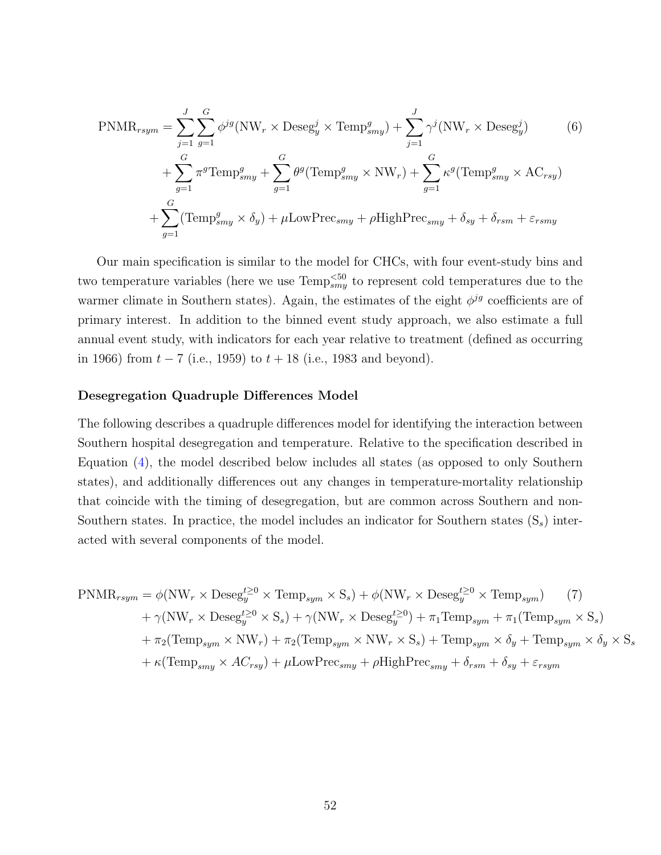<span id="page-51-0"></span>
$$
\text{PNMR}_{rsym} = \sum_{j=1}^{J} \sum_{g=1}^{G} \phi^{jg} (\text{NW}_r \times \text{Deseg}_y^j \times \text{Temp}_{smy}^g) + \sum_{j=1}^{J} \gamma^j (\text{NW}_r \times \text{Deseg}_y^j) \tag{6}
$$
\n
$$
+ \sum_{g=1}^{G} \pi^g \text{Temp}_{smy}^g + \sum_{g=1}^{G} \theta^g (\text{Temp}_{smy}^g \times \text{NW}_r) + \sum_{g=1}^{G} \kappa^g (\text{Temp}_{smy}^g \times \text{AC}_{rsy})
$$
\n
$$
+ \sum_{g=1}^{G} (\text{Temp}_{smy}^g \times \delta_y) + \mu \text{LowPrec}_{smy} + \rho \text{HighPrec}_{smy} + \delta_{sy} + \delta_{rsm} + \varepsilon_{rsmy}
$$

Our main specification is similar to the model for CHCs, with four event-study bins and two temperature variables (here we use  $\text{Temp}_{smy}^{<50}$  to represent cold temperatures due to the warmer climate in Southern states). Again, the estimates of the eight  $\phi^{jg}$  coefficients are of primary interest. In addition to the binned event study approach, we also estimate a full annual event study, with indicators for each year relative to treatment (defined as occurring in 1966) from  $t - 7$  (i.e., 1959) to  $t + 18$  (i.e., 1983 and beyond).

### Desegregation Quadruple Differences Model

The following describes a quadruple differences model for identifying the interaction between Southern hospital desegregation and temperature. Relative to the specification described in Equation [\(4\)](#page-22-0), the model described below includes all states (as opposed to only Southern states), and additionally differences out any changes in temperature-mortality relationship that coincide with the timing of desegregation, but are common across Southern and non-Southern states. In practice, the model includes an indicator for Southern states  $(S_s)$  interacted with several components of the model.

<span id="page-51-1"></span>
$$
\text{PNMR}_{rsym} = \phi(\text{NW}_r \times \text{Deseg}_y^{t \ge 0} \times \text{Temp}_{sym} \times \text{S}_s) + \phi(\text{NW}_r \times \text{Deseg}_y^{t \ge 0} \times \text{Temp}_{sym}) \qquad (7)
$$
\n
$$
+ \gamma(\text{NW}_r \times \text{Deseg}_y^{t \ge 0} \times \text{S}_s) + \gamma(\text{NW}_r \times \text{Deseg}_y^{t \ge 0}) + \pi_1 \text{Temp}_{sym} + \pi_1(\text{Temp}_{sym} \times \text{S}_s)
$$
\n
$$
+ \pi_2(\text{Temp}_{sym} \times \text{NW}_r) + \pi_2(\text{Temp}_{sym} \times \text{NW}_r \times \text{S}_s) + \text{Temp}_{sym} \times \delta_y + \text{Temp}_{sym} \times \delta_y \times \text{S}_s
$$
\n
$$
+ \kappa(\text{Temp}_{smy} \times \text{AC}_{rsy}) + \mu \text{LowPrec}_{smy} + \rho \text{HighPrec}_{smy} + \delta_{rsm} + \delta_{sy} + \varepsilon_{rsym}
$$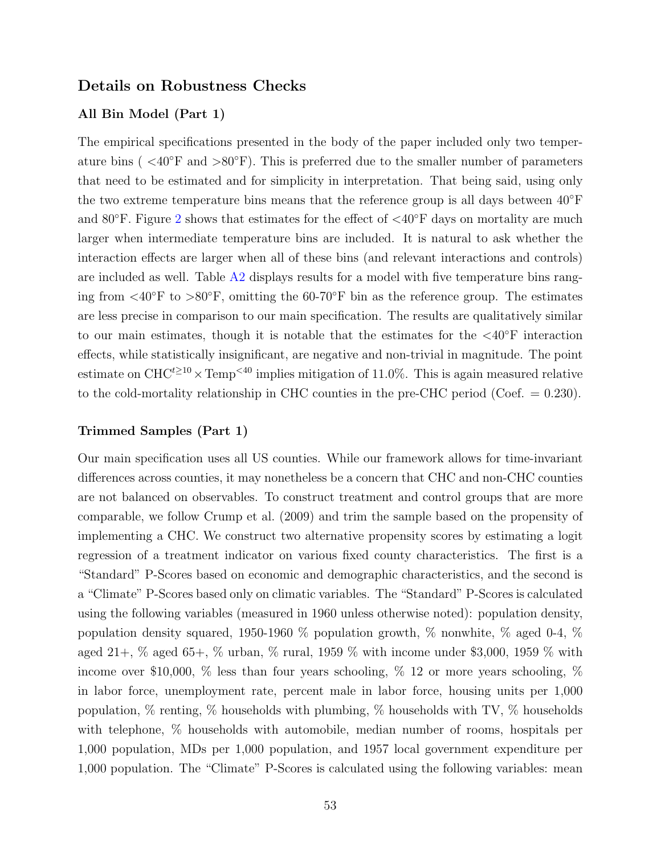## Details on Robustness Checks

### All Bin Model (Part 1)

The empirical specifications presented in the body of the paper included only two temperature bins (  $\langle 40^\circ \text{F} \rangle$  and  $\langle 80^\circ \text{F} \rangle$ ). This is preferred due to the smaller number of parameters that need to be estimated and for simplicity in interpretation. That being said, using only the two extreme temperature bins means that the reference group is all days between  $40°F$ and 80 $\degree$ F. Figure [2](#page-31-0) shows that estimates for the effect of  $\angle 40\degree$ F days on mortality are much larger when intermediate temperature bins are included. It is natural to ask whether the interaction effects are larger when all of these bins (and relevant interactions and controls) are included as well. Table [A2](#page-43-0) displays results for a model with five temperature bins ranging from  $\langle 40^\circ \text{F} \text{ to } \rangle 80^\circ \text{F}$ , omitting the 60-70°F bin as the reference group. The estimates are less precise in comparison to our main specification. The results are qualitatively similar to our main estimates, though it is notable that the estimates for the  $\langle 40^\circ F \rangle$  interaction effects, while statistically insignificant, are negative and non-trivial in magnitude. The point estimate on  $CHC^{t\geq 10} \times Temp^{<40}$  implies mitigation of 11.0%. This is again measured relative to the cold-mortality relationship in CHC counties in the pre-CHC period (Coef.  $= 0.230$ ).

### Trimmed Samples (Part 1)

Our main specification uses all US counties. While our framework allows for time-invariant differences across counties, it may nonetheless be a concern that CHC and non-CHC counties are not balanced on observables. To construct treatment and control groups that are more comparable, we follow [Crump et al.](#page-28-13) [\(2009\)](#page-28-13) and trim the sample based on the propensity of implementing a CHC. We construct two alternative propensity scores by estimating a logit regression of a treatment indicator on various fixed county characteristics. The first is a "Standard" P-Scores based on economic and demographic characteristics, and the second is a "Climate" P-Scores based only on climatic variables. The "Standard" P-Scores is calculated using the following variables (measured in 1960 unless otherwise noted): population density, population density squared, 1950-1960 % population growth, % nonwhite, % aged 0-4, % aged 21+, % aged 65+, % urban, % rural, 1959 % with income under \$3,000, 1959 % with income over \$10,000,  $\%$  less than four years schooling,  $\%$  12 or more years schooling,  $\%$ in labor force, unemployment rate, percent male in labor force, housing units per 1,000 population,  $\%$  renting,  $\%$  households with plumbing,  $\%$  households with TV,  $\%$  households with telephone,  $\%$  households with automobile, median number of rooms, hospitals per 1,000 population, MDs per 1,000 population, and 1957 local government expenditure per 1,000 population. The "Climate" P-Scores is calculated using the following variables: mean